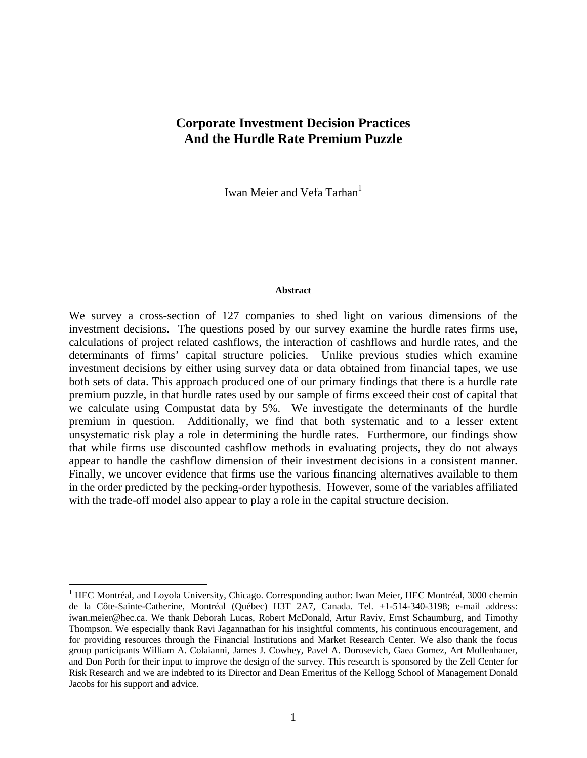# **Corporate Investment Decision Practices And the Hurdle Rate Premium Puzzle**

Iwan Meier and Vefa Tarhan<sup>1</sup>

#### **Abstract**

We survey a cross-section of 127 companies to shed light on various dimensions of the investment decisions. The questions posed by our survey examine the hurdle rates firms use, calculations of project related cashflows, the interaction of cashflows and hurdle rates, and the determinants of firms' capital structure policies. Unlike previous studies which examine investment decisions by either using survey data or data obtained from financial tapes, we use both sets of data. This approach produced one of our primary findings that there is a hurdle rate premium puzzle, in that hurdle rates used by our sample of firms exceed their cost of capital that we calculate using Compustat data by 5%. We investigate the determinants of the hurdle premium in question. Additionally, we find that both systematic and to a lesser extent unsystematic risk play a role in determining the hurdle rates. Furthermore, our findings show that while firms use discounted cashflow methods in evaluating projects, they do not always appear to handle the cashflow dimension of their investment decisions in a consistent manner. Finally, we uncover evidence that firms use the various financing alternatives available to them in the order predicted by the pecking-order hypothesis. However, some of the variables affiliated with the trade-off model also appear to play a role in the capital structure decision.

 $\overline{a}$ 

<sup>&</sup>lt;sup>1</sup> HEC Montréal, and Loyola University, Chicago. Corresponding author: Iwan Meier, HEC Montréal, 3000 chemin de la Côte-Sainte-Catherine, Montréal (Québec) H3T 2A7, Canada. Tel. +1-514-340-3198; e-mail address: iwan.meier@hec.ca. We thank Deborah Lucas, Robert McDonald, Artur Raviv, Ernst Schaumburg, and Timothy Thompson. We especially thank Ravi Jagannathan for his insightful comments, his continuous encouragement, and for providing resources through the Financial Institutions and Market Research Center. We also thank the focus group participants William A. Colaianni, James J. Cowhey, Pavel A. Dorosevich, Gaea Gomez, Art Mollenhauer, and Don Porth for their input to improve the design of the survey. This research is sponsored by the Zell Center for Risk Research and we are indebted to its Director and Dean Emeritus of the Kellogg School of Management Donald Jacobs for his support and advice.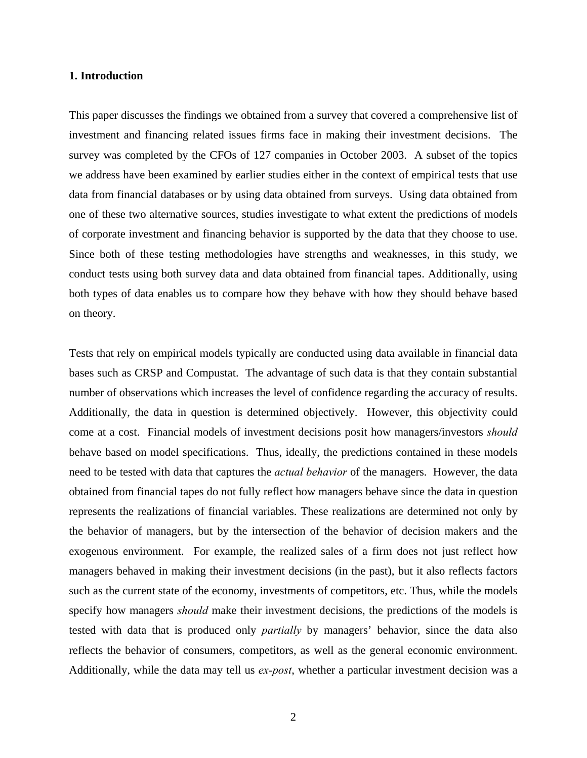#### **1. Introduction**

This paper discusses the findings we obtained from a survey that covered a comprehensive list of investment and financing related issues firms face in making their investment decisions. The survey was completed by the CFOs of 127 companies in October 2003. A subset of the topics we address have been examined by earlier studies either in the context of empirical tests that use data from financial databases or by using data obtained from surveys. Using data obtained from one of these two alternative sources, studies investigate to what extent the predictions of models of corporate investment and financing behavior is supported by the data that they choose to use. Since both of these testing methodologies have strengths and weaknesses, in this study, we conduct tests using both survey data and data obtained from financial tapes. Additionally, using both types of data enables us to compare how they behave with how they should behave based on theory.

Tests that rely on empirical models typically are conducted using data available in financial data bases such as CRSP and Compustat. The advantage of such data is that they contain substantial number of observations which increases the level of confidence regarding the accuracy of results. Additionally, the data in question is determined objectively. However, this objectivity could come at a cost. Financial models of investment decisions posit how managers/investors *should*  behave based on model specifications. Thus, ideally, the predictions contained in these models need to be tested with data that captures the *actual behavior* of the managers. However, the data obtained from financial tapes do not fully reflect how managers behave since the data in question represents the realizations of financial variables. These realizations are determined not only by the behavior of managers, but by the intersection of the behavior of decision makers and the exogenous environment. For example, the realized sales of a firm does not just reflect how managers behaved in making their investment decisions (in the past), but it also reflects factors such as the current state of the economy, investments of competitors, etc. Thus, while the models specify how managers *should* make their investment decisions, the predictions of the models is tested with data that is produced only *partially* by managers' behavior, since the data also reflects the behavior of consumers, competitors, as well as the general economic environment. Additionally, while the data may tell us *ex-post*, whether a particular investment decision was a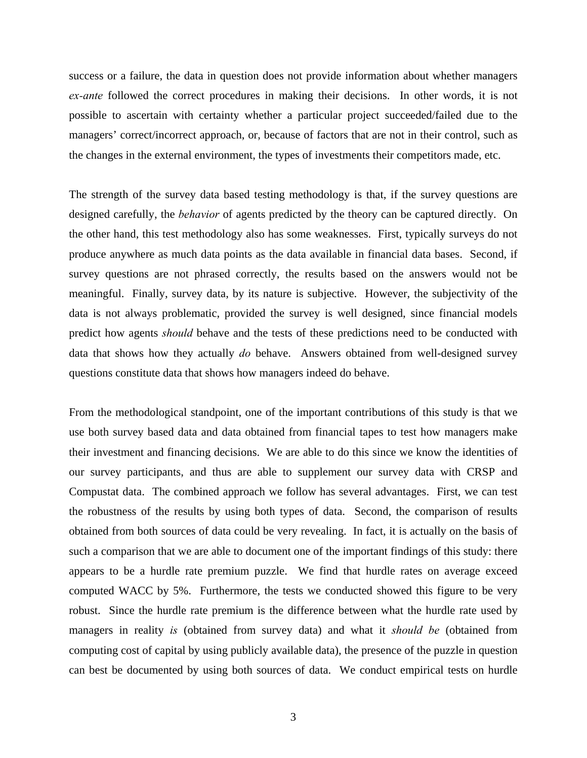success or a failure, the data in question does not provide information about whether managers *ex-ante* followed the correct procedures in making their decisions. In other words, it is not possible to ascertain with certainty whether a particular project succeeded/failed due to the managers' correct/incorrect approach, or, because of factors that are not in their control, such as the changes in the external environment, the types of investments their competitors made, etc.

The strength of the survey data based testing methodology is that, if the survey questions are designed carefully, the *behavior* of agents predicted by the theory can be captured directly. On the other hand, this test methodology also has some weaknesses. First, typically surveys do not produce anywhere as much data points as the data available in financial data bases. Second, if survey questions are not phrased correctly, the results based on the answers would not be meaningful. Finally, survey data, by its nature is subjective. However, the subjectivity of the data is not always problematic, provided the survey is well designed, since financial models predict how agents *should* behave and the tests of these predictions need to be conducted with data that shows how they actually *do* behave. Answers obtained from well-designed survey questions constitute data that shows how managers indeed do behave.

From the methodological standpoint, one of the important contributions of this study is that we use both survey based data and data obtained from financial tapes to test how managers make their investment and financing decisions. We are able to do this since we know the identities of our survey participants, and thus are able to supplement our survey data with CRSP and Compustat data. The combined approach we follow has several advantages. First, we can test the robustness of the results by using both types of data. Second, the comparison of results obtained from both sources of data could be very revealing. In fact, it is actually on the basis of such a comparison that we are able to document one of the important findings of this study: there appears to be a hurdle rate premium puzzle. We find that hurdle rates on average exceed computed WACC by 5%. Furthermore, the tests we conducted showed this figure to be very robust. Since the hurdle rate premium is the difference between what the hurdle rate used by managers in reality *is* (obtained from survey data) and what it *should be* (obtained from computing cost of capital by using publicly available data), the presence of the puzzle in question can best be documented by using both sources of data. We conduct empirical tests on hurdle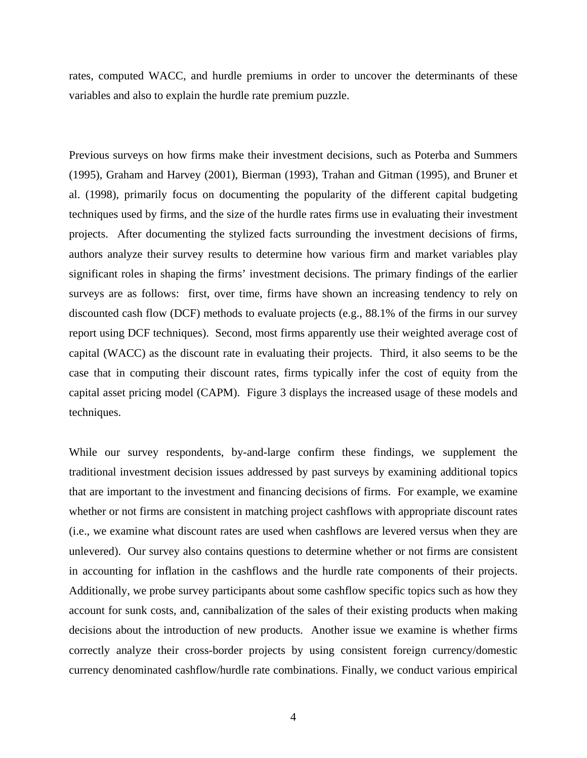rates, computed WACC, and hurdle premiums in order to uncover the determinants of these variables and also to explain the hurdle rate premium puzzle.

Previous surveys on how firms make their investment decisions, such as Poterba and Summers (1995), Graham and Harvey (2001), Bierman (1993), Trahan and Gitman (1995), and Bruner et al. (1998), primarily focus on documenting the popularity of the different capital budgeting techniques used by firms, and the size of the hurdle rates firms use in evaluating their investment projects. After documenting the stylized facts surrounding the investment decisions of firms, authors analyze their survey results to determine how various firm and market variables play significant roles in shaping the firms' investment decisions. The primary findings of the earlier surveys are as follows: first, over time, firms have shown an increasing tendency to rely on discounted cash flow (DCF) methods to evaluate projects (e.g., 88.1% of the firms in our survey report using DCF techniques). Second, most firms apparently use their weighted average cost of capital (WACC) as the discount rate in evaluating their projects. Third, it also seems to be the case that in computing their discount rates, firms typically infer the cost of equity from the capital asset pricing model (CAPM). Figure 3 displays the increased usage of these models and techniques.

While our survey respondents, by-and-large confirm these findings, we supplement the traditional investment decision issues addressed by past surveys by examining additional topics that are important to the investment and financing decisions of firms. For example, we examine whether or not firms are consistent in matching project cashflows with appropriate discount rates (i.e., we examine what discount rates are used when cashflows are levered versus when they are unlevered). Our survey also contains questions to determine whether or not firms are consistent in accounting for inflation in the cashflows and the hurdle rate components of their projects. Additionally, we probe survey participants about some cashflow specific topics such as how they account for sunk costs, and, cannibalization of the sales of their existing products when making decisions about the introduction of new products. Another issue we examine is whether firms correctly analyze their cross-border projects by using consistent foreign currency/domestic currency denominated cashflow/hurdle rate combinations. Finally, we conduct various empirical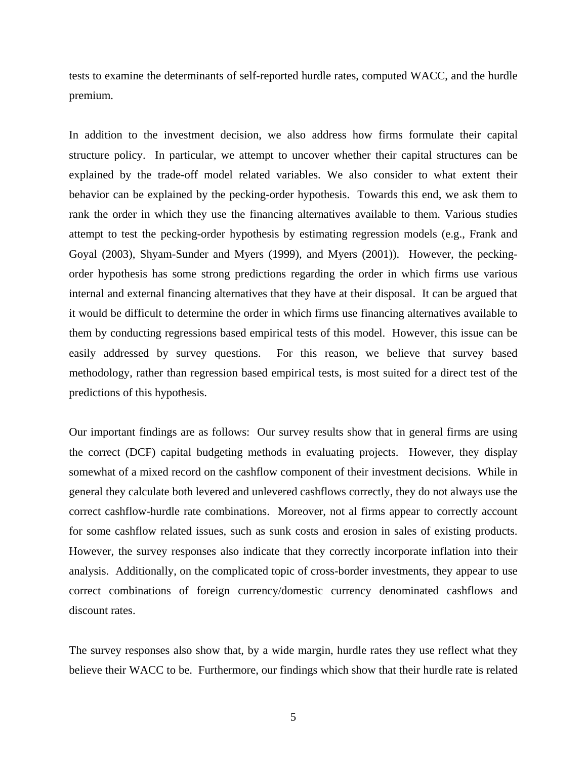tests to examine the determinants of self-reported hurdle rates, computed WACC, and the hurdle premium.

In addition to the investment decision, we also address how firms formulate their capital structure policy. In particular, we attempt to uncover whether their capital structures can be explained by the trade-off model related variables. We also consider to what extent their behavior can be explained by the pecking-order hypothesis. Towards this end, we ask them to rank the order in which they use the financing alternatives available to them. Various studies attempt to test the pecking-order hypothesis by estimating regression models (e.g., Frank and Goyal (2003), Shyam-Sunder and Myers (1999), and Myers (2001)). However, the peckingorder hypothesis has some strong predictions regarding the order in which firms use various internal and external financing alternatives that they have at their disposal. It can be argued that it would be difficult to determine the order in which firms use financing alternatives available to them by conducting regressions based empirical tests of this model. However, this issue can be easily addressed by survey questions. For this reason, we believe that survey based methodology, rather than regression based empirical tests, is most suited for a direct test of the predictions of this hypothesis.

Our important findings are as follows: Our survey results show that in general firms are using the correct (DCF) capital budgeting methods in evaluating projects. However, they display somewhat of a mixed record on the cashflow component of their investment decisions. While in general they calculate both levered and unlevered cashflows correctly, they do not always use the correct cashflow-hurdle rate combinations. Moreover, not al firms appear to correctly account for some cashflow related issues, such as sunk costs and erosion in sales of existing products. However, the survey responses also indicate that they correctly incorporate inflation into their analysis. Additionally, on the complicated topic of cross-border investments, they appear to use correct combinations of foreign currency/domestic currency denominated cashflows and discount rates.

The survey responses also show that, by a wide margin, hurdle rates they use reflect what they believe their WACC to be. Furthermore, our findings which show that their hurdle rate is related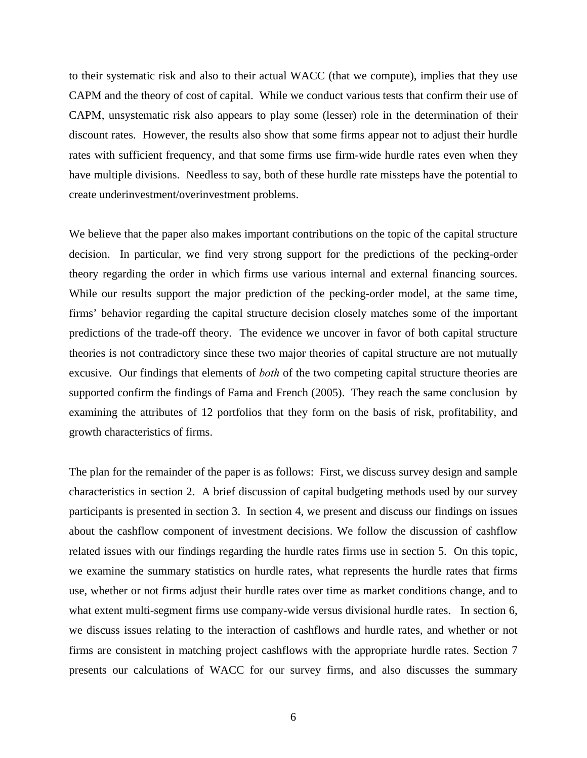to their systematic risk and also to their actual WACC (that we compute), implies that they use CAPM and the theory of cost of capital. While we conduct various tests that confirm their use of CAPM, unsystematic risk also appears to play some (lesser) role in the determination of their discount rates. However, the results also show that some firms appear not to adjust their hurdle rates with sufficient frequency, and that some firms use firm-wide hurdle rates even when they have multiple divisions. Needless to say, both of these hurdle rate missteps have the potential to create underinvestment/overinvestment problems.

We believe that the paper also makes important contributions on the topic of the capital structure decision. In particular, we find very strong support for the predictions of the pecking-order theory regarding the order in which firms use various internal and external financing sources. While our results support the major prediction of the pecking-order model, at the same time, firms' behavior regarding the capital structure decision closely matches some of the important predictions of the trade-off theory. The evidence we uncover in favor of both capital structure theories is not contradictory since these two major theories of capital structure are not mutually excusive. Our findings that elements of *both* of the two competing capital structure theories are supported confirm the findings of Fama and French (2005). They reach the same conclusion by examining the attributes of 12 portfolios that they form on the basis of risk, profitability, and growth characteristics of firms.

The plan for the remainder of the paper is as follows: First, we discuss survey design and sample characteristics in section 2. A brief discussion of capital budgeting methods used by our survey participants is presented in section 3. In section 4, we present and discuss our findings on issues about the cashflow component of investment decisions. We follow the discussion of cashflow related issues with our findings regarding the hurdle rates firms use in section 5. On this topic, we examine the summary statistics on hurdle rates, what represents the hurdle rates that firms use, whether or not firms adjust their hurdle rates over time as market conditions change, and to what extent multi-segment firms use company-wide versus divisional hurdle rates. In section 6, we discuss issues relating to the interaction of cashflows and hurdle rates, and whether or not firms are consistent in matching project cashflows with the appropriate hurdle rates. Section 7 presents our calculations of WACC for our survey firms, and also discusses the summary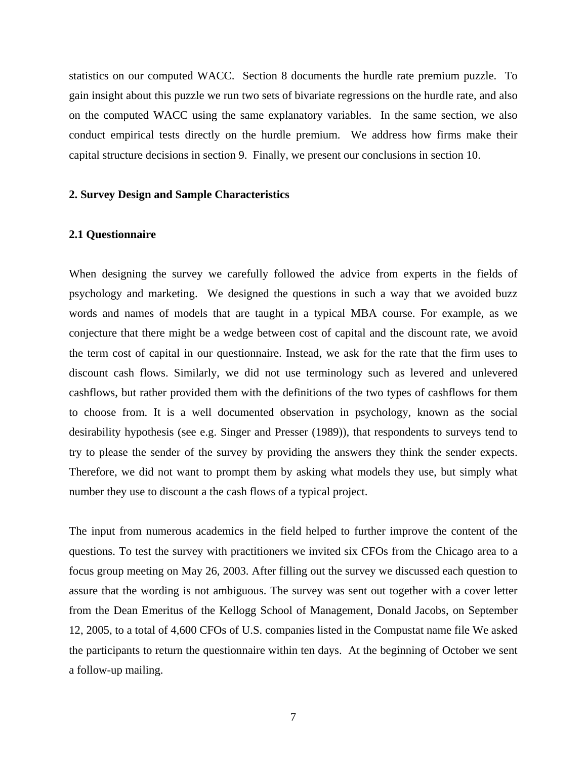statistics on our computed WACC. Section 8 documents the hurdle rate premium puzzle. To gain insight about this puzzle we run two sets of bivariate regressions on the hurdle rate, and also on the computed WACC using the same explanatory variables. In the same section, we also conduct empirical tests directly on the hurdle premium. We address how firms make their capital structure decisions in section 9. Finally, we present our conclusions in section 10.

#### **2. Survey Design and Sample Characteristics**

#### **2.1 Questionnaire**

When designing the survey we carefully followed the advice from experts in the fields of psychology and marketing. We designed the questions in such a way that we avoided buzz words and names of models that are taught in a typical MBA course. For example, as we conjecture that there might be a wedge between cost of capital and the discount rate, we avoid the term cost of capital in our questionnaire. Instead, we ask for the rate that the firm uses to discount cash flows. Similarly, we did not use terminology such as levered and unlevered cashflows, but rather provided them with the definitions of the two types of cashflows for them to choose from. It is a well documented observation in psychology, known as the social desirability hypothesis (see e.g. Singer and Presser (1989)), that respondents to surveys tend to try to please the sender of the survey by providing the answers they think the sender expects. Therefore, we did not want to prompt them by asking what models they use, but simply what number they use to discount a the cash flows of a typical project.

The input from numerous academics in the field helped to further improve the content of the questions. To test the survey with practitioners we invited six CFOs from the Chicago area to a focus group meeting on May 26, 2003. After filling out the survey we discussed each question to assure that the wording is not ambiguous. The survey was sent out together with a cover letter from the Dean Emeritus of the Kellogg School of Management, Donald Jacobs, on September 12, 2005, to a total of 4,600 CFOs of U.S. companies listed in the Compustat name file We asked the participants to return the questionnaire within ten days. At the beginning of October we sent a follow-up mailing.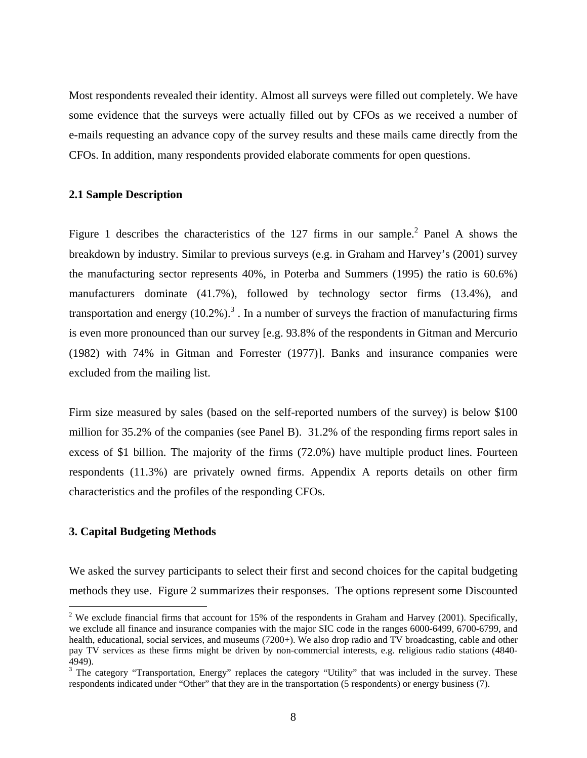Most respondents revealed their identity. Almost all surveys were filled out completely. We have some evidence that the surveys were actually filled out by CFOs as we received a number of e-mails requesting an advance copy of the survey results and these mails came directly from the CFOs. In addition, many respondents provided elaborate comments for open questions.

## **2.1 Sample Description**

Figure 1 describes the characteristics of the  $127$  firms in our sample.<sup>2</sup> Panel A shows the breakdown by industry. Similar to previous surveys (e.g. in Graham and Harvey's (2001) survey the manufacturing sector represents 40%, in Poterba and Summers (1995) the ratio is 60.6%) manufacturers dominate (41.7%), followed by technology sector firms (13.4%), and transportation and energy  $(10.2\%)$ <sup>3</sup>. In a number of surveys the fraction of manufacturing firms is even more pronounced than our survey [e.g. 93.8% of the respondents in Gitman and Mercurio (1982) with 74% in Gitman and Forrester (1977)]. Banks and insurance companies were excluded from the mailing list.

Firm size measured by sales (based on the self-reported numbers of the survey) is below \$100 million for 35.2% of the companies (see Panel B). 31.2% of the responding firms report sales in excess of \$1 billion. The majority of the firms (72.0%) have multiple product lines. Fourteen respondents (11.3%) are privately owned firms. Appendix A reports details on other firm characteristics and the profiles of the responding CFOs.

## **3. Capital Budgeting Methods**

 $\overline{a}$ 

We asked the survey participants to select their first and second choices for the capital budgeting methods they use. Figure 2 summarizes their responses.The options represent some Discounted

<sup>&</sup>lt;sup>2</sup> We exclude financial firms that account for 15% of the respondents in Graham and Harvey (2001). Specifically, we exclude all finance and insurance companies with the major SIC code in the ranges 6000-6499, 6700-6799, and health, educational, social services, and museums (7200+). We also drop radio and TV broadcasting, cable and other pay TV services as these firms might be driven by non-commercial interests, e.g. religious radio stations (4840- 4949).

 $3$  The category "Transportation, Energy" replaces the category "Utility" that was included in the survey. These respondents indicated under "Other" that they are in the transportation (5 respondents) or energy business (7).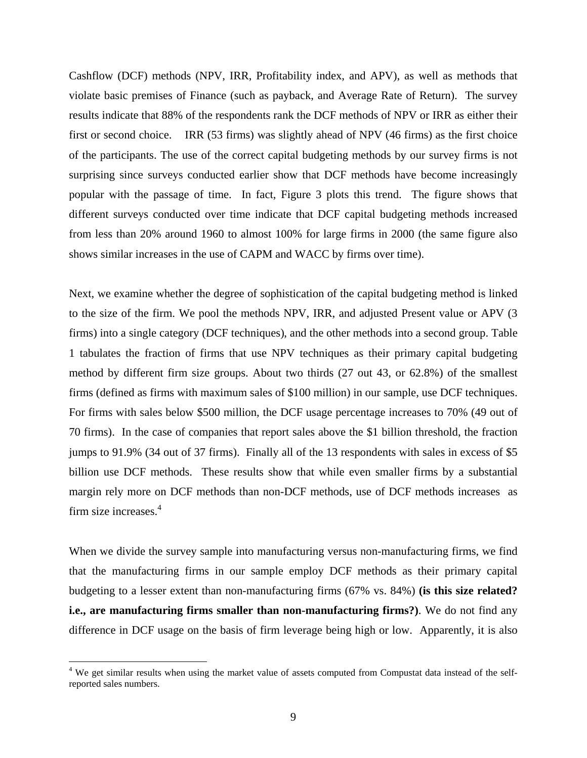Cashflow (DCF) methods (NPV, IRR, Profitability index, and APV), as well as methods that violate basic premises of Finance (such as payback, and Average Rate of Return). The survey results indicate that 88% of the respondents rank the DCF methods of NPV or IRR as either their first or second choice. IRR (53 firms) was slightly ahead of NPV (46 firms) as the first choice of the participants. The use of the correct capital budgeting methods by our survey firms is not surprising since surveys conducted earlier show that DCF methods have become increasingly popular with the passage of time. In fact, Figure 3 plots this trend. The figure shows that different surveys conducted over time indicate that DCF capital budgeting methods increased from less than 20% around 1960 to almost 100% for large firms in 2000 (the same figure also shows similar increases in the use of CAPM and WACC by firms over time).

Next, we examine whether the degree of sophistication of the capital budgeting method is linked to the size of the firm. We pool the methods NPV, IRR, and adjusted Present value or APV (3 firms) into a single category (DCF techniques), and the other methods into a second group. Table 1 tabulates the fraction of firms that use NPV techniques as their primary capital budgeting method by different firm size groups. About two thirds (27 out 43, or 62.8%) of the smallest firms (defined as firms with maximum sales of \$100 million) in our sample, use DCF techniques. For firms with sales below \$500 million, the DCF usage percentage increases to 70% (49 out of 70 firms). In the case of companies that report sales above the \$1 billion threshold, the fraction jumps to 91.9% (34 out of 37 firms). Finally all of the 13 respondents with sales in excess of \$5 billion use DCF methods. These results show that while even smaller firms by a substantial margin rely more on DCF methods than non-DCF methods, use of DCF methods increases as firm size increases.<sup>4</sup>

When we divide the survey sample into manufacturing versus non-manufacturing firms, we find that the manufacturing firms in our sample employ DCF methods as their primary capital budgeting to a lesser extent than non-manufacturing firms (67% vs. 84%) **(is this size related? i.e., are manufacturing firms smaller than non-manufacturing firms?)**. We do not find any difference in DCF usage on the basis of firm leverage being high or low. Apparently, it is also

 $\overline{a}$ 

<sup>&</sup>lt;sup>4</sup> We get similar results when using the market value of assets computed from Compustat data instead of the selfreported sales numbers.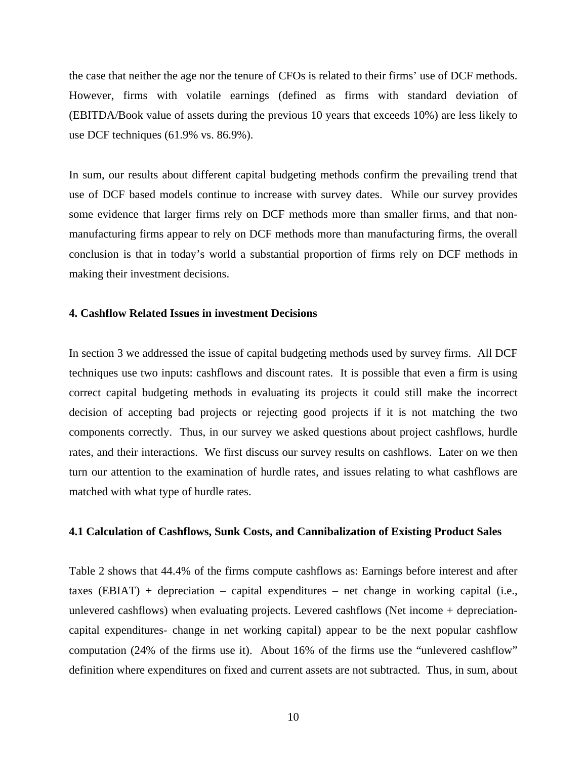the case that neither the age nor the tenure of CFOs is related to their firms' use of DCF methods. However, firms with volatile earnings (defined as firms with standard deviation of (EBITDA/Book value of assets during the previous 10 years that exceeds 10%) are less likely to use DCF techniques (61.9% vs. 86.9%).

In sum, our results about different capital budgeting methods confirm the prevailing trend that use of DCF based models continue to increase with survey dates. While our survey provides some evidence that larger firms rely on DCF methods more than smaller firms, and that nonmanufacturing firms appear to rely on DCF methods more than manufacturing firms, the overall conclusion is that in today's world a substantial proportion of firms rely on DCF methods in making their investment decisions.

#### **4. Cashflow Related Issues in investment Decisions**

In section 3 we addressed the issue of capital budgeting methods used by survey firms. All DCF techniques use two inputs: cashflows and discount rates. It is possible that even a firm is using correct capital budgeting methods in evaluating its projects it could still make the incorrect decision of accepting bad projects or rejecting good projects if it is not matching the two components correctly. Thus, in our survey we asked questions about project cashflows, hurdle rates, and their interactions. We first discuss our survey results on cashflows. Later on we then turn our attention to the examination of hurdle rates, and issues relating to what cashflows are matched with what type of hurdle rates.

## **4.1 Calculation of Cashflows, Sunk Costs, and Cannibalization of Existing Product Sales**

Table 2 shows that 44.4% of the firms compute cashflows as: Earnings before interest and after taxes (EBIAT) + depreciation – capital expenditures – net change in working capital (i.e., unlevered cashflows) when evaluating projects. Levered cashflows (Net income + depreciationcapital expenditures- change in net working capital) appear to be the next popular cashflow computation (24% of the firms use it). About 16% of the firms use the "unlevered cashflow" definition where expenditures on fixed and current assets are not subtracted. Thus, in sum, about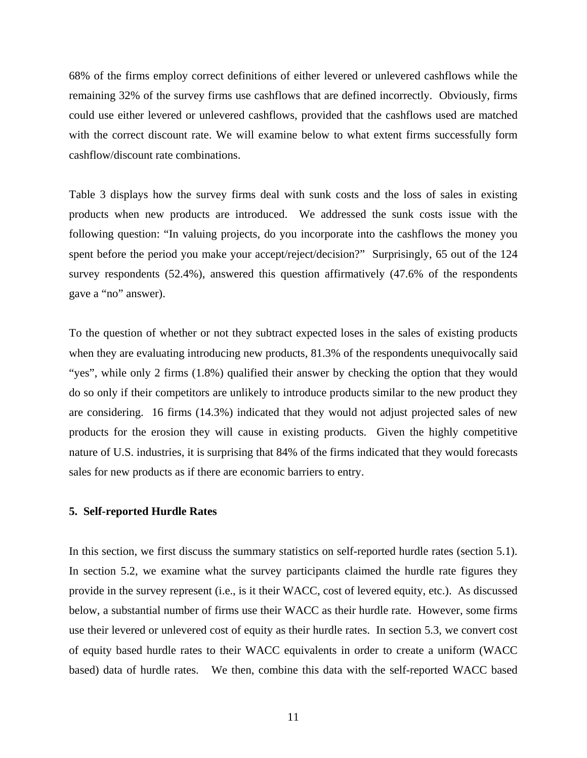68% of the firms employ correct definitions of either levered or unlevered cashflows while the remaining 32% of the survey firms use cashflows that are defined incorrectly. Obviously, firms could use either levered or unlevered cashflows, provided that the cashflows used are matched with the correct discount rate. We will examine below to what extent firms successfully form cashflow/discount rate combinations.

Table 3 displays how the survey firms deal with sunk costs and the loss of sales in existing products when new products are introduced. We addressed the sunk costs issue with the following question: "In valuing projects, do you incorporate into the cashflows the money you spent before the period you make your accept/reject/decision?" Surprisingly, 65 out of the 124 survey respondents (52.4%), answered this question affirmatively (47.6% of the respondents gave a "no" answer).

To the question of whether or not they subtract expected loses in the sales of existing products when they are evaluating introducing new products, 81.3% of the respondents unequivocally said "yes", while only 2 firms (1.8%) qualified their answer by checking the option that they would do so only if their competitors are unlikely to introduce products similar to the new product they are considering. 16 firms (14.3%) indicated that they would not adjust projected sales of new products for the erosion they will cause in existing products. Given the highly competitive nature of U.S. industries, it is surprising that 84% of the firms indicated that they would forecasts sales for new products as if there are economic barriers to entry.

#### **5. Self-reported Hurdle Rates**

In this section, we first discuss the summary statistics on self-reported hurdle rates (section 5.1). In section 5.2, we examine what the survey participants claimed the hurdle rate figures they provide in the survey represent (i.e., is it their WACC, cost of levered equity, etc.). As discussed below, a substantial number of firms use their WACC as their hurdle rate. However, some firms use their levered or unlevered cost of equity as their hurdle rates. In section 5.3, we convert cost of equity based hurdle rates to their WACC equivalents in order to create a uniform (WACC based) data of hurdle rates. We then, combine this data with the self-reported WACC based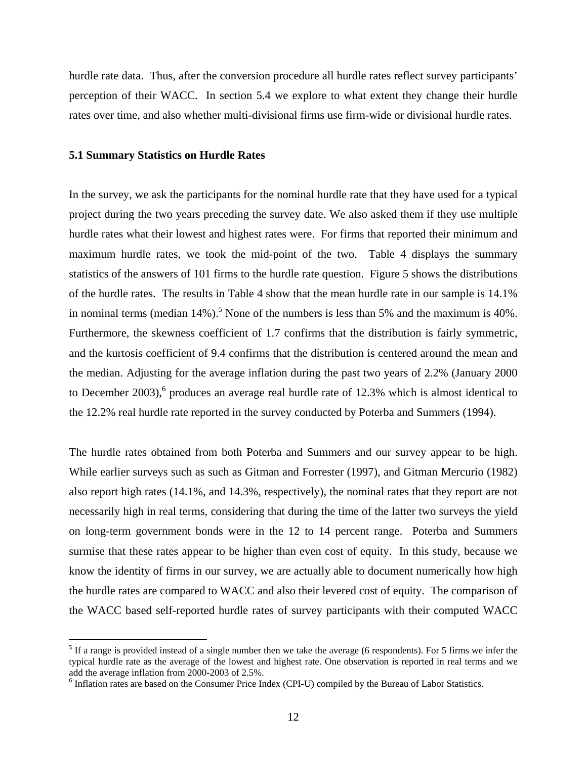hurdle rate data. Thus, after the conversion procedure all hurdle rates reflect survey participants' perception of their WACC. In section 5.4 we explore to what extent they change their hurdle rates over time, and also whether multi-divisional firms use firm-wide or divisional hurdle rates.

#### **5.1 Summary Statistics on Hurdle Rates**

 $\overline{a}$ 

In the survey, we ask the participants for the nominal hurdle rate that they have used for a typical project during the two years preceding the survey date. We also asked them if they use multiple hurdle rates what their lowest and highest rates were. For firms that reported their minimum and maximum hurdle rates, we took the mid-point of the two. Table 4 displays the summary statistics of the answers of 101 firms to the hurdle rate question. Figure 5 shows the distributions of the hurdle rates. The results in Table 4 show that the mean hurdle rate in our sample is 14.1% in nominal terms (median  $14\%$ ).<sup>5</sup> None of the numbers is less than 5% and the maximum is 40%. Furthermore, the skewness coefficient of 1.7 confirms that the distribution is fairly symmetric, and the kurtosis coefficient of 9.4 confirms that the distribution is centered around the mean and the median. Adjusting for the average inflation during the past two years of 2.2% (January 2000 to December 2003),<sup>6</sup> produces an average real hurdle rate of 12.3% which is almost identical to the 12.2% real hurdle rate reported in the survey conducted by Poterba and Summers (1994).

The hurdle rates obtained from both Poterba and Summers and our survey appear to be high. While earlier surveys such as such as Gitman and Forrester (1997), and Gitman Mercurio (1982) also report high rates (14.1%, and 14.3%, respectively), the nominal rates that they report are not necessarily high in real terms, considering that during the time of the latter two surveys the yield on long-term government bonds were in the 12 to 14 percent range. Poterba and Summers surmise that these rates appear to be higher than even cost of equity. In this study, because we know the identity of firms in our survey, we are actually able to document numerically how high the hurdle rates are compared to WACC and also their levered cost of equity. The comparison of the WACC based self-reported hurdle rates of survey participants with their computed WACC

 $<sup>5</sup>$  If a range is provided instead of a single number then we take the average (6 respondents). For 5 firms we infer the</sup> typical hurdle rate as the average of the lowest and highest rate. One observation is reported in real terms and we add the average inflation from 2000-2003 of 2.5%.

<sup>&</sup>lt;sup>6</sup> Inflation rates are based on the Consumer Price Index (CPI-U) compiled by the Bureau of Labor Statistics.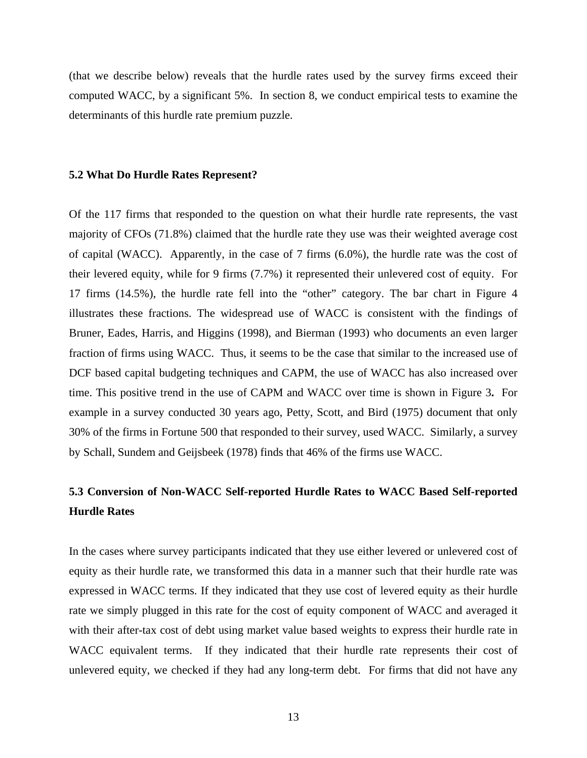(that we describe below) reveals that the hurdle rates used by the survey firms exceed their computed WACC, by a significant 5%. In section 8, we conduct empirical tests to examine the determinants of this hurdle rate premium puzzle.

#### **5.2 What Do Hurdle Rates Represent?**

Of the 117 firms that responded to the question on what their hurdle rate represents, the vast majority of CFOs (71.8%) claimed that the hurdle rate they use was their weighted average cost of capital (WACC). Apparently, in the case of 7 firms (6.0%), the hurdle rate was the cost of their levered equity, while for 9 firms (7.7%) it represented their unlevered cost of equity. For 17 firms (14.5%), the hurdle rate fell into the "other" category. The bar chart in Figure 4 illustrates these fractions. The widespread use of WACC is consistent with the findings of Bruner, Eades, Harris, and Higgins (1998), and Bierman (1993) who documents an even larger fraction of firms using WACC. Thus, it seems to be the case that similar to the increased use of DCF based capital budgeting techniques and CAPM, the use of WACC has also increased over time. This positive trend in the use of CAPM and WACC over time is shown in Figure 3**.** For example in a survey conducted 30 years ago, Petty, Scott, and Bird (1975) document that only 30% of the firms in Fortune 500 that responded to their survey, used WACC. Similarly, a survey by Schall, Sundem and Geijsbeek (1978) finds that 46% of the firms use WACC.

# **5.3 Conversion of Non-WACC Self-reported Hurdle Rates to WACC Based Self-reported Hurdle Rates**

In the cases where survey participants indicated that they use either levered or unlevered cost of equity as their hurdle rate, we transformed this data in a manner such that their hurdle rate was expressed in WACC terms. If they indicated that they use cost of levered equity as their hurdle rate we simply plugged in this rate for the cost of equity component of WACC and averaged it with their after-tax cost of debt using market value based weights to express their hurdle rate in WACC equivalent terms. If they indicated that their hurdle rate represents their cost of unlevered equity, we checked if they had any long-term debt. For firms that did not have any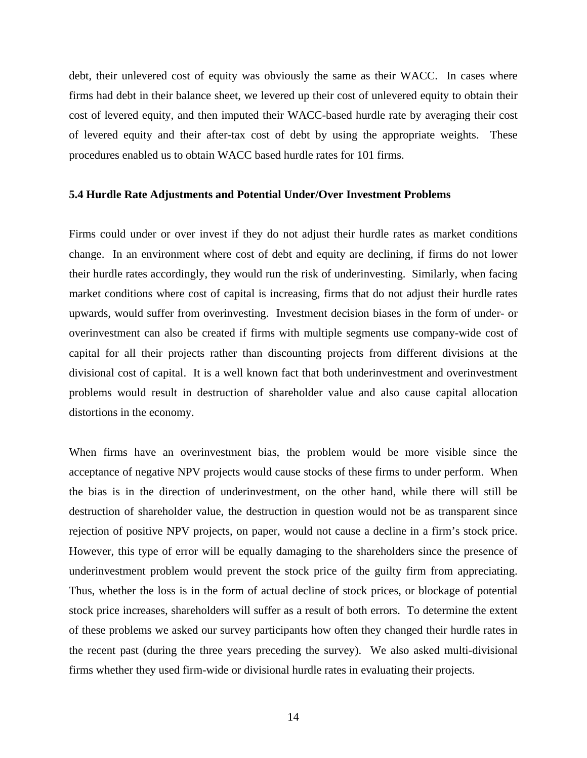debt, their unlevered cost of equity was obviously the same as their WACC. In cases where firms had debt in their balance sheet, we levered up their cost of unlevered equity to obtain their cost of levered equity, and then imputed their WACC-based hurdle rate by averaging their cost of levered equity and their after-tax cost of debt by using the appropriate weights. These procedures enabled us to obtain WACC based hurdle rates for 101 firms.

## **5.4 Hurdle Rate Adjustments and Potential Under/Over Investment Problems**

Firms could under or over invest if they do not adjust their hurdle rates as market conditions change. In an environment where cost of debt and equity are declining, if firms do not lower their hurdle rates accordingly, they would run the risk of underinvesting. Similarly, when facing market conditions where cost of capital is increasing, firms that do not adjust their hurdle rates upwards, would suffer from overinvesting. Investment decision biases in the form of under- or overinvestment can also be created if firms with multiple segments use company-wide cost of capital for all their projects rather than discounting projects from different divisions at the divisional cost of capital. It is a well known fact that both underinvestment and overinvestment problems would result in destruction of shareholder value and also cause capital allocation distortions in the economy.

When firms have an overinvestment bias, the problem would be more visible since the acceptance of negative NPV projects would cause stocks of these firms to under perform. When the bias is in the direction of underinvestment, on the other hand, while there will still be destruction of shareholder value, the destruction in question would not be as transparent since rejection of positive NPV projects, on paper, would not cause a decline in a firm's stock price. However, this type of error will be equally damaging to the shareholders since the presence of underinvestment problem would prevent the stock price of the guilty firm from appreciating. Thus, whether the loss is in the form of actual decline of stock prices, or blockage of potential stock price increases, shareholders will suffer as a result of both errors. To determine the extent of these problems we asked our survey participants how often they changed their hurdle rates in the recent past (during the three years preceding the survey). We also asked multi-divisional firms whether they used firm-wide or divisional hurdle rates in evaluating their projects.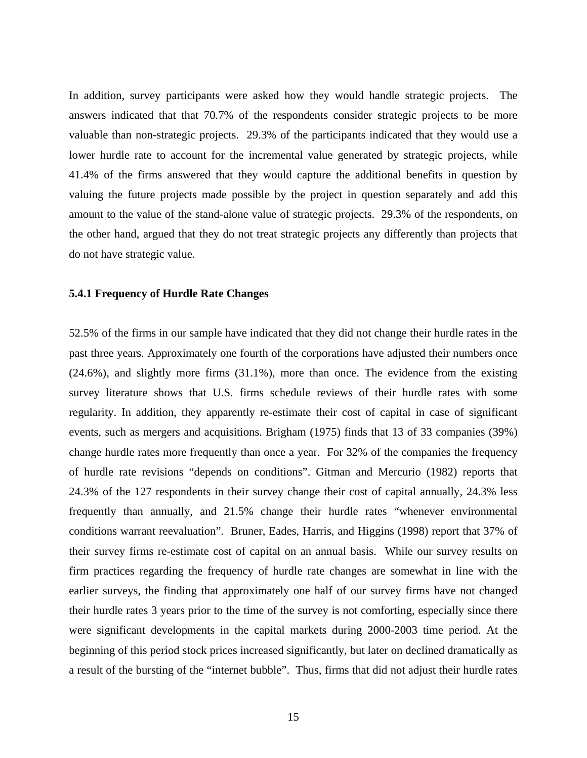In addition, survey participants were asked how they would handle strategic projects. The answers indicated that that 70.7% of the respondents consider strategic projects to be more valuable than non-strategic projects. 29.3% of the participants indicated that they would use a lower hurdle rate to account for the incremental value generated by strategic projects, while 41.4% of the firms answered that they would capture the additional benefits in question by valuing the future projects made possible by the project in question separately and add this amount to the value of the stand-alone value of strategic projects. 29.3% of the respondents, on the other hand, argued that they do not treat strategic projects any differently than projects that do not have strategic value.

#### **5.4.1 Frequency of Hurdle Rate Changes**

52.5% of the firms in our sample have indicated that they did not change their hurdle rates in the past three years. Approximately one fourth of the corporations have adjusted their numbers once (24.6%), and slightly more firms (31.1%), more than once. The evidence from the existing survey literature shows that U.S. firms schedule reviews of their hurdle rates with some regularity. In addition, they apparently re-estimate their cost of capital in case of significant events, such as mergers and acquisitions. Brigham (1975) finds that 13 of 33 companies (39%) change hurdle rates more frequently than once a year. For 32% of the companies the frequency of hurdle rate revisions "depends on conditions". Gitman and Mercurio (1982) reports that 24.3% of the 127 respondents in their survey change their cost of capital annually, 24.3% less frequently than annually, and 21.5% change their hurdle rates "whenever environmental conditions warrant reevaluation". Bruner, Eades, Harris, and Higgins (1998) report that 37% of their survey firms re-estimate cost of capital on an annual basis. While our survey results on firm practices regarding the frequency of hurdle rate changes are somewhat in line with the earlier surveys, the finding that approximately one half of our survey firms have not changed their hurdle rates 3 years prior to the time of the survey is not comforting, especially since there were significant developments in the capital markets during 2000-2003 time period. At the beginning of this period stock prices increased significantly, but later on declined dramatically as a result of the bursting of the "internet bubble". Thus, firms that did not adjust their hurdle rates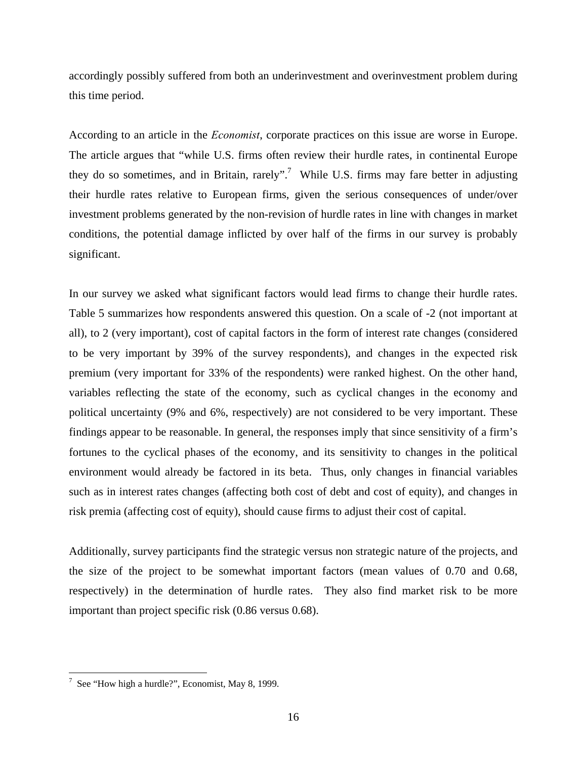accordingly possibly suffered from both an underinvestment and overinvestment problem during this time period.

According to an article in the *Economist*, corporate practices on this issue are worse in Europe. The article argues that "while U.S. firms often review their hurdle rates, in continental Europe they do so sometimes, and in Britain, rarely".<sup>7</sup> While U.S. firms may fare better in adjusting their hurdle rates relative to European firms, given the serious consequences of under/over investment problems generated by the non-revision of hurdle rates in line with changes in market conditions, the potential damage inflicted by over half of the firms in our survey is probably significant.

In our survey we asked what significant factors would lead firms to change their hurdle rates. Table 5 summarizes how respondents answered this question. On a scale of -2 (not important at all), to 2 (very important), cost of capital factors in the form of interest rate changes (considered to be very important by 39% of the survey respondents), and changes in the expected risk premium (very important for 33% of the respondents) were ranked highest. On the other hand, variables reflecting the state of the economy, such as cyclical changes in the economy and political uncertainty (9% and 6%, respectively) are not considered to be very important. These findings appear to be reasonable. In general, the responses imply that since sensitivity of a firm's fortunes to the cyclical phases of the economy, and its sensitivity to changes in the political environment would already be factored in its beta. Thus, only changes in financial variables such as in interest rates changes (affecting both cost of debt and cost of equity), and changes in risk premia (affecting cost of equity), should cause firms to adjust their cost of capital.

Additionally, survey participants find the strategic versus non strategic nature of the projects, and the size of the project to be somewhat important factors (mean values of 0.70 and 0.68, respectively) in the determination of hurdle rates. They also find market risk to be more important than project specific risk (0.86 versus 0.68).

 $\overline{a}$ 

<sup>&</sup>lt;sup>7</sup> See "How high a hurdle?", Economist, May 8, 1999.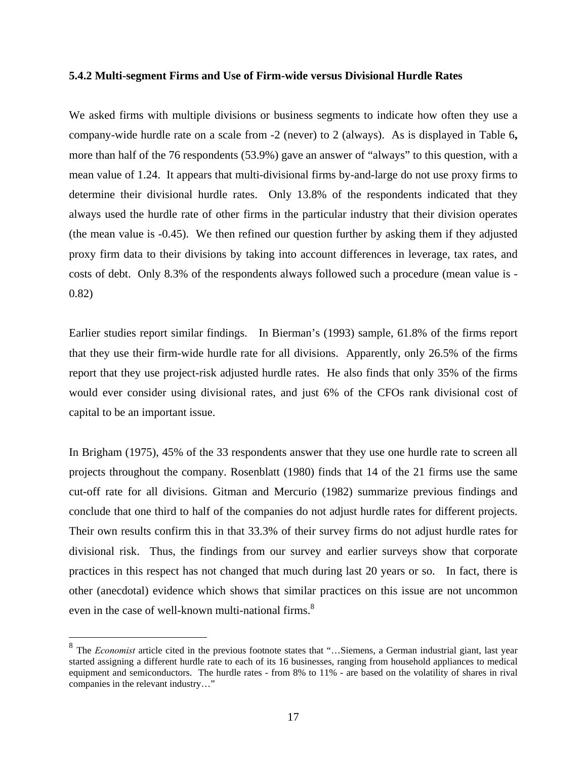#### **5.4.2 Multi-segment Firms and Use of Firm-wide versus Divisional Hurdle Rates**

We asked firms with multiple divisions or business segments to indicate how often they use a company-wide hurdle rate on a scale from -2 (never) to 2 (always). As is displayed in Table 6**,** more than half of the 76 respondents (53.9%) gave an answer of "always" to this question, with a mean value of 1.24. It appears that multi-divisional firms by-and-large do not use proxy firms to determine their divisional hurdle rates. Only 13.8% of the respondents indicated that they always used the hurdle rate of other firms in the particular industry that their division operates (the mean value is -0.45). We then refined our question further by asking them if they adjusted proxy firm data to their divisions by taking into account differences in leverage, tax rates, and costs of debt. Only 8.3% of the respondents always followed such a procedure (mean value is - 0.82)

Earlier studies report similar findings. In Bierman's (1993) sample, 61.8% of the firms report that they use their firm-wide hurdle rate for all divisions. Apparently, only 26.5% of the firms report that they use project-risk adjusted hurdle rates. He also finds that only 35% of the firms would ever consider using divisional rates, and just 6% of the CFOs rank divisional cost of capital to be an important issue.

In Brigham (1975), 45% of the 33 respondents answer that they use one hurdle rate to screen all projects throughout the company. Rosenblatt (1980) finds that 14 of the 21 firms use the same cut-off rate for all divisions. Gitman and Mercurio (1982) summarize previous findings and conclude that one third to half of the companies do not adjust hurdle rates for different projects. Their own results confirm this in that 33.3% of their survey firms do not adjust hurdle rates for divisional risk. Thus, the findings from our survey and earlier surveys show that corporate practices in this respect has not changed that much during last 20 years or so. In fact, there is other (anecdotal) evidence which shows that similar practices on this issue are not uncommon even in the case of well-known multi-national firms. $8<sup>8</sup>$ 

 $\overline{a}$ 

<sup>8</sup> The *Economist* article cited in the previous footnote states that "…Siemens, a German industrial giant, last year started assigning a different hurdle rate to each of its 16 businesses, ranging from household appliances to medical equipment and semiconductors. The hurdle rates - from 8% to 11% - are based on the volatility of shares in rival companies in the relevant industry…"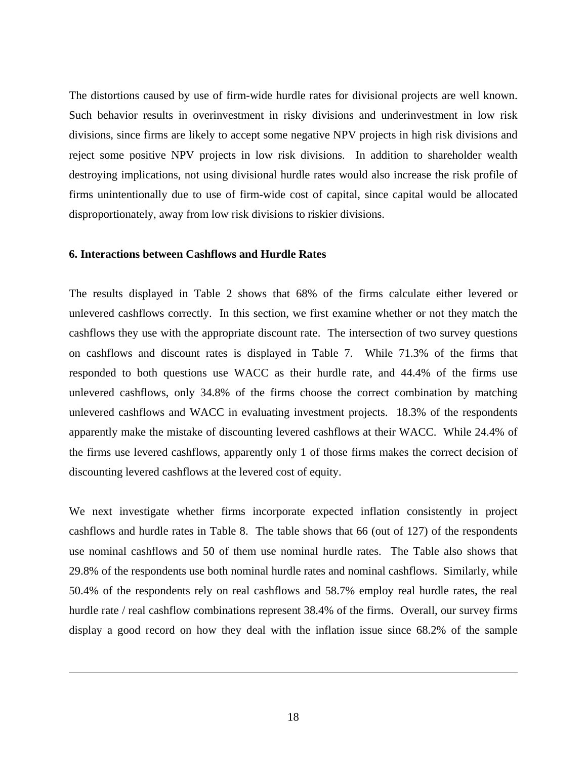The distortions caused by use of firm-wide hurdle rates for divisional projects are well known. Such behavior results in overinvestment in risky divisions and underinvestment in low risk divisions, since firms are likely to accept some negative NPV projects in high risk divisions and reject some positive NPV projects in low risk divisions. In addition to shareholder wealth destroying implications, not using divisional hurdle rates would also increase the risk profile of firms unintentionally due to use of firm-wide cost of capital, since capital would be allocated disproportionately, away from low risk divisions to riskier divisions.

#### **6. Interactions between Cashflows and Hurdle Rates**

 $\overline{a}$ 

The results displayed in Table 2 shows that 68% of the firms calculate either levered or unlevered cashflows correctly. In this section, we first examine whether or not they match the cashflows they use with the appropriate discount rate. The intersection of two survey questions on cashflows and discount rates is displayed in Table 7. While 71.3% of the firms that responded to both questions use WACC as their hurdle rate, and 44.4% of the firms use unlevered cashflows, only 34.8% of the firms choose the correct combination by matching unlevered cashflows and WACC in evaluating investment projects. 18.3% of the respondents apparently make the mistake of discounting levered cashflows at their WACC. While 24.4% of the firms use levered cashflows, apparently only 1 of those firms makes the correct decision of discounting levered cashflows at the levered cost of equity.

We next investigate whether firms incorporate expected inflation consistently in project cashflows and hurdle rates in Table 8. The table shows that 66 (out of 127) of the respondents use nominal cashflows and 50 of them use nominal hurdle rates. The Table also shows that 29.8% of the respondents use both nominal hurdle rates and nominal cashflows. Similarly, while 50.4% of the respondents rely on real cashflows and 58.7% employ real hurdle rates, the real hurdle rate / real cashflow combinations represent 38.4% of the firms. Overall, our survey firms display a good record on how they deal with the inflation issue since 68.2% of the sample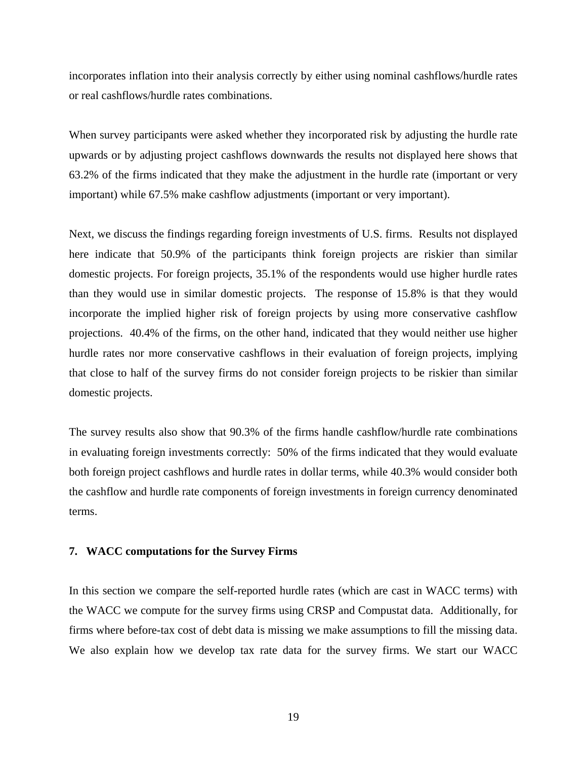incorporates inflation into their analysis correctly by either using nominal cashflows/hurdle rates or real cashflows/hurdle rates combinations.

When survey participants were asked whether they incorporated risk by adjusting the hurdle rate upwards or by adjusting project cashflows downwards the results not displayed here shows that 63.2% of the firms indicated that they make the adjustment in the hurdle rate (important or very important) while 67.5% make cashflow adjustments (important or very important).

Next, we discuss the findings regarding foreign investments of U.S. firms. Results not displayed here indicate that 50.9% of the participants think foreign projects are riskier than similar domestic projects. For foreign projects, 35.1% of the respondents would use higher hurdle rates than they would use in similar domestic projects. The response of 15.8% is that they would incorporate the implied higher risk of foreign projects by using more conservative cashflow projections. 40.4% of the firms, on the other hand, indicated that they would neither use higher hurdle rates nor more conservative cashflows in their evaluation of foreign projects, implying that close to half of the survey firms do not consider foreign projects to be riskier than similar domestic projects.

The survey results also show that 90.3% of the firms handle cashflow/hurdle rate combinations in evaluating foreign investments correctly: 50% of the firms indicated that they would evaluate both foreign project cashflows and hurdle rates in dollar terms, while 40.3% would consider both the cashflow and hurdle rate components of foreign investments in foreign currency denominated terms.

### **7. WACC computations for the Survey Firms**

In this section we compare the self-reported hurdle rates (which are cast in WACC terms) with the WACC we compute for the survey firms using CRSP and Compustat data. Additionally, for firms where before-tax cost of debt data is missing we make assumptions to fill the missing data. We also explain how we develop tax rate data for the survey firms. We start our WACC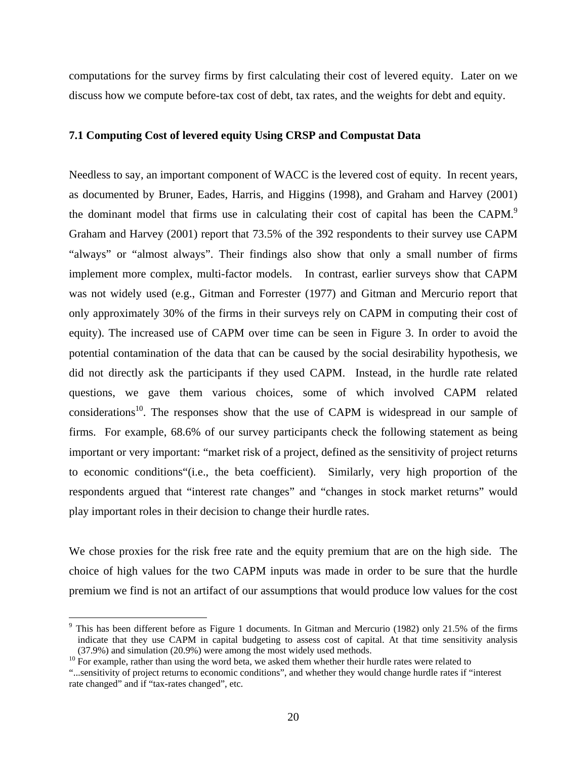computations for the survey firms by first calculating their cost of levered equity. Later on we discuss how we compute before-tax cost of debt, tax rates, and the weights for debt and equity.

#### **7.1 Computing Cost of levered equity Using CRSP and Compustat Data**

Needless to say, an important component of WACC is the levered cost of equity. In recent years, as documented by Bruner, Eades, Harris, and Higgins (1998), and Graham and Harvey (2001) the dominant model that firms use in calculating their cost of capital has been the CAPM.<sup>9</sup> Graham and Harvey (2001) report that 73.5% of the 392 respondents to their survey use CAPM "always" or "almost always". Their findings also show that only a small number of firms implement more complex, multi-factor models. In contrast, earlier surveys show that CAPM was not widely used (e.g., Gitman and Forrester (1977) and Gitman and Mercurio report that only approximately 30% of the firms in their surveys rely on CAPM in computing their cost of equity). The increased use of CAPM over time can be seen in Figure 3. In order to avoid the potential contamination of the data that can be caused by the social desirability hypothesis, we did not directly ask the participants if they used CAPM. Instead, in the hurdle rate related questions, we gave them various choices, some of which involved CAPM related considerations<sup>10</sup>. The responses show that the use of CAPM is widespread in our sample of firms. For example, 68.6% of our survey participants check the following statement as being important or very important: "market risk of a project, defined as the sensitivity of project returns to economic conditions"(i.e., the beta coefficient). Similarly, very high proportion of the respondents argued that "interest rate changes" and "changes in stock market returns" would play important roles in their decision to change their hurdle rates.

We chose proxies for the risk free rate and the equity premium that are on the high side. The choice of high values for the two CAPM inputs was made in order to be sure that the hurdle premium we find is not an artifact of our assumptions that would produce low values for the cost

 $\overline{a}$ 

<sup>&</sup>lt;sup>9</sup> This has been different before as Figure 1 documents. In Gitman and Mercurio (1982) only 21.5% of the firms indicate that they use CAPM in capital budgeting to assess cost of capital. At that time sensitivity analysis  $(37.9\%)$  and simulation (20.9%) were among the most widely used methods. <sup>10</sup> For example, rather than using the word beta, we asked them whether their hurdle rates were related to

<sup>&</sup>quot;...sensitivity of project returns to economic conditions", and whether they would change hurdle rates if "interest rate changed" and if "tax-rates changed", etc.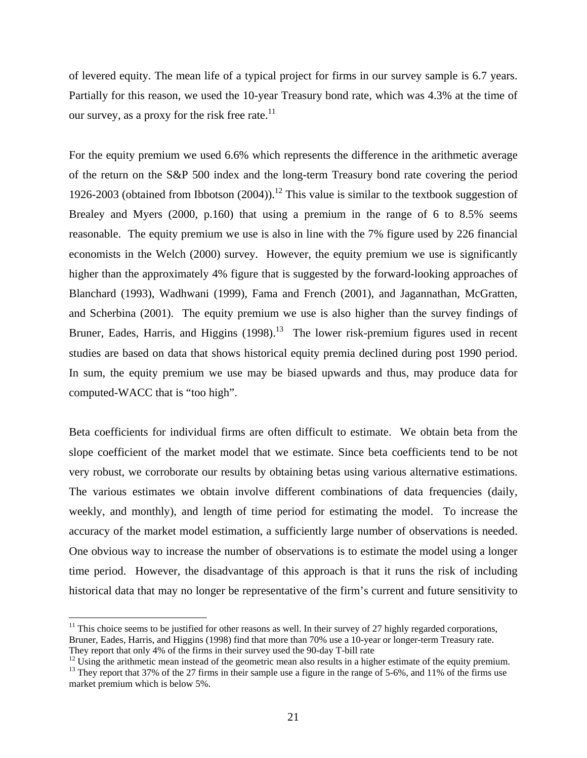of levered equity. The mean life of a typical project for firms in our survey sample is 6.7 years. Partially for this reason, we used the 10-year Treasury bond rate, which was 4.3% at the time of our survey, as a proxy for the risk free rate.<sup>11</sup>

For the equity premium we used 6.6% which represents the difference in the arithmetic average of the return on the S&P 500 index and the long-term Treasury bond rate covering the period 1926-2003 (obtained from Ibbotson  $(2004)$ ).<sup>12</sup> This value is similar to the textbook suggestion of Brealey and Myers (2000, p.160) that using a premium in the range of 6 to 8.5% seems reasonable. The equity premium we use is also in line with the 7% figure used by 226 financial economists in the Welch (2000) survey. However, the equity premium we use is significantly higher than the approximately 4% figure that is suggested by the forward-looking approaches of Blanchard (1993), Wadhwani (1999), Fama and French (2001), and Jagannathan, McGratten, and Scherbina (2001). The equity premium we use is also higher than the survey findings of Bruner, Eades, Harris, and Higgins  $(1998)$ .<sup>13</sup> The lower risk-premium figures used in recent studies are based on data that shows historical equity premia declined during post 1990 period. In sum, the equity premium we use may be biased upwards and thus, may produce data for computed-WACC that is "too high".

Beta coefficients for individual firms are often difficult to estimate. We obtain beta from the slope coefficient of the market model that we estimate. Since beta coefficients tend to be not very robust, we corroborate our results by obtaining betas using various alternative estimations. The various estimates we obtain involve different combinations of data frequencies (daily, weekly, and monthly), and length of time period for estimating the model. To increase the accuracy of the market model estimation, a sufficiently large number of observations is needed. One obvious way to increase the number of observations is to estimate the model using a longer time period. However, the disadvantage of this approach is that it runs the risk of including historical data that may no longer be representative of the firm's current and future sensitivity to

 $\overline{a}$ 

 $11$  This choice seems to be justified for other reasons as well. In their survey of 27 highly regarded corporations, Bruner, Eades, Harris, and Higgins (1998) find that more than 70% use a 10-year or longer-term Treasury rate.

They report that only 4% of the firms in their survey used the 90-day T-bill rate<br><sup>12</sup> Using the arithmetic mean instead of the geometric mean also results in a higher estimate of the equity premium.<br><sup>13</sup> They report that

market premium which is below 5%.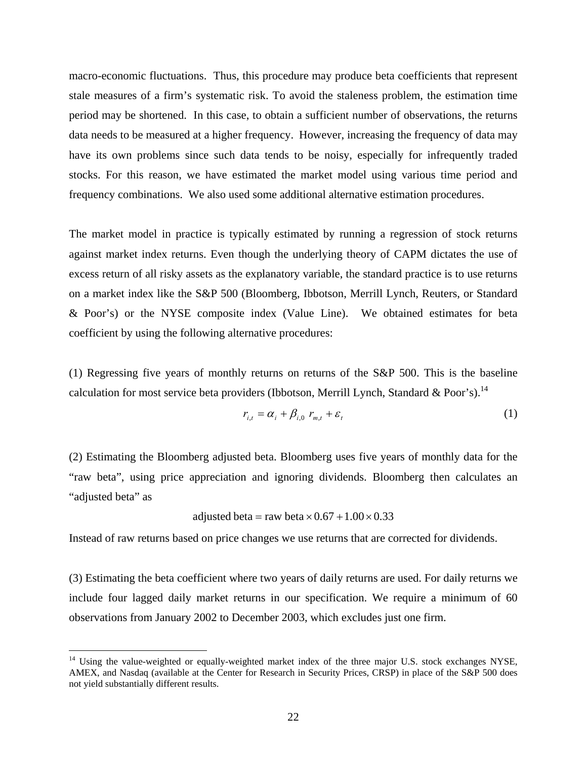macro-economic fluctuations. Thus, this procedure may produce beta coefficients that represent stale measures of a firm's systematic risk. To avoid the staleness problem, the estimation time period may be shortened. In this case, to obtain a sufficient number of observations, the returns data needs to be measured at a higher frequency. However, increasing the frequency of data may have its own problems since such data tends to be noisy, especially for infrequently traded stocks. For this reason, we have estimated the market model using various time period and frequency combinations. We also used some additional alternative estimation procedures.

The market model in practice is typically estimated by running a regression of stock returns against market index returns. Even though the underlying theory of CAPM dictates the use of excess return of all risky assets as the explanatory variable, the standard practice is to use returns on a market index like the S&P 500 (Bloomberg, Ibbotson, Merrill Lynch, Reuters, or Standard & Poor's) or the NYSE composite index (Value Line). We obtained estimates for beta coefficient by using the following alternative procedures:

(1) Regressing five years of monthly returns on returns of the S&P 500. This is the baseline calculation for most service beta providers (Ibbotson, Merrill Lynch, Standard & Poor's).<sup>14</sup>

$$
r_{i,t} = \alpha_i + \beta_{i,0} r_{m,t} + \varepsilon_t
$$
 (1)

(2) Estimating the Bloomberg adjusted beta. Bloomberg uses five years of monthly data for the "raw beta", using price appreciation and ignoring dividends. Bloomberg then calculates an "adjusted beta" as

adjusted beta = raw beta 
$$
\times
$$
 0.67 + 1.00  $\times$  0.33

Instead of raw returns based on price changes we use returns that are corrected for dividends.

(3) Estimating the beta coefficient where two years of daily returns are used. For daily returns we include four lagged daily market returns in our specification. We require a minimum of 60 observations from January 2002 to December 2003, which excludes just one firm.

1

<sup>&</sup>lt;sup>14</sup> Using the value-weighted or equally-weighted market index of the three major U.S. stock exchanges NYSE, AMEX, and Nasdaq (available at the Center for Research in Security Prices, CRSP) in place of the S&P 500 does not yield substantially different results.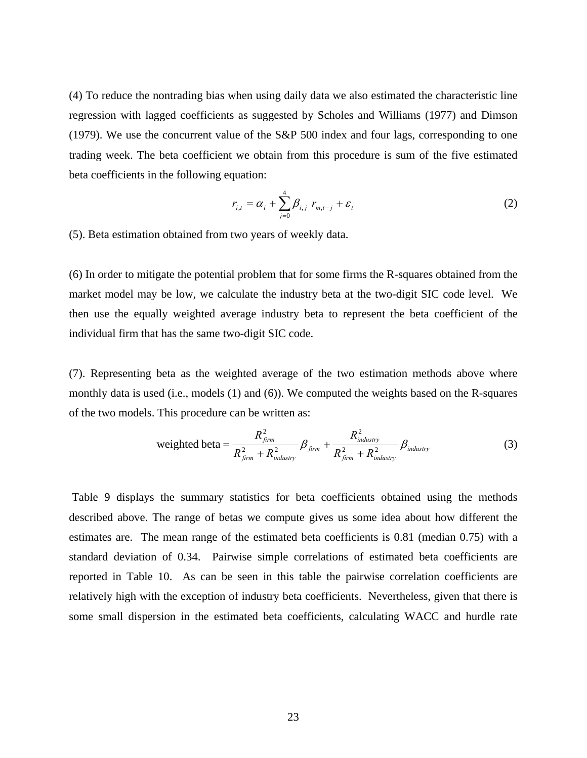(4) To reduce the nontrading bias when using daily data we also estimated the characteristic line regression with lagged coefficients as suggested by Scholes and Williams (1977) and Dimson (1979). We use the concurrent value of the S&P 500 index and four lags, corresponding to one trading week. The beta coefficient we obtain from this procedure is sum of the five estimated beta coefficients in the following equation:

$$
r_{i,t} = \alpha_i + \sum_{j=0}^{4} \beta_{i,j} \ r_{m,t-j} + \varepsilon_t
$$
 (2)

(5). Beta estimation obtained from two years of weekly data.

(6) In order to mitigate the potential problem that for some firms the R-squares obtained from the market model may be low, we calculate the industry beta at the two-digit SIC code level. We then use the equally weighted average industry beta to represent the beta coefficient of the individual firm that has the same two-digit SIC code.

(7). Representing beta as the weighted average of the two estimation methods above where monthly data is used (i.e., models (1) and (6)). We computed the weights based on the R-squares of the two models. This procedure can be written as:

weighted beta = 
$$
\frac{R_{jirm}^2}{R_{jirm}^2 + R_{industry}^2} \beta_{jirm} + \frac{R_{industry}^2}{R_{jirm}^2 + R_{industry}^2} \beta_{industry}
$$
(3)

 Table 9 displays the summary statistics for beta coefficients obtained using the methods described above. The range of betas we compute gives us some idea about how different the estimates are. The mean range of the estimated beta coefficients is 0.81 (median 0.75) with a standard deviation of 0.34. Pairwise simple correlations of estimated beta coefficients are reported in Table 10. As can be seen in this table the pairwise correlation coefficients are relatively high with the exception of industry beta coefficients. Nevertheless, given that there is some small dispersion in the estimated beta coefficients, calculating WACC and hurdle rate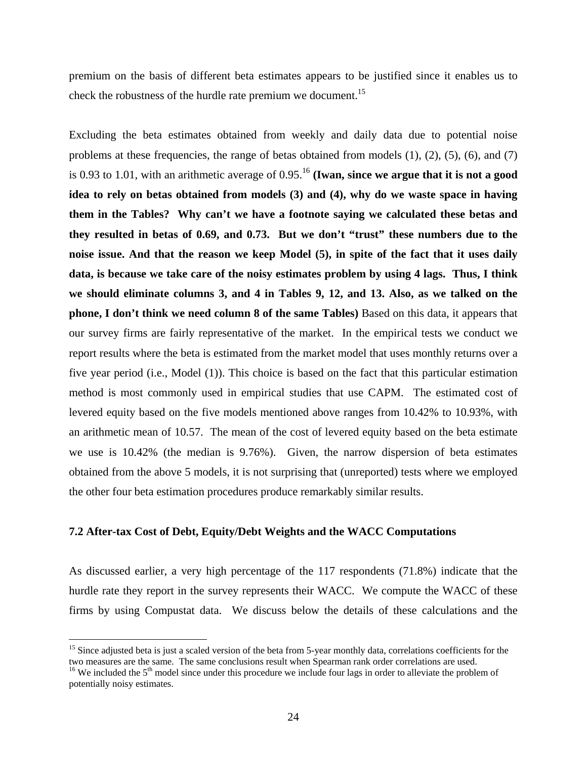premium on the basis of different beta estimates appears to be justified since it enables us to check the robustness of the hurdle rate premium we document.<sup>15</sup>

Excluding the beta estimates obtained from weekly and daily data due to potential noise problems at these frequencies, the range of betas obtained from models  $(1)$ ,  $(2)$ ,  $(5)$ ,  $(6)$ , and  $(7)$ is 0.93 to 1.01, with an arithmetic average of 0.95.<sup>16</sup> (Iwan, since we argue that it is not a good **idea to rely on betas obtained from models (3) and (4), why do we waste space in having them in the Tables? Why can't we have a footnote saying we calculated these betas and they resulted in betas of 0.69, and 0.73. But we don't "trust" these numbers due to the noise issue. And that the reason we keep Model (5), in spite of the fact that it uses daily data, is because we take care of the noisy estimates problem by using 4 lags. Thus, I think we should eliminate columns 3, and 4 in Tables 9, 12, and 13. Also, as we talked on the phone, I don't think we need column 8 of the same Tables)** Based on this data, it appears that our survey firms are fairly representative of the market. In the empirical tests we conduct we report results where the beta is estimated from the market model that uses monthly returns over a five year period (i.e., Model (1)). This choice is based on the fact that this particular estimation method is most commonly used in empirical studies that use CAPM. The estimated cost of levered equity based on the five models mentioned above ranges from 10.42% to 10.93%, with an arithmetic mean of 10.57. The mean of the cost of levered equity based on the beta estimate we use is 10.42% (the median is 9.76%). Given, the narrow dispersion of beta estimates obtained from the above 5 models, it is not surprising that (unreported) tests where we employed the other four beta estimation procedures produce remarkably similar results.

## **7.2 After-tax Cost of Debt, Equity/Debt Weights and the WACC Computations**

 $\overline{a}$ 

As discussed earlier, a very high percentage of the 117 respondents (71.8%) indicate that the hurdle rate they report in the survey represents their WACC. We compute the WACC of these firms by using Compustat data. We discuss below the details of these calculations and the

 $15$  Since adjusted beta is just a scaled version of the beta from 5-year monthly data, correlations coefficients for the two measures are the same. The same conclusions result when Spearman rank order correlations are us

<sup>&</sup>lt;sup>16</sup> We included the  $5<sup>th</sup>$  model since under this procedure we include four lags in order to alleviate the problem of potentially noisy estimates.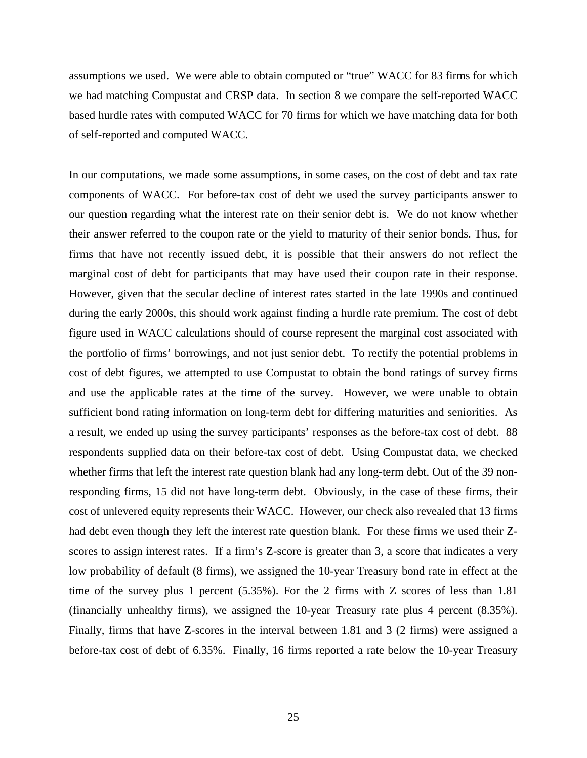assumptions we used. We were able to obtain computed or "true" WACC for 83 firms for which we had matching Compustat and CRSP data. In section 8 we compare the self-reported WACC based hurdle rates with computed WACC for 70 firms for which we have matching data for both of self-reported and computed WACC.

In our computations, we made some assumptions, in some cases, on the cost of debt and tax rate components of WACC. For before-tax cost of debt we used the survey participants answer to our question regarding what the interest rate on their senior debt is. We do not know whether their answer referred to the coupon rate or the yield to maturity of their senior bonds. Thus, for firms that have not recently issued debt, it is possible that their answers do not reflect the marginal cost of debt for participants that may have used their coupon rate in their response. However, given that the secular decline of interest rates started in the late 1990s and continued during the early 2000s, this should work against finding a hurdle rate premium. The cost of debt figure used in WACC calculations should of course represent the marginal cost associated with the portfolio of firms' borrowings, and not just senior debt. To rectify the potential problems in cost of debt figures, we attempted to use Compustat to obtain the bond ratings of survey firms and use the applicable rates at the time of the survey. However, we were unable to obtain sufficient bond rating information on long-term debt for differing maturities and seniorities. As a result, we ended up using the survey participants' responses as the before-tax cost of debt. 88 respondents supplied data on their before-tax cost of debt. Using Compustat data, we checked whether firms that left the interest rate question blank had any long-term debt. Out of the 39 nonresponding firms, 15 did not have long-term debt. Obviously, in the case of these firms, their cost of unlevered equity represents their WACC. However, our check also revealed that 13 firms had debt even though they left the interest rate question blank. For these firms we used their Zscores to assign interest rates. If a firm's Z-score is greater than 3, a score that indicates a very low probability of default (8 firms), we assigned the 10-year Treasury bond rate in effect at the time of the survey plus 1 percent (5.35%). For the 2 firms with Z scores of less than 1.81 (financially unhealthy firms), we assigned the 10-year Treasury rate plus 4 percent (8.35%). Finally, firms that have Z-scores in the interval between 1.81 and 3 (2 firms) were assigned a before-tax cost of debt of 6.35%. Finally, 16 firms reported a rate below the 10-year Treasury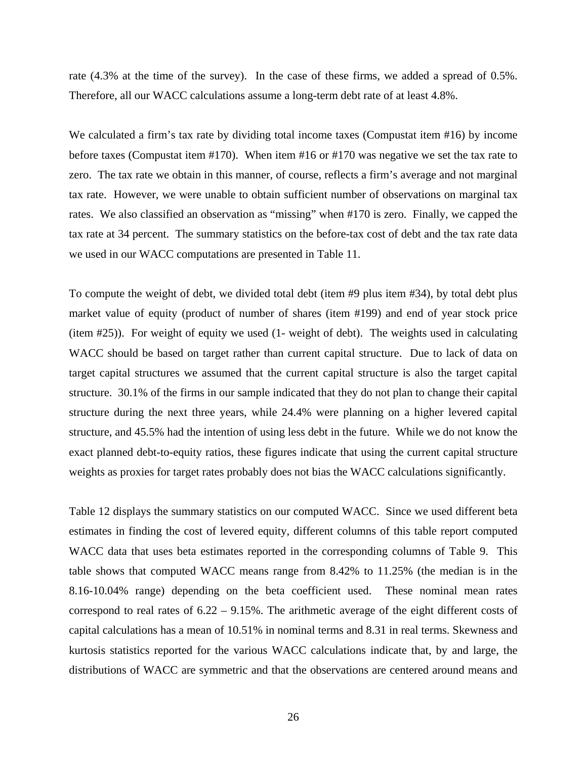rate (4.3% at the time of the survey). In the case of these firms, we added a spread of 0.5%. Therefore, all our WACC calculations assume a long-term debt rate of at least 4.8%.

We calculated a firm's tax rate by dividing total income taxes (Compustat item #16) by income before taxes (Compustat item #170). When item #16 or #170 was negative we set the tax rate to zero. The tax rate we obtain in this manner, of course, reflects a firm's average and not marginal tax rate. However, we were unable to obtain sufficient number of observations on marginal tax rates. We also classified an observation as "missing" when #170 is zero. Finally, we capped the tax rate at 34 percent. The summary statistics on the before-tax cost of debt and the tax rate data we used in our WACC computations are presented in Table 11.

To compute the weight of debt, we divided total debt (item #9 plus item #34), by total debt plus market value of equity (product of number of shares (item #199) and end of year stock price (item #25)). For weight of equity we used (1- weight of debt). The weights used in calculating WACC should be based on target rather than current capital structure. Due to lack of data on target capital structures we assumed that the current capital structure is also the target capital structure. 30.1% of the firms in our sample indicated that they do not plan to change their capital structure during the next three years, while 24.4% were planning on a higher levered capital structure, and 45.5% had the intention of using less debt in the future. While we do not know the exact planned debt-to-equity ratios, these figures indicate that using the current capital structure weights as proxies for target rates probably does not bias the WACC calculations significantly.

Table 12 displays the summary statistics on our computed WACC. Since we used different beta estimates in finding the cost of levered equity, different columns of this table report computed WACC data that uses beta estimates reported in the corresponding columns of Table 9. This table shows that computed WACC means range from 8.42% to 11.25% (the median is in the 8.16-10.04% range) depending on the beta coefficient used. These nominal mean rates correspond to real rates of 6.22 – 9.15%. The arithmetic average of the eight different costs of capital calculations has a mean of 10.51% in nominal terms and 8.31 in real terms. Skewness and kurtosis statistics reported for the various WACC calculations indicate that, by and large, the distributions of WACC are symmetric and that the observations are centered around means and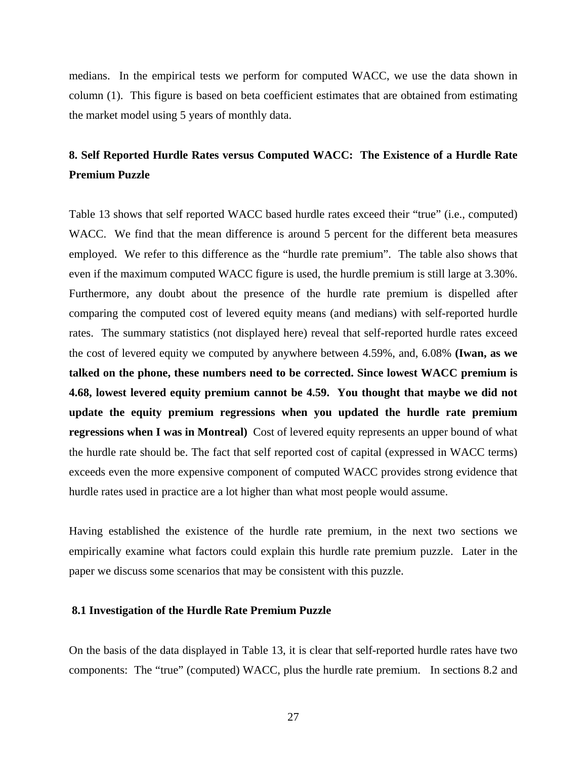medians. In the empirical tests we perform for computed WACC, we use the data shown in column (1). This figure is based on beta coefficient estimates that are obtained from estimating the market model using 5 years of monthly data.

# **8. Self Reported Hurdle Rates versus Computed WACC: The Existence of a Hurdle Rate Premium Puzzle**

Table 13 shows that self reported WACC based hurdle rates exceed their "true" (i.e., computed) WACC. We find that the mean difference is around 5 percent for the different beta measures employed. We refer to this difference as the "hurdle rate premium". The table also shows that even if the maximum computed WACC figure is used, the hurdle premium is still large at 3.30%. Furthermore, any doubt about the presence of the hurdle rate premium is dispelled after comparing the computed cost of levered equity means (and medians) with self-reported hurdle rates. The summary statistics (not displayed here) reveal that self-reported hurdle rates exceed the cost of levered equity we computed by anywhere between 4.59%, and, 6.08% **(Iwan, as we talked on the phone, these numbers need to be corrected. Since lowest WACC premium is 4.68, lowest levered equity premium cannot be 4.59. You thought that maybe we did not update the equity premium regressions when you updated the hurdle rate premium regressions when I was in Montreal)** Cost of levered equity represents an upper bound of what the hurdle rate should be. The fact that self reported cost of capital (expressed in WACC terms) exceeds even the more expensive component of computed WACC provides strong evidence that hurdle rates used in practice are a lot higher than what most people would assume.

Having established the existence of the hurdle rate premium, in the next two sections we empirically examine what factors could explain this hurdle rate premium puzzle. Later in the paper we discuss some scenarios that may be consistent with this puzzle.

### **8.1 Investigation of the Hurdle Rate Premium Puzzle**

On the basis of the data displayed in Table 13, it is clear that self-reported hurdle rates have two components: The "true" (computed) WACC, plus the hurdle rate premium. In sections 8.2 and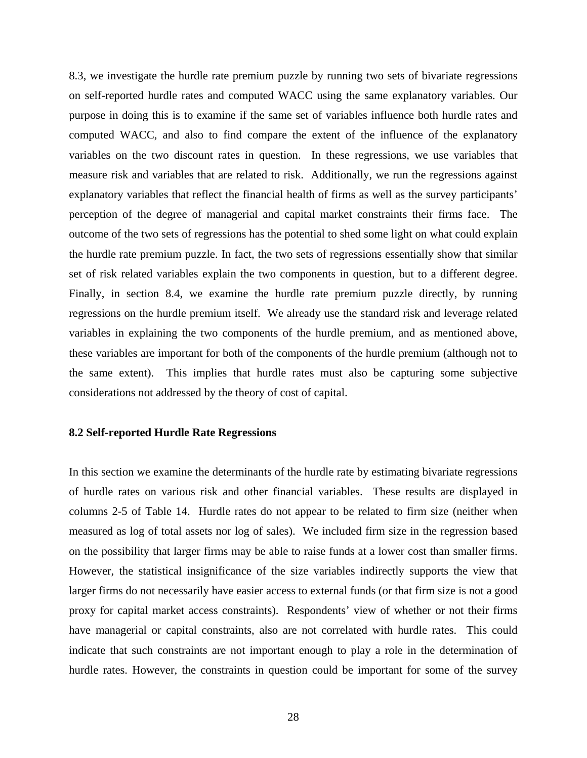8.3, we investigate the hurdle rate premium puzzle by running two sets of bivariate regressions on self-reported hurdle rates and computed WACC using the same explanatory variables. Our purpose in doing this is to examine if the same set of variables influence both hurdle rates and computed WACC, and also to find compare the extent of the influence of the explanatory variables on the two discount rates in question. In these regressions, we use variables that measure risk and variables that are related to risk. Additionally, we run the regressions against explanatory variables that reflect the financial health of firms as well as the survey participants' perception of the degree of managerial and capital market constraints their firms face. The outcome of the two sets of regressions has the potential to shed some light on what could explain the hurdle rate premium puzzle. In fact, the two sets of regressions essentially show that similar set of risk related variables explain the two components in question, but to a different degree. Finally, in section 8.4, we examine the hurdle rate premium puzzle directly, by running regressions on the hurdle premium itself. We already use the standard risk and leverage related variables in explaining the two components of the hurdle premium, and as mentioned above, these variables are important for both of the components of the hurdle premium (although not to the same extent). This implies that hurdle rates must also be capturing some subjective considerations not addressed by the theory of cost of capital.

### **8.2 Self-reported Hurdle Rate Regressions**

In this section we examine the determinants of the hurdle rate by estimating bivariate regressions of hurdle rates on various risk and other financial variables. These results are displayed in columns 2-5 of Table 14.Hurdle rates do not appear to be related to firm size (neither when measured as log of total assets nor log of sales). We included firm size in the regression based on the possibility that larger firms may be able to raise funds at a lower cost than smaller firms. However, the statistical insignificance of the size variables indirectly supports the view that larger firms do not necessarily have easier access to external funds (or that firm size is not a good proxy for capital market access constraints). Respondents' view of whether or not their firms have managerial or capital constraints, also are not correlated with hurdle rates. This could indicate that such constraints are not important enough to play a role in the determination of hurdle rates. However, the constraints in question could be important for some of the survey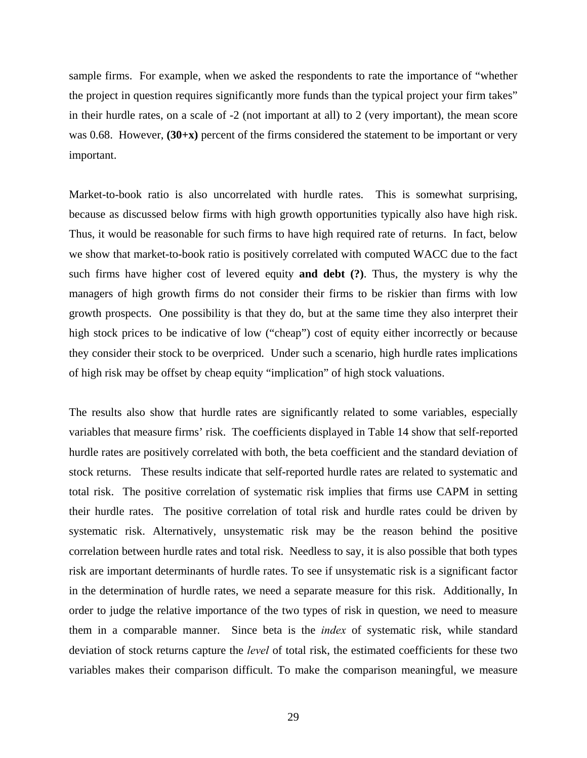sample firms. For example, when we asked the respondents to rate the importance of "whether the project in question requires significantly more funds than the typical project your firm takes" in their hurdle rates, on a scale of -2 (not important at all) to 2 (very important), the mean score was 0.68. However,  $(30+x)$  percent of the firms considered the statement to be important or very important.

Market-to-book ratio is also uncorrelated with hurdle rates. This is somewhat surprising, because as discussed below firms with high growth opportunities typically also have high risk. Thus, it would be reasonable for such firms to have high required rate of returns. In fact, below we show that market-to-book ratio is positively correlated with computed WACC due to the fact such firms have higher cost of levered equity **and debt (?)**. Thus, the mystery is why the managers of high growth firms do not consider their firms to be riskier than firms with low growth prospects. One possibility is that they do, but at the same time they also interpret their high stock prices to be indicative of low ("cheap") cost of equity either incorrectly or because they consider their stock to be overpriced. Under such a scenario, high hurdle rates implications of high risk may be offset by cheap equity "implication" of high stock valuations.

The results also show that hurdle rates are significantly related to some variables, especially variables that measure firms' risk. The coefficients displayed in Table 14 show that self-reported hurdle rates are positively correlated with both, the beta coefficient and the standard deviation of stock returns. These results indicate that self-reported hurdle rates are related to systematic and total risk. The positive correlation of systematic risk implies that firms use CAPM in setting their hurdle rates. The positive correlation of total risk and hurdle rates could be driven by systematic risk. Alternatively, unsystematic risk may be the reason behind the positive correlation between hurdle rates and total risk. Needless to say, it is also possible that both types risk are important determinants of hurdle rates. To see if unsystematic risk is a significant factor in the determination of hurdle rates, we need a separate measure for this risk. Additionally, In order to judge the relative importance of the two types of risk in question, we need to measure them in a comparable manner. Since beta is the *index* of systematic risk, while standard deviation of stock returns capture the *level* of total risk, the estimated coefficients for these two variables makes their comparison difficult. To make the comparison meaningful, we measure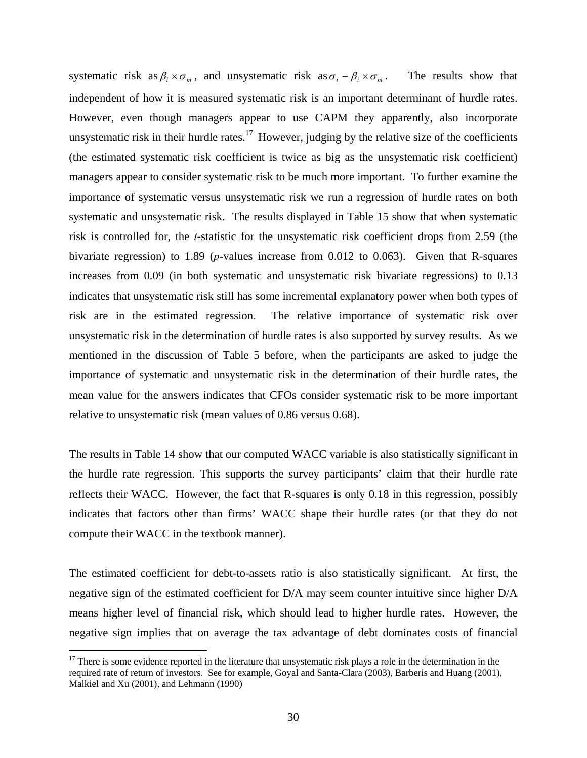systematic risk as  $\beta_i \times \sigma_m$ , and unsystematic risk as  $\sigma_i - \beta_i \times \sigma_m$ . The results show that independent of how it is measured systematic risk is an important determinant of hurdle rates. However, even though managers appear to use CAPM they apparently, also incorporate unsystematic risk in their hurdle rates.<sup>17</sup> However, judging by the relative size of the coefficients (the estimated systematic risk coefficient is twice as big as the unsystematic risk coefficient) managers appear to consider systematic risk to be much more important. To further examine the importance of systematic versus unsystematic risk we run a regression of hurdle rates on both systematic and unsystematic risk. The results displayed in Table 15 show that when systematic risk is controlled for, the *t*-statistic for the unsystematic risk coefficient drops from 2.59 (the bivariate regression) to 1.89 (*p-*values increase from 0.012 to 0.063). Given that R-squares increases from 0.09 (in both systematic and unsystematic risk bivariate regressions) to 0.13 indicates that unsystematic risk still has some incremental explanatory power when both types of risk are in the estimated regression. The relative importance of systematic risk over unsystematic risk in the determination of hurdle rates is also supported by survey results. As we mentioned in the discussion of Table 5 before, when the participants are asked to judge the importance of systematic and unsystematic risk in the determination of their hurdle rates, the mean value for the answers indicates that CFOs consider systematic risk to be more important relative to unsystematic risk (mean values of 0.86 versus 0.68).

The results in Table 14 show that our computed WACC variable is also statistically significant in the hurdle rate regression. This supports the survey participants' claim that their hurdle rate reflects their WACC. However, the fact that R-squares is only 0.18 in this regression, possibly indicates that factors other than firms' WACC shape their hurdle rates (or that they do not compute their WACC in the textbook manner).

The estimated coefficient for debt-to-assets ratio is also statistically significant. At first, the negative sign of the estimated coefficient for D/A may seem counter intuitive since higher D/A means higher level of financial risk, which should lead to higher hurdle rates. However, the negative sign implies that on average the tax advantage of debt dominates costs of financial

1

<sup>&</sup>lt;sup>17</sup> There is some evidence reported in the literature that unsystematic risk plays a role in the determination in the required rate of return of investors. See for example, Goyal and Santa-Clara (2003), Barberis and Huang (2001), Malkiel and Xu (2001), and Lehmann (1990)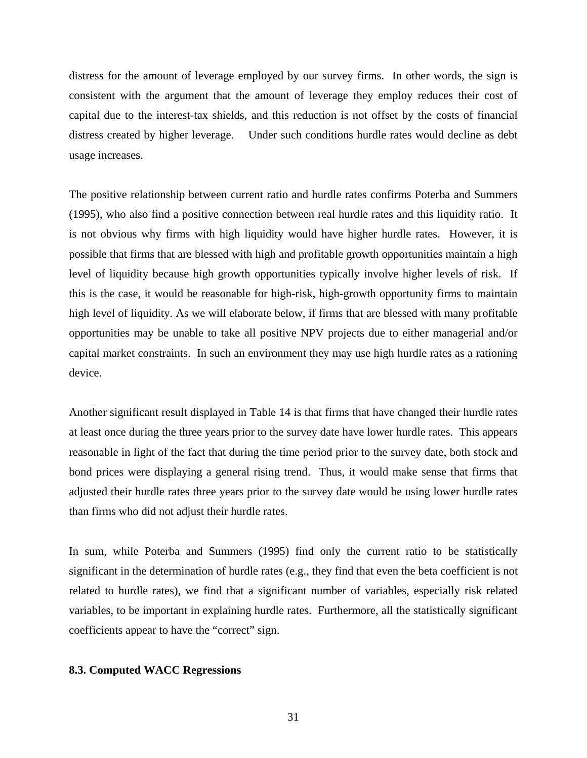distress for the amount of leverage employed by our survey firms. In other words, the sign is consistent with the argument that the amount of leverage they employ reduces their cost of capital due to the interest-tax shields, and this reduction is not offset by the costs of financial distress created by higher leverage. Under such conditions hurdle rates would decline as debt usage increases.

The positive relationship between current ratio and hurdle rates confirms Poterba and Summers (1995), who also find a positive connection between real hurdle rates and this liquidity ratio. It is not obvious why firms with high liquidity would have higher hurdle rates. However, it is possible that firms that are blessed with high and profitable growth opportunities maintain a high level of liquidity because high growth opportunities typically involve higher levels of risk. If this is the case, it would be reasonable for high-risk, high-growth opportunity firms to maintain high level of liquidity. As we will elaborate below, if firms that are blessed with many profitable opportunities may be unable to take all positive NPV projects due to either managerial and/or capital market constraints. In such an environment they may use high hurdle rates as a rationing device.

Another significant result displayed in Table 14 is that firms that have changed their hurdle rates at least once during the three years prior to the survey date have lower hurdle rates. This appears reasonable in light of the fact that during the time period prior to the survey date, both stock and bond prices were displaying a general rising trend. Thus, it would make sense that firms that adjusted their hurdle rates three years prior to the survey date would be using lower hurdle rates than firms who did not adjust their hurdle rates.

In sum, while Poterba and Summers (1995) find only the current ratio to be statistically significant in the determination of hurdle rates (e.g., they find that even the beta coefficient is not related to hurdle rates), we find that a significant number of variables, especially risk related variables, to be important in explaining hurdle rates. Furthermore, all the statistically significant coefficients appear to have the "correct" sign.

#### **8.3. Computed WACC Regressions**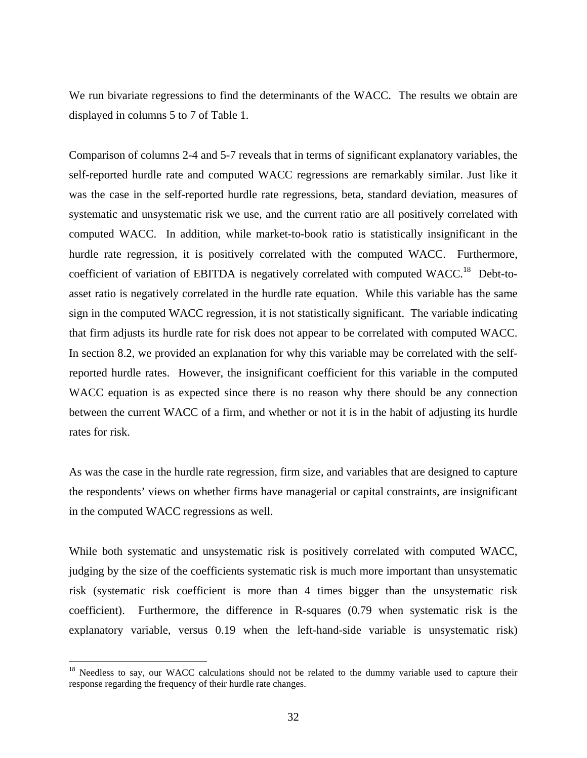We run bivariate regressions to find the determinants of the WACC. The results we obtain are displayed in columns 5 to 7 of Table 1.

Comparison of columns 2-4 and 5-7 reveals that in terms of significant explanatory variables, the self-reported hurdle rate and computed WACC regressions are remarkably similar. Just like it was the case in the self-reported hurdle rate regressions, beta, standard deviation, measures of systematic and unsystematic risk we use, and the current ratio are all positively correlated with computed WACC. In addition, while market-to-book ratio is statistically insignificant in the hurdle rate regression, it is positively correlated with the computed WACC. Furthermore, coefficient of variation of EBITDA is negatively correlated with computed WACC.<sup>18</sup> Debt-toasset ratio is negatively correlated in the hurdle rate equation. While this variable has the same sign in the computed WACC regression, it is not statistically significant. The variable indicating that firm adjusts its hurdle rate for risk does not appear to be correlated with computed WACC. In section 8.2, we provided an explanation for why this variable may be correlated with the selfreported hurdle rates. However, the insignificant coefficient for this variable in the computed WACC equation is as expected since there is no reason why there should be any connection between the current WACC of a firm, and whether or not it is in the habit of adjusting its hurdle rates for risk.

As was the case in the hurdle rate regression, firm size, and variables that are designed to capture the respondents' views on whether firms have managerial or capital constraints, are insignificant in the computed WACC regressions as well.

While both systematic and unsystematic risk is positively correlated with computed WACC, judging by the size of the coefficients systematic risk is much more important than unsystematic risk (systematic risk coefficient is more than 4 times bigger than the unsystematic risk coefficient). Furthermore, the difference in R-squares (0.79 when systematic risk is the explanatory variable, versus 0.19 when the left-hand-side variable is unsystematic risk)

1

<sup>&</sup>lt;sup>18</sup> Needless to say, our WACC calculations should not be related to the dummy variable used to capture their response regarding the frequency of their hurdle rate changes.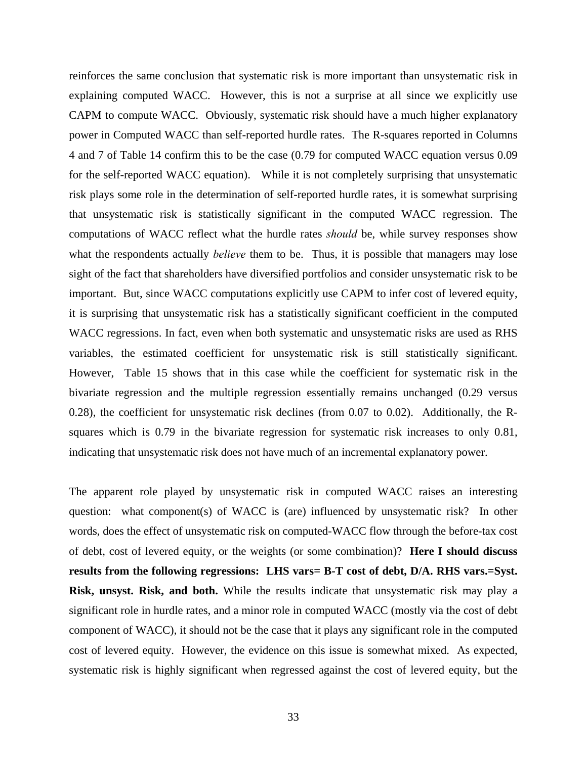reinforces the same conclusion that systematic risk is more important than unsystematic risk in explaining computed WACC. However, this is not a surprise at all since we explicitly use CAPM to compute WACC. Obviously, systematic risk should have a much higher explanatory power in Computed WACC than self-reported hurdle rates. The R-squares reported in Columns 4 and 7 of Table 14 confirm this to be the case (0.79 for computed WACC equation versus 0.09 for the self-reported WACC equation). While it is not completely surprising that unsystematic risk plays some role in the determination of self-reported hurdle rates, it is somewhat surprising that unsystematic risk is statistically significant in the computed WACC regression. The computations of WACC reflect what the hurdle rates *should* be, while survey responses show what the respondents actually *believe* them to be. Thus, it is possible that managers may lose sight of the fact that shareholders have diversified portfolios and consider unsystematic risk to be important. But, since WACC computations explicitly use CAPM to infer cost of levered equity, it is surprising that unsystematic risk has a statistically significant coefficient in the computed WACC regressions. In fact, even when both systematic and unsystematic risks are used as RHS variables, the estimated coefficient for unsystematic risk is still statistically significant. However, Table 15 shows that in this case while the coefficient for systematic risk in the bivariate regression and the multiple regression essentially remains unchanged (0.29 versus 0.28), the coefficient for unsystematic risk declines (from 0.07 to 0.02). Additionally, the Rsquares which is 0.79 in the bivariate regression for systematic risk increases to only 0.81, indicating that unsystematic risk does not have much of an incremental explanatory power.

The apparent role played by unsystematic risk in computed WACC raises an interesting question: what component(s) of WACC is (are) influenced by unsystematic risk? In other words, does the effect of unsystematic risk on computed-WACC flow through the before-tax cost of debt, cost of levered equity, or the weights (or some combination)? **Here I should discuss results from the following regressions: LHS vars= B-T cost of debt, D/A. RHS vars.=Syst. Risk, unsyst. Risk, and both.** While the results indicate that unsystematic risk may play a significant role in hurdle rates, and a minor role in computed WACC (mostly via the cost of debt component of WACC), it should not be the case that it plays any significant role in the computed cost of levered equity. However, the evidence on this issue is somewhat mixed. As expected, systematic risk is highly significant when regressed against the cost of levered equity, but the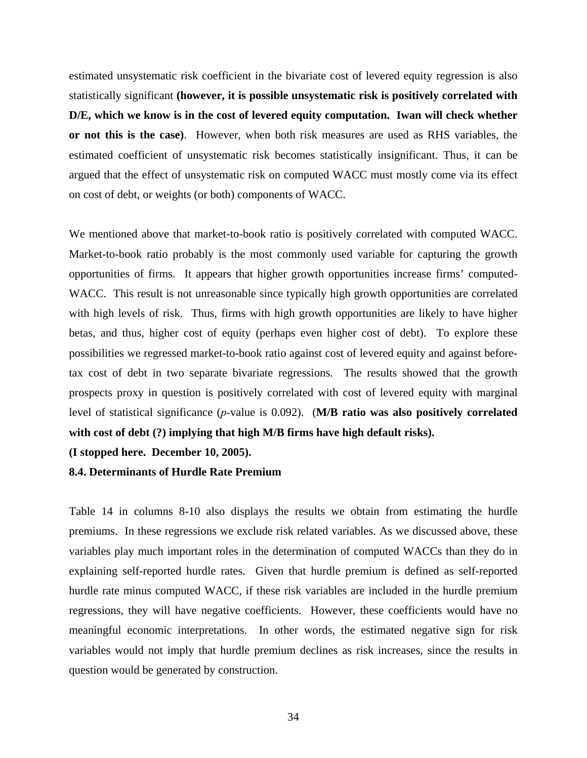estimated unsystematic risk coefficient in the bivariate cost of levered equity regression is also statistically significant **(however, it is possible unsystematic risk is positively correlated with D/E, which we know is in the cost of levered equity computation. Iwan will check whether or not this is the case)**. However, when both risk measures are used as RHS variables, the estimated coefficient of unsystematic risk becomes statistically insignificant. Thus, it can be argued that the effect of unsystematic risk on computed WACC must mostly come via its effect on cost of debt, or weights (or both) components of WACC.

We mentioned above that market-to-book ratio is positively correlated with computed WACC. Market-to-book ratio probably is the most commonly used variable for capturing the growth opportunities of firms. It appears that higher growth opportunities increase firms' computed-WACC. This result is not unreasonable since typically high growth opportunities are correlated with high levels of risk. Thus, firms with high growth opportunities are likely to have higher betas, and thus, higher cost of equity (perhaps even higher cost of debt). To explore these possibilities we regressed market-to-book ratio against cost of levered equity and against beforetax cost of debt in two separate bivariate regressions. The results showed that the growth prospects proxy in question is positively correlated with cost of levered equity with marginal level of statistical significance (*p-*value is 0.092). (**M/B ratio was also positively correlated with cost of debt (?) implying that high M/B firms have high default risks).** 

**(I stopped here. December 10, 2005).** 

#### **8.4. Determinants of Hurdle Rate Premium**

Table 14 in columns 8-10 also displays the results we obtain from estimating the hurdle premiums. In these regressions we exclude risk related variables. As we discussed above, these variables play much important roles in the determination of computed WACCs than they do in explaining self-reported hurdle rates. Given that hurdle premium is defined as self-reported hurdle rate minus computed WACC, if these risk variables are included in the hurdle premium regressions, they will have negative coefficients. However, these coefficients would have no meaningful economic interpretations. In other words, the estimated negative sign for risk variables would not imply that hurdle premium declines as risk increases, since the results in question would be generated by construction.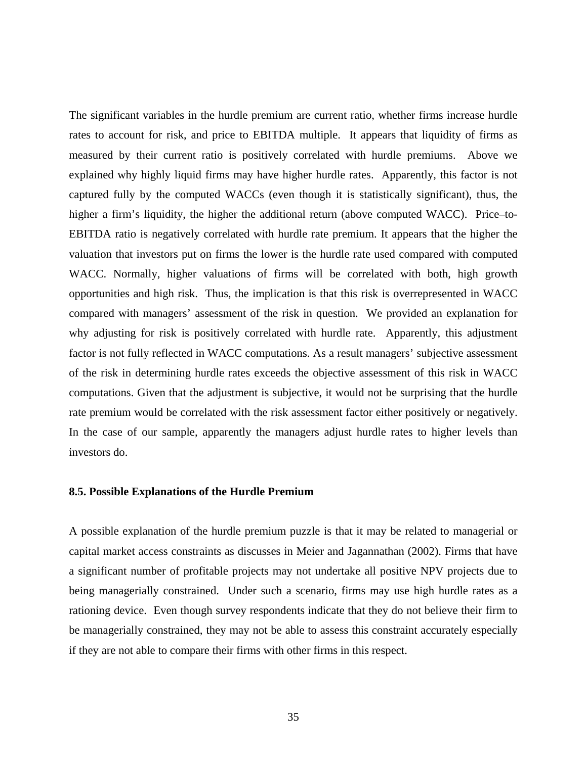The significant variables in the hurdle premium are current ratio, whether firms increase hurdle rates to account for risk, and price to EBITDA multiple. It appears that liquidity of firms as measured by their current ratio is positively correlated with hurdle premiums. Above we explained why highly liquid firms may have higher hurdle rates. Apparently, this factor is not captured fully by the computed WACCs (even though it is statistically significant), thus, the higher a firm's liquidity, the higher the additional return (above computed WACC). Price–to-EBITDA ratio is negatively correlated with hurdle rate premium. It appears that the higher the valuation that investors put on firms the lower is the hurdle rate used compared with computed WACC. Normally, higher valuations of firms will be correlated with both, high growth opportunities and high risk. Thus, the implication is that this risk is overrepresented in WACC compared with managers' assessment of the risk in question. We provided an explanation for why adjusting for risk is positively correlated with hurdle rate. Apparently, this adjustment factor is not fully reflected in WACC computations. As a result managers' subjective assessment of the risk in determining hurdle rates exceeds the objective assessment of this risk in WACC computations. Given that the adjustment is subjective, it would not be surprising that the hurdle rate premium would be correlated with the risk assessment factor either positively or negatively. In the case of our sample, apparently the managers adjust hurdle rates to higher levels than investors do.

#### **8.5. Possible Explanations of the Hurdle Premium**

A possible explanation of the hurdle premium puzzle is that it may be related to managerial or capital market access constraints as discusses in Meier and Jagannathan (2002). Firms that have a significant number of profitable projects may not undertake all positive NPV projects due to being managerially constrained. Under such a scenario, firms may use high hurdle rates as a rationing device. Even though survey respondents indicate that they do not believe their firm to be managerially constrained, they may not be able to assess this constraint accurately especially if they are not able to compare their firms with other firms in this respect.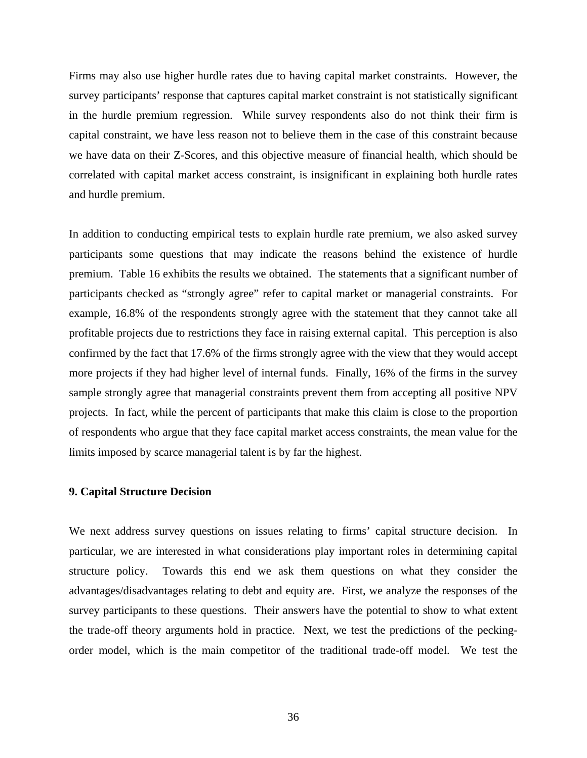Firms may also use higher hurdle rates due to having capital market constraints. However, the survey participants' response that captures capital market constraint is not statistically significant in the hurdle premium regression. While survey respondents also do not think their firm is capital constraint, we have less reason not to believe them in the case of this constraint because we have data on their Z-Scores, and this objective measure of financial health, which should be correlated with capital market access constraint, is insignificant in explaining both hurdle rates and hurdle premium.

In addition to conducting empirical tests to explain hurdle rate premium, we also asked survey participants some questions that may indicate the reasons behind the existence of hurdle premium. Table 16 exhibits the results we obtained. The statements that a significant number of participants checked as "strongly agree" refer to capital market or managerial constraints. For example, 16.8% of the respondents strongly agree with the statement that they cannot take all profitable projects due to restrictions they face in raising external capital. This perception is also confirmed by the fact that 17.6% of the firms strongly agree with the view that they would accept more projects if they had higher level of internal funds. Finally, 16% of the firms in the survey sample strongly agree that managerial constraints prevent them from accepting all positive NPV projects. In fact, while the percent of participants that make this claim is close to the proportion of respondents who argue that they face capital market access constraints, the mean value for the limits imposed by scarce managerial talent is by far the highest.

## **9. Capital Structure Decision**

We next address survey questions on issues relating to firms' capital structure decision. In particular, we are interested in what considerations play important roles in determining capital structure policy. Towards this end we ask them questions on what they consider the advantages/disadvantages relating to debt and equity are. First, we analyze the responses of the survey participants to these questions. Their answers have the potential to show to what extent the trade-off theory arguments hold in practice. Next, we test the predictions of the peckingorder model, which is the main competitor of the traditional trade-off model. We test the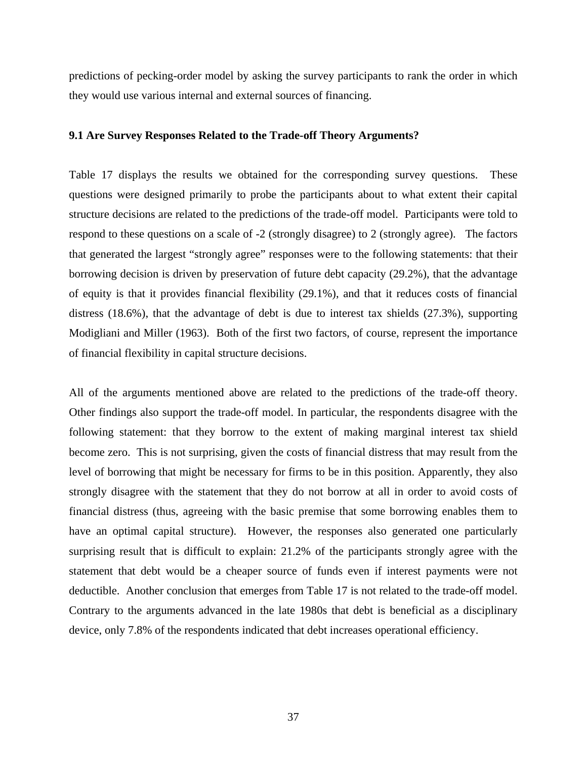predictions of pecking-order model by asking the survey participants to rank the order in which they would use various internal and external sources of financing.

#### **9.1 Are Survey Responses Related to the Trade-off Theory Arguments?**

Table 17 displays the results we obtained for the corresponding survey questions. These questions were designed primarily to probe the participants about to what extent their capital structure decisions are related to the predictions of the trade-off model. Participants were told to respond to these questions on a scale of -2 (strongly disagree) to 2 (strongly agree). The factors that generated the largest "strongly agree" responses were to the following statements: that their borrowing decision is driven by preservation of future debt capacity (29.2%), that the advantage of equity is that it provides financial flexibility (29.1%), and that it reduces costs of financial distress (18.6%), that the advantage of debt is due to interest tax shields (27.3%), supporting Modigliani and Miller (1963). Both of the first two factors, of course, represent the importance of financial flexibility in capital structure decisions.

All of the arguments mentioned above are related to the predictions of the trade-off theory. Other findings also support the trade-off model. In particular, the respondents disagree with the following statement: that they borrow to the extent of making marginal interest tax shield become zero. This is not surprising, given the costs of financial distress that may result from the level of borrowing that might be necessary for firms to be in this position. Apparently, they also strongly disagree with the statement that they do not borrow at all in order to avoid costs of financial distress (thus, agreeing with the basic premise that some borrowing enables them to have an optimal capital structure). However, the responses also generated one particularly surprising result that is difficult to explain: 21.2% of the participants strongly agree with the statement that debt would be a cheaper source of funds even if interest payments were not deductible. Another conclusion that emerges from Table 17 is not related to the trade-off model. Contrary to the arguments advanced in the late 1980s that debt is beneficial as a disciplinary device, only 7.8% of the respondents indicated that debt increases operational efficiency.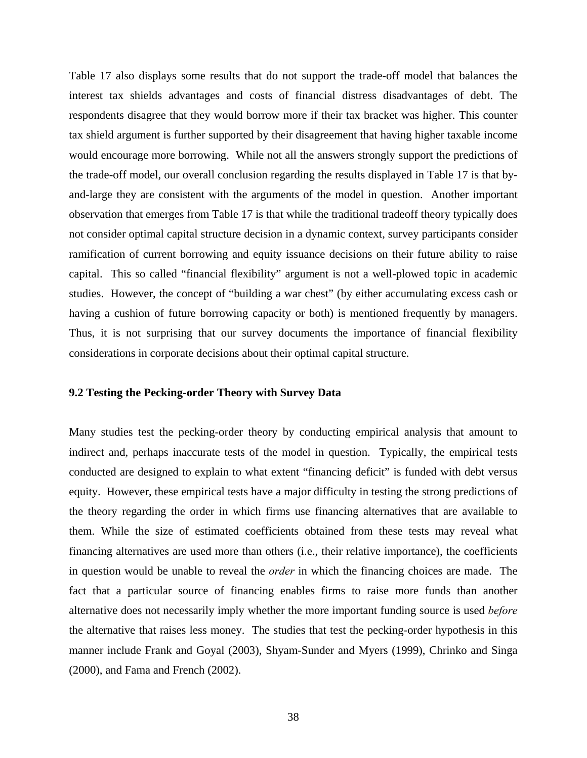Table 17 also displays some results that do not support the trade-off model that balances the interest tax shields advantages and costs of financial distress disadvantages of debt. The respondents disagree that they would borrow more if their tax bracket was higher. This counter tax shield argument is further supported by their disagreement that having higher taxable income would encourage more borrowing. While not all the answers strongly support the predictions of the trade-off model, our overall conclusion regarding the results displayed in Table 17 is that byand-large they are consistent with the arguments of the model in question. Another important observation that emerges from Table 17 is that while the traditional tradeoff theory typically does not consider optimal capital structure decision in a dynamic context, survey participants consider ramification of current borrowing and equity issuance decisions on their future ability to raise capital. This so called "financial flexibility" argument is not a well-plowed topic in academic studies. However, the concept of "building a war chest" (by either accumulating excess cash or having a cushion of future borrowing capacity or both) is mentioned frequently by managers. Thus, it is not surprising that our survey documents the importance of financial flexibility considerations in corporate decisions about their optimal capital structure.

#### **9.2 Testing the Pecking-order Theory with Survey Data**

Many studies test the pecking-order theory by conducting empirical analysis that amount to indirect and, perhaps inaccurate tests of the model in question. Typically, the empirical tests conducted are designed to explain to what extent "financing deficit" is funded with debt versus equity. However, these empirical tests have a major difficulty in testing the strong predictions of the theory regarding the order in which firms use financing alternatives that are available to them. While the size of estimated coefficients obtained from these tests may reveal what financing alternatives are used more than others (i.e., their relative importance), the coefficients in question would be unable to reveal the *order* in which the financing choices are made. The fact that a particular source of financing enables firms to raise more funds than another alternative does not necessarily imply whether the more important funding source is used *before* the alternative that raises less money. The studies that test the pecking-order hypothesis in this manner include Frank and Goyal (2003), Shyam-Sunder and Myers (1999), Chrinko and Singa (2000), and Fama and French (2002).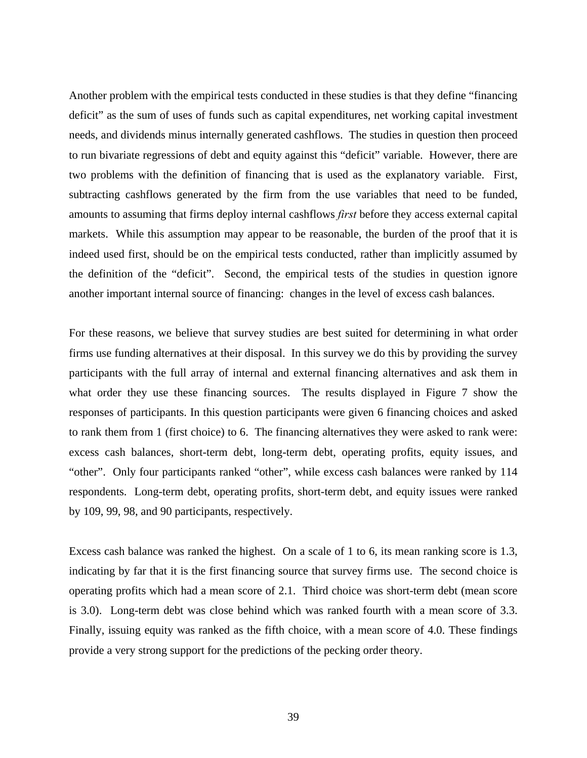Another problem with the empirical tests conducted in these studies is that they define "financing deficit" as the sum of uses of funds such as capital expenditures, net working capital investment needs, and dividends minus internally generated cashflows. The studies in question then proceed to run bivariate regressions of debt and equity against this "deficit" variable. However, there are two problems with the definition of financing that is used as the explanatory variable. First, subtracting cashflows generated by the firm from the use variables that need to be funded, amounts to assuming that firms deploy internal cashflows *first* before they access external capital markets. While this assumption may appear to be reasonable, the burden of the proof that it is indeed used first, should be on the empirical tests conducted, rather than implicitly assumed by the definition of the "deficit". Second, the empirical tests of the studies in question ignore another important internal source of financing: changes in the level of excess cash balances.

For these reasons, we believe that survey studies are best suited for determining in what order firms use funding alternatives at their disposal. In this survey we do this by providing the survey participants with the full array of internal and external financing alternatives and ask them in what order they use these financing sources. The results displayed in Figure 7 show the responses of participants. In this question participants were given 6 financing choices and asked to rank them from 1 (first choice) to 6. The financing alternatives they were asked to rank were: excess cash balances, short-term debt, long-term debt, operating profits, equity issues, and "other". Only four participants ranked "other", while excess cash balances were ranked by 114 respondents. Long-term debt, operating profits, short-term debt, and equity issues were ranked by 109, 99, 98, and 90 participants, respectively.

Excess cash balance was ranked the highest. On a scale of 1 to 6, its mean ranking score is 1.3, indicating by far that it is the first financing source that survey firms use. The second choice is operating profits which had a mean score of 2.1. Third choice was short-term debt (mean score is 3.0). Long-term debt was close behind which was ranked fourth with a mean score of 3.3. Finally, issuing equity was ranked as the fifth choice, with a mean score of 4.0. These findings provide a very strong support for the predictions of the pecking order theory.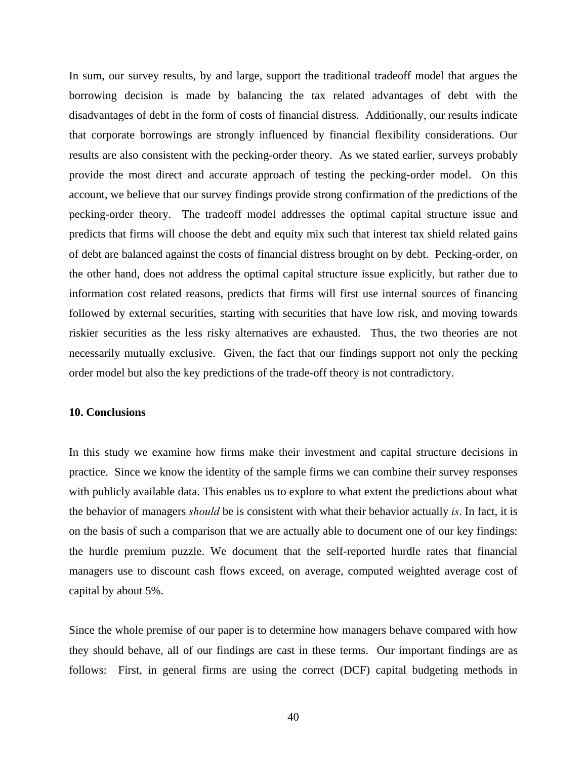In sum, our survey results, by and large, support the traditional tradeoff model that argues the borrowing decision is made by balancing the tax related advantages of debt with the disadvantages of debt in the form of costs of financial distress. Additionally, our results indicate that corporate borrowings are strongly influenced by financial flexibility considerations. Our results are also consistent with the pecking-order theory. As we stated earlier, surveys probably provide the most direct and accurate approach of testing the pecking-order model. On this account, we believe that our survey findings provide strong confirmation of the predictions of the pecking-order theory. The tradeoff model addresses the optimal capital structure issue and predicts that firms will choose the debt and equity mix such that interest tax shield related gains of debt are balanced against the costs of financial distress brought on by debt. Pecking-order, on the other hand, does not address the optimal capital structure issue explicitly, but rather due to information cost related reasons, predicts that firms will first use internal sources of financing followed by external securities, starting with securities that have low risk, and moving towards riskier securities as the less risky alternatives are exhausted. Thus, the two theories are not necessarily mutually exclusive. Given, the fact that our findings support not only the pecking order model but also the key predictions of the trade-off theory is not contradictory.

#### **10. Conclusions**

In this study we examine how firms make their investment and capital structure decisions in practice. Since we know the identity of the sample firms we can combine their survey responses with publicly available data. This enables us to explore to what extent the predictions about what the behavior of managers *should* be is consistent with what their behavior actually *is*. In fact, it is on the basis of such a comparison that we are actually able to document one of our key findings: the hurdle premium puzzle. We document that the self-reported hurdle rates that financial managers use to discount cash flows exceed, on average, computed weighted average cost of capital by about 5%.

Since the whole premise of our paper is to determine how managers behave compared with how they should behave, all of our findings are cast in these terms. Our important findings are as follows: First, in general firms are using the correct (DCF) capital budgeting methods in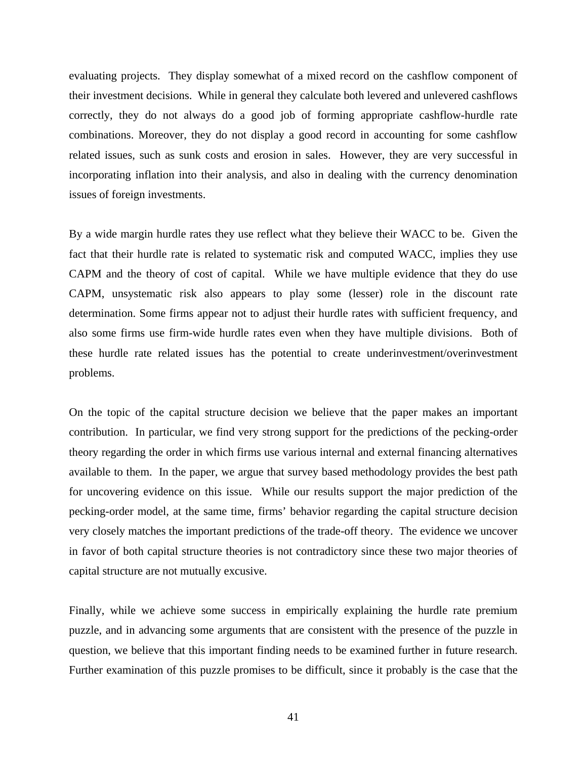evaluating projects. They display somewhat of a mixed record on the cashflow component of their investment decisions. While in general they calculate both levered and unlevered cashflows correctly, they do not always do a good job of forming appropriate cashflow-hurdle rate combinations. Moreover, they do not display a good record in accounting for some cashflow related issues, such as sunk costs and erosion in sales. However, they are very successful in incorporating inflation into their analysis, and also in dealing with the currency denomination issues of foreign investments.

By a wide margin hurdle rates they use reflect what they believe their WACC to be. Given the fact that their hurdle rate is related to systematic risk and computed WACC, implies they use CAPM and the theory of cost of capital. While we have multiple evidence that they do use CAPM, unsystematic risk also appears to play some (lesser) role in the discount rate determination. Some firms appear not to adjust their hurdle rates with sufficient frequency, and also some firms use firm-wide hurdle rates even when they have multiple divisions. Both of these hurdle rate related issues has the potential to create underinvestment/overinvestment problems.

On the topic of the capital structure decision we believe that the paper makes an important contribution. In particular, we find very strong support for the predictions of the pecking-order theory regarding the order in which firms use various internal and external financing alternatives available to them. In the paper, we argue that survey based methodology provides the best path for uncovering evidence on this issue. While our results support the major prediction of the pecking-order model, at the same time, firms' behavior regarding the capital structure decision very closely matches the important predictions of the trade-off theory. The evidence we uncover in favor of both capital structure theories is not contradictory since these two major theories of capital structure are not mutually excusive.

Finally, while we achieve some success in empirically explaining the hurdle rate premium puzzle, and in advancing some arguments that are consistent with the presence of the puzzle in question, we believe that this important finding needs to be examined further in future research. Further examination of this puzzle promises to be difficult, since it probably is the case that the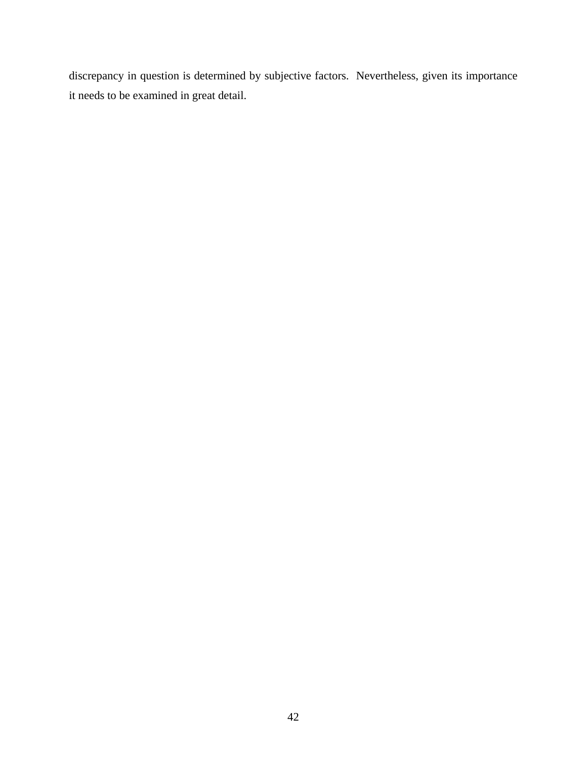discrepancy in question is determined by subjective factors. Nevertheless, given its importance it needs to be examined in great detail.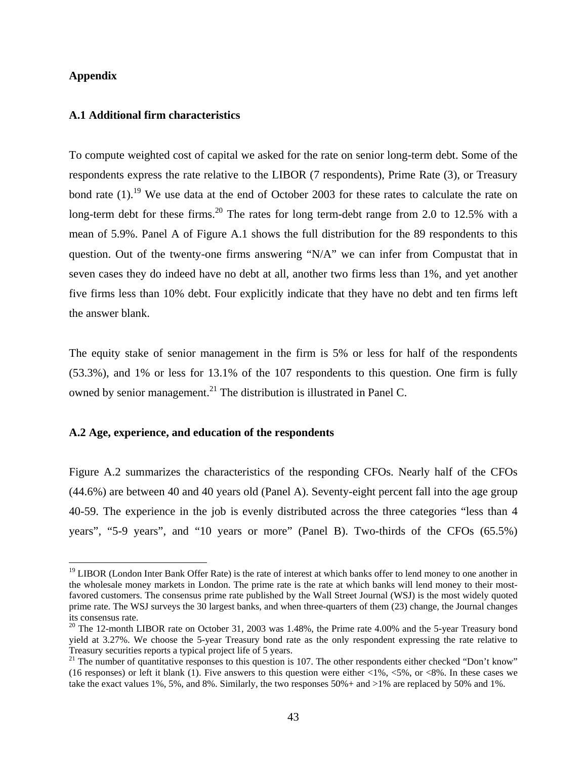## **Appendix**

1

## **A.1 Additional firm characteristics**

To compute weighted cost of capital we asked for the rate on senior long-term debt. Some of the respondents express the rate relative to the LIBOR (7 respondents), Prime Rate (3), or Treasury bond rate  $(1)$ .<sup>19</sup> We use data at the end of October 2003 for these rates to calculate the rate on long-term debt for these firms.<sup>20</sup> The rates for long term-debt range from 2.0 to 12.5% with a mean of 5.9%. Panel A of Figure A.1 shows the full distribution for the 89 respondents to this question. Out of the twenty-one firms answering "N/A" we can infer from Compustat that in seven cases they do indeed have no debt at all, another two firms less than 1%, and yet another five firms less than 10% debt. Four explicitly indicate that they have no debt and ten firms left the answer blank.

The equity stake of senior management in the firm is 5% or less for half of the respondents (53.3%), and 1% or less for 13.1% of the 107 respondents to this question. One firm is fully owned by senior management.<sup>21</sup> The distribution is illustrated in Panel C.

### **A.2 Age, experience, and education of the respondents**

Figure A.2 summarizes the characteristics of the responding CFOs. Nearly half of the CFOs (44.6%) are between 40 and 40 years old (Panel A). Seventy-eight percent fall into the age group 40-59. The experience in the job is evenly distributed across the three categories "less than 4 years", "5-9 years", and "10 years or more" (Panel B). Two-thirds of the CFOs (65.5%)

<sup>&</sup>lt;sup>19</sup> LIBOR (London Inter Bank Offer Rate) is the rate of interest at which banks offer to lend money to one another in the wholesale money markets in London. The prime rate is the rate at which banks will lend money to their mostfavored customers. The consensus prime rate published by the Wall Street Journal (WSJ) is the most widely quoted prime rate. The WSJ surveys the 30 largest banks, and when three-quarters of them (23) change, the Journal changes its consensus rate.

<sup>&</sup>lt;sup>20</sup> The 12-month LIBOR rate on October 31, 2003 was 1.48%, the Prime rate 4.00% and the 5-year Treasury bond yield at 3.27%. We choose the 5-year Treasury bond rate as the only respondent expressing the rate relative to Treasury securities reports a typical project life of 5 years.<br><sup>21</sup> The number of quantitative responses to this question is 107. The other respondents either checked "Don't know"

<sup>(16</sup> responses) or left it blank (1). Five answers to this question were either  $\langle 1\%, \langle 5\%, \text{ or } \langle 8\%, \text{ In these cases we} \rangle$ take the exact values 1%, 5%, and 8%. Similarly, the two responses 50%+ and >1% are replaced by 50% and 1%.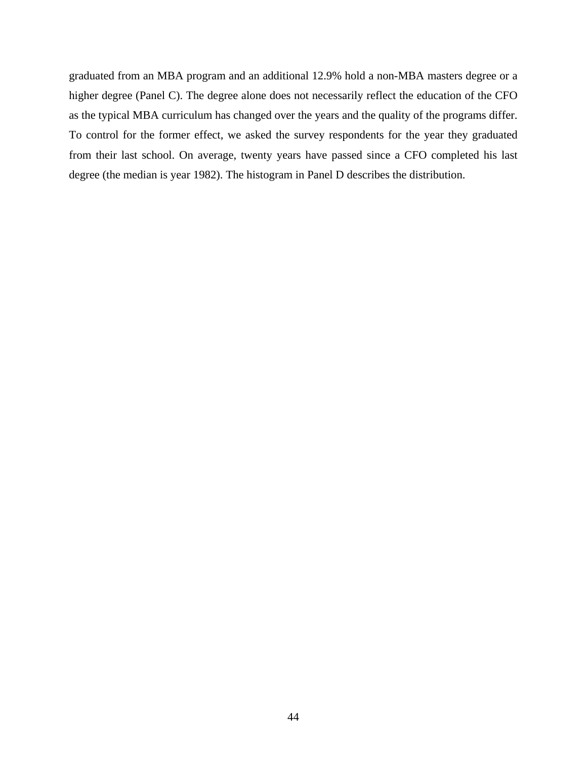graduated from an MBA program and an additional 12.9% hold a non-MBA masters degree or a higher degree (Panel C). The degree alone does not necessarily reflect the education of the CFO as the typical MBA curriculum has changed over the years and the quality of the programs differ. To control for the former effect, we asked the survey respondents for the year they graduated from their last school. On average, twenty years have passed since a CFO completed his last degree (the median is year 1982). The histogram in Panel D describes the distribution.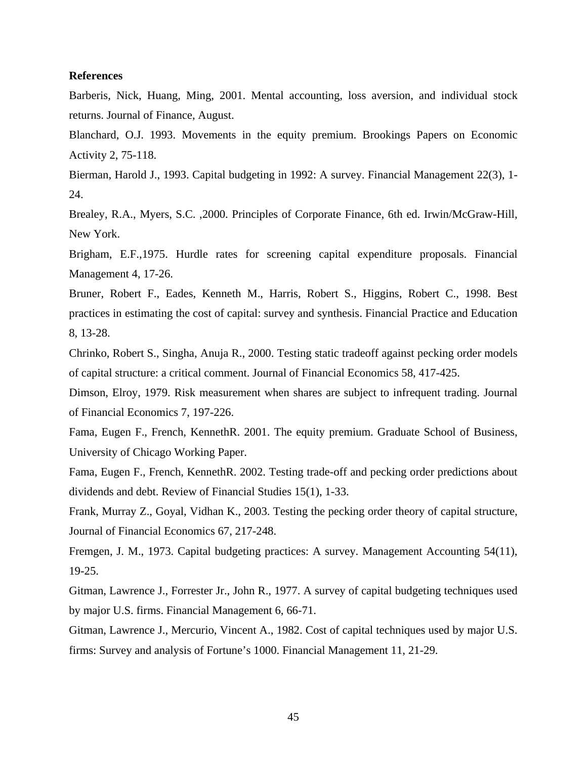#### **References**

Barberis, Nick, Huang, Ming, 2001. Mental accounting, loss aversion, and individual stock returns. Journal of Finance, August.

Blanchard, O.J. 1993. Movements in the equity premium. Brookings Papers on Economic Activity 2, 75-118.

Bierman, Harold J., 1993. Capital budgeting in 1992: A survey. Financial Management 22(3), 1- 24.

Brealey, R.A., Myers, S.C. ,2000. Principles of Corporate Finance, 6th ed. Irwin/McGraw-Hill, New York.

Brigham, E.F.,1975. Hurdle rates for screening capital expenditure proposals. Financial Management 4, 17-26.

Bruner, Robert F., Eades, Kenneth M., Harris, Robert S., Higgins, Robert C., 1998. Best practices in estimating the cost of capital: survey and synthesis. Financial Practice and Education 8, 13-28.

Chrinko, Robert S., Singha, Anuja R., 2000. Testing static tradeoff against pecking order models of capital structure: a critical comment. Journal of Financial Economics 58, 417-425.

Dimson, Elroy, 1979. Risk measurement when shares are subject to infrequent trading. Journal of Financial Economics 7, 197-226.

Fama, Eugen F., French, KennethR. 2001. The equity premium. Graduate School of Business, University of Chicago Working Paper.

Fama, Eugen F., French, KennethR. 2002. Testing trade-off and pecking order predictions about dividends and debt. Review of Financial Studies 15(1), 1-33.

Frank, Murray Z., Goyal, Vidhan K., 2003. Testing the pecking order theory of capital structure, Journal of Financial Economics 67, 217-248.

Fremgen, J. M., 1973. Capital budgeting practices: A survey. Management Accounting 54(11), 19-25.

Gitman, Lawrence J., Forrester Jr., John R., 1977. A survey of capital budgeting techniques used by major U.S. firms. Financial Management 6, 66-71.

Gitman, Lawrence J., Mercurio, Vincent A., 1982. Cost of capital techniques used by major U.S. firms: Survey and analysis of Fortune's 1000. Financial Management 11, 21-29.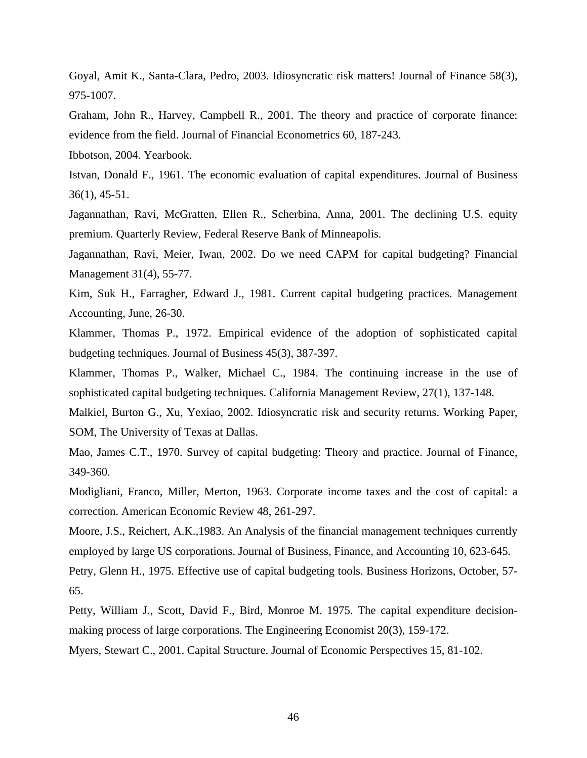Goyal, Amit K., Santa-Clara, Pedro, 2003. Idiosyncratic risk matters! Journal of Finance 58(3), 975-1007.

Graham, John R., Harvey, Campbell R., 2001. The theory and practice of corporate finance: evidence from the field. Journal of Financial Econometrics 60, 187-243.

Ibbotson, 2004. Yearbook.

Istvan, Donald F., 1961. The economic evaluation of capital expenditures. Journal of Business 36(1), 45-51.

Jagannathan, Ravi, McGratten, Ellen R., Scherbina, Anna, 2001. The declining U.S. equity premium. Quarterly Review, Federal Reserve Bank of Minneapolis.

Jagannathan, Ravi, Meier, Iwan, 2002. Do we need CAPM for capital budgeting? Financial Management 31(4), 55-77.

Kim, Suk H., Farragher, Edward J., 1981. Current capital budgeting practices. Management Accounting, June, 26-30.

Klammer, Thomas P., 1972. Empirical evidence of the adoption of sophisticated capital budgeting techniques. Journal of Business 45(3), 387-397.

Klammer, Thomas P., Walker, Michael C., 1984. The continuing increase in the use of sophisticated capital budgeting techniques. California Management Review, 27(1), 137-148.

Malkiel, Burton G., Xu, Yexiao, 2002. Idiosyncratic risk and security returns. Working Paper, SOM, The University of Texas at Dallas.

Mao, James C.T., 1970. Survey of capital budgeting: Theory and practice. Journal of Finance, 349-360.

Modigliani, Franco, Miller, Merton, 1963. Corporate income taxes and the cost of capital: a correction. American Economic Review 48, 261-297.

Moore, J.S., Reichert, A.K.,1983. An Analysis of the financial management techniques currently employed by large US corporations. Journal of Business, Finance, and Accounting 10, 623-645.

Petry, Glenn H., 1975. Effective use of capital budgeting tools. Business Horizons, October, 57- 65.

Petty, William J., Scott, David F., Bird, Monroe M. 1975. The capital expenditure decisionmaking process of large corporations. The Engineering Economist 20(3), 159-172.

Myers, Stewart C., 2001. Capital Structure. Journal of Economic Perspectives 15, 81-102.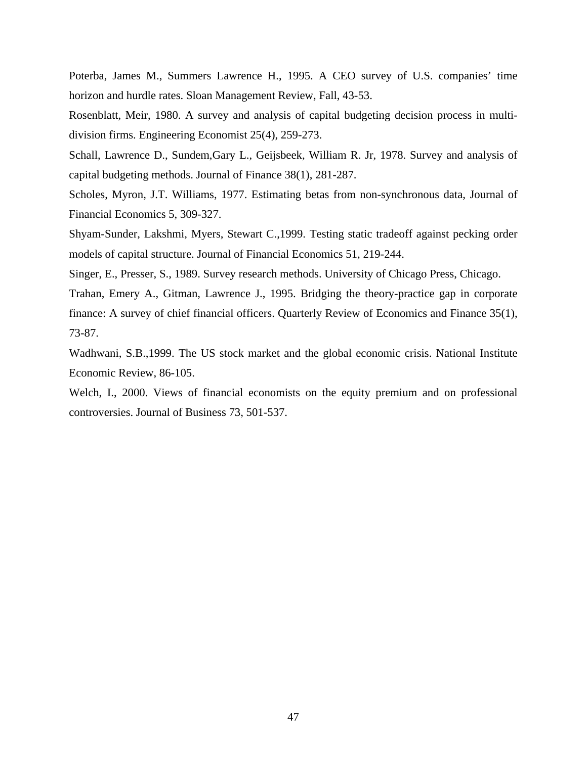Poterba, James M., Summers Lawrence H., 1995. A CEO survey of U.S. companies' time horizon and hurdle rates. Sloan Management Review, Fall, 43-53.

Rosenblatt, Meir, 1980. A survey and analysis of capital budgeting decision process in multidivision firms. Engineering Economist 25(4), 259-273.

Schall, Lawrence D., Sundem,Gary L., Geijsbeek, William R. Jr, 1978. Survey and analysis of capital budgeting methods. Journal of Finance 38(1), 281-287.

Scholes, Myron, J.T. Williams, 1977. Estimating betas from non-synchronous data, Journal of Financial Economics 5, 309-327.

Shyam-Sunder, Lakshmi, Myers, Stewart C.,1999. Testing static tradeoff against pecking order models of capital structure. Journal of Financial Economics 51, 219-244.

Singer, E., Presser, S., 1989. Survey research methods. University of Chicago Press, Chicago.

Trahan, Emery A., Gitman, Lawrence J., 1995. Bridging the theory-practice gap in corporate finance: A survey of chief financial officers. Quarterly Review of Economics and Finance 35(1), 73-87.

Wadhwani, S.B.,1999. The US stock market and the global economic crisis. National Institute Economic Review, 86-105.

Welch, I., 2000. Views of financial economists on the equity premium and on professional controversies. Journal of Business 73, 501-537.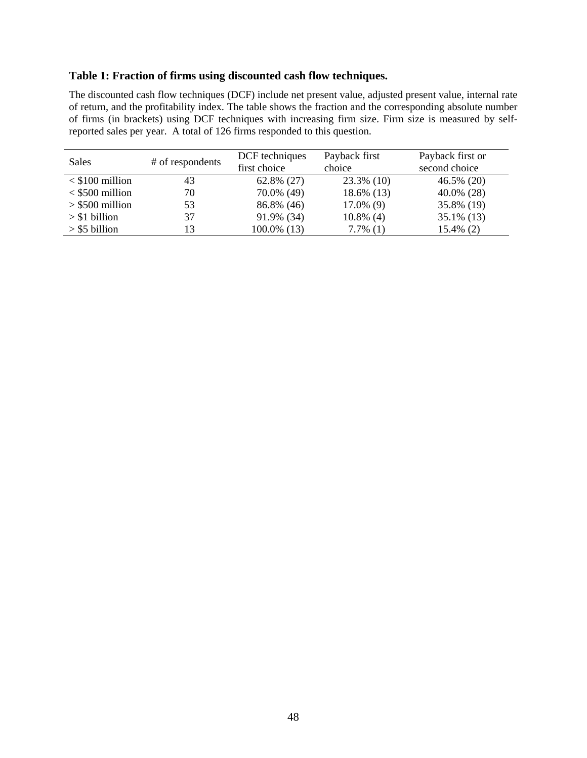# **Table 1: Fraction of firms using discounted cash flow techniques.**

The discounted cash flow techniques (DCF) include net present value, adjusted present value, internal rate of return, and the profitability index. The table shows the fraction and the corresponding absolute number of firms (in brackets) using DCF techniques with increasing firm size. Firm size is measured by selfreported sales per year. A total of 126 firms responded to this question.

| Sales             | # of respondents | DCF techniques | Payback first | Payback first or |
|-------------------|------------------|----------------|---------------|------------------|
|                   |                  | first choice   | choice        | second choice    |
| $<$ \$100 million | 43               | $62.8\%$ (27)  | 23.3% (10)    | 46.5% (20)       |
| $<$ \$500 million | 70               | 70.0% (49)     | 18.6% (13)    | $40.0\%$ (28)    |
| $>$ \$500 million | 53               | 86.8% (46)     | $17.0\%$ (9)  | 35.8% (19)       |
| $> $1$ billion    | 37               | 91.9% (34)     | $10.8\%$ (4)  | $35.1\%$ (13)    |
| $>$ \$5 billion   | 13               | 100.0% (13)    | $7.7\%$ (1)   | 15.4% (2)        |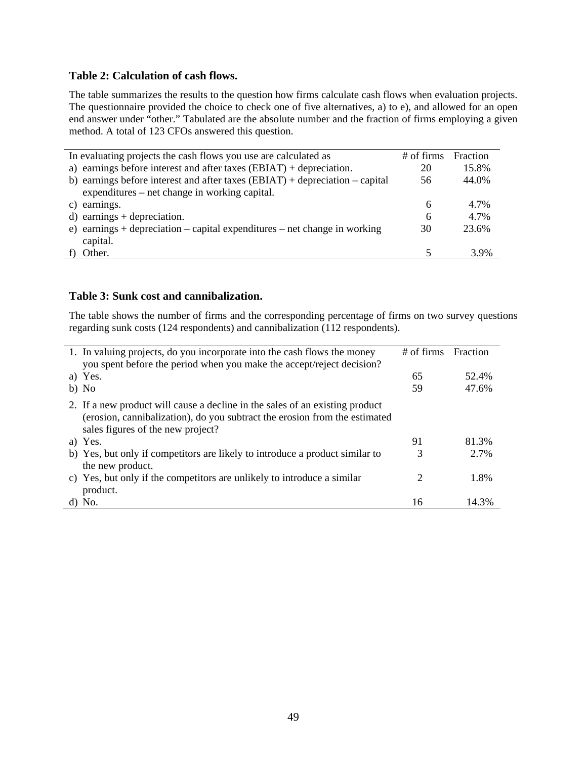## **Table 2: Calculation of cash flows.**

The table summarizes the results to the question how firms calculate cash flows when evaluation projects. The questionnaire provided the choice to check one of five alternatives, a) to e), and allowed for an open end answer under "other." Tabulated are the absolute number and the fraction of firms employing a given method. A total of 123 CFOs answered this question.

| In evaluating projects the cash flows you use are calculated as                | $#$ of firms | <b>Fraction</b> |
|--------------------------------------------------------------------------------|--------------|-----------------|
| a) earnings before interest and after taxes $(EBIAT) + depreciation$ .         | 20           | 15.8%           |
| b) earnings before interest and after taxes $(BBIAT)$ + depreciation – capital | 56           | 44.0%           |
| expenditures – net change in working capital.                                  |              |                 |
| c) earnings.                                                                   | 6            | 4.7%            |
| $d)$ earnings + depreciation.                                                  | 6            | 4.7%            |
| e) earnings + depreciation $-$ capital expenditures $-$ net change in working  | 30           | 23.6%           |
| capital.                                                                       |              |                 |
| Other.                                                                         |              | 3.9%            |
|                                                                                |              |                 |

## **Table 3: Sunk cost and cannibalization.**

The table shows the number of firms and the corresponding percentage of firms on two survey questions regarding sunk costs (124 respondents) and cannibalization (112 respondents).

| 1. In valuing projects, do you incorporate into the cash flows the money                                                                                                                        | $#$ of firms | Fraction |
|-------------------------------------------------------------------------------------------------------------------------------------------------------------------------------------------------|--------------|----------|
| you spent before the period when you make the accept/reject decision?                                                                                                                           |              |          |
| a) Yes.                                                                                                                                                                                         | 65           | 52.4%    |
| b) No                                                                                                                                                                                           | 59           | 47.6%    |
| 2. If a new product will cause a decline in the sales of an existing product<br>(erosion, cannibalization), do you subtract the erosion from the estimated<br>sales figures of the new project? |              |          |
| a) Yes.                                                                                                                                                                                         | 91           | 81.3%    |
| b) Yes, but only if competitors are likely to introduce a product similar to                                                                                                                    | 3            | 2.7%     |
| the new product.                                                                                                                                                                                |              |          |
| c) Yes, but only if the competitors are unlikely to introduce a similar<br>product.                                                                                                             |              | 1.8%     |
| $d)$ No.                                                                                                                                                                                        | 16           | 14.3%    |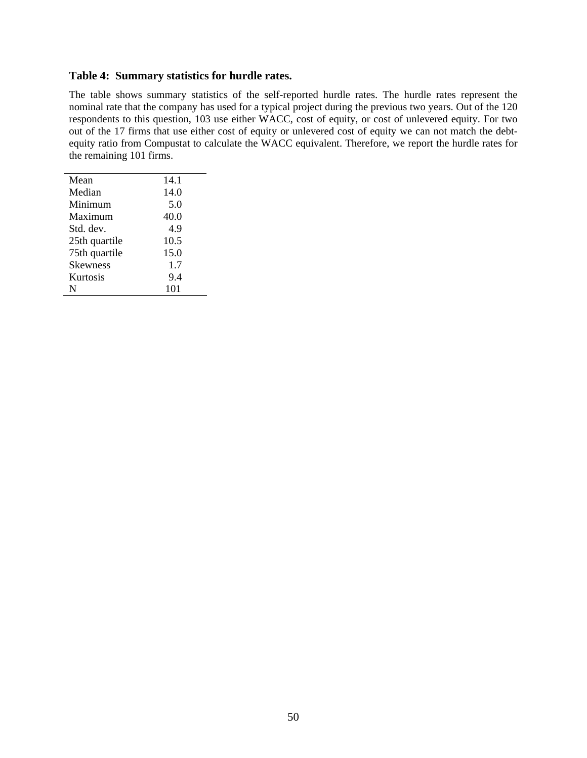## **Table 4: Summary statistics for hurdle rates.**

The table shows summary statistics of the self-reported hurdle rates. The hurdle rates represent the nominal rate that the company has used for a typical project during the previous two years. Out of the 120 respondents to this question, 103 use either WACC, cost of equity, or cost of unlevered equity. For two out of the 17 firms that use either cost of equity or unlevered cost of equity we can not match the debtequity ratio from Compustat to calculate the WACC equivalent. Therefore, we report the hurdle rates for the remaining 101 firms.

| Mean            | 14.1 |
|-----------------|------|
| Median          | 14.0 |
| Minimum         | 5.0  |
| Maximum         | 40.0 |
| Std. dev.       | 4.9  |
| 25th quartile   | 10.5 |
| 75th quartile   | 15.0 |
| <b>Skewness</b> | 1.7  |
| Kurtosis        | 9.4  |
| N               | 101  |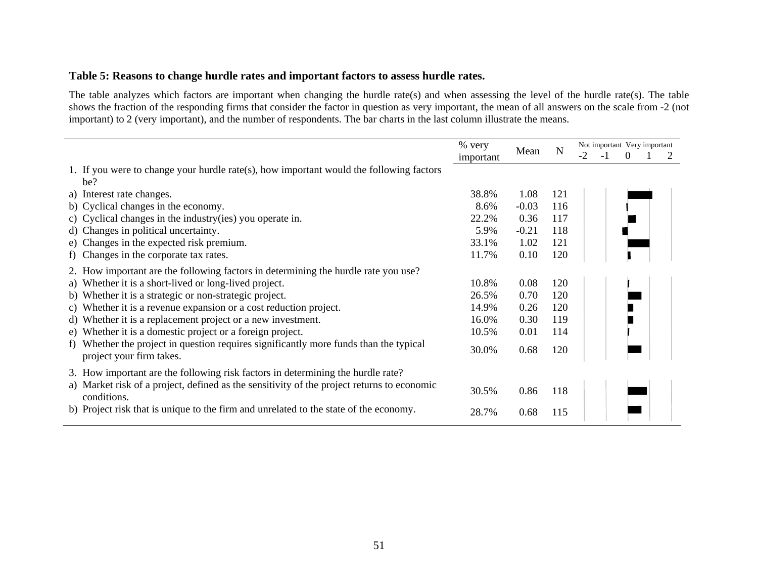## **Table 5: Reasons to change hurdle rates and important factors to assess hurdle rates.**

The table analyzes which factors are important when changing the hurdle rate(s) and when assessing the level of the hurdle rate(s). The table shows the fraction of the responding firms that consider the factor in question as very important, the mean of all answers on the scale from -2 (not important) to 2 (very important), and the number of respondents. The bar charts in the last column illustrate the means.

|                                                                                                                   | % very    |         |             | Not important Very important |     |          |  |  |
|-------------------------------------------------------------------------------------------------------------------|-----------|---------|-------------|------------------------------|-----|----------|--|--|
|                                                                                                                   | important | Mean    | $\mathbf N$ | $-2$                         | - 1 | $\Omega$ |  |  |
| 1. If you were to change your hurdle rate(s), how important would the following factors                           |           |         |             |                              |     |          |  |  |
| be?                                                                                                               |           |         |             |                              |     |          |  |  |
| a) Interest rate changes.                                                                                         | 38.8%     | 1.08    | 121         |                              |     |          |  |  |
| b) Cyclical changes in the economy.                                                                               | 8.6%      | $-0.03$ | 116         |                              |     |          |  |  |
| c) Cyclical changes in the industry (ies) you operate in.                                                         | 22.2%     | 0.36    | 117         |                              |     |          |  |  |
| d) Changes in political uncertainty.                                                                              | 5.9%      | $-0.21$ | 118         |                              |     |          |  |  |
| e) Changes in the expected risk premium.                                                                          | 33.1%     | 1.02    | 121         |                              |     |          |  |  |
| f) Changes in the corporate tax rates.                                                                            | 11.7%     | 0.10    | 120         |                              |     |          |  |  |
| 2. How important are the following factors in determining the hurdle rate you use?                                |           |         |             |                              |     |          |  |  |
| a) Whether it is a short-lived or long-lived project.                                                             | 10.8%     | 0.08    | 120         |                              |     |          |  |  |
| b) Whether it is a strategic or non-strategic project.                                                            | 26.5%     | 0.70    | 120         |                              |     |          |  |  |
| c) Whether it is a revenue expansion or a cost reduction project.                                                 | 14.9%     | 0.26    | 120         |                              |     |          |  |  |
| d) Whether it is a replacement project or a new investment.                                                       | 16.0%     | 0.30    | 119         |                              |     |          |  |  |
| e) Whether it is a domestic project or a foreign project.                                                         | 10.5%     | 0.01    | 114         |                              |     |          |  |  |
| f) Whether the project in question requires significantly more funds than the typical<br>project your firm takes. | 30.0%     | 0.68    | 120         |                              |     |          |  |  |
| 3. How important are the following risk factors in determining the hurdle rate?                                   |           |         |             |                              |     |          |  |  |
| a) Market risk of a project, defined as the sensitivity of the project returns to economic<br>conditions.         | 30.5%     | 0.86    | 118         |                              |     |          |  |  |
| b) Project risk that is unique to the firm and unrelated to the state of the economy.                             | 28.7%     | 0.68    | 115         |                              |     |          |  |  |
|                                                                                                                   |           |         |             |                              |     |          |  |  |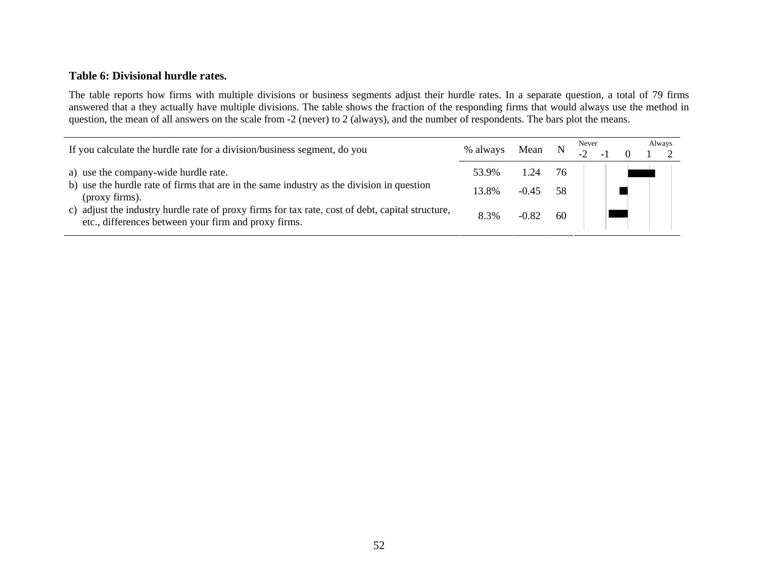## **Table 6: Divisional hurdle rates.**

The table reports how firms with multiple divisions or business segments adjust their hurdle rates. In a separate question, a total of 79 firms answered that a they actually have multiple divisions. The table shows the fraction of the responding firms that would always use the method in question, the mean of all answers on the scale from -2 (never) to 2 (always), and the number of respondents. The bars plot the means.

| If you calculate the hurdle rate for a division/business segment, do you                                                                                                                                                                                                                                        | % always               | Mean                       |           | Never |  | Always |
|-----------------------------------------------------------------------------------------------------------------------------------------------------------------------------------------------------------------------------------------------------------------------------------------------------------------|------------------------|----------------------------|-----------|-------|--|--------|
| a) use the company-wide hurdle rate.<br>b) use the hurdle rate of firms that are in the same industry as the division in question<br>(proxy firms).<br>c) adjust the industry hurdle rate of proxy firms for tax rate, cost of debt, capital structure,<br>etc., differences between your firm and proxy firms. | 53.9%<br>13.8%<br>8.3% | 1.24<br>$-0.45$<br>$-0.82$ | -58<br>60 |       |  |        |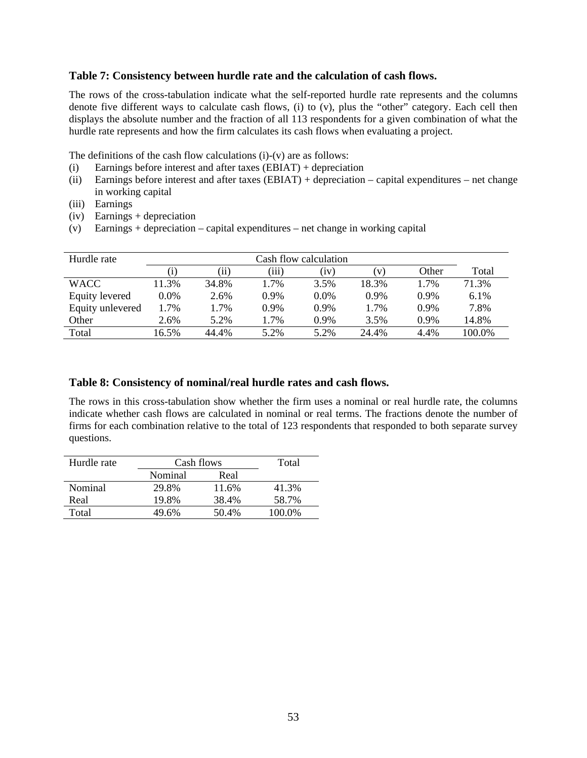## **Table 7: Consistency between hurdle rate and the calculation of cash flows.**

The rows of the cross-tabulation indicate what the self-reported hurdle rate represents and the columns denote five different ways to calculate cash flows, (i) to (v), plus the "other" category. Each cell then displays the absolute number and the fraction of all 113 respondents for a given combination of what the hurdle rate represents and how the firm calculates its cash flows when evaluating a project.

The definitions of the cash flow calculations  $(i)-(v)$  are as follows:

- (i) Earnings before interest and after taxes (EBIAT) + depreciation
- (ii) Earnings before interest and after taxes (EBIAT) + depreciation capital expenditures net change in working capital
- (iii) Earnings
- (iv) Earnings + depreciation
- (v) Earnings + depreciation capital expenditures net change in working capital

| Hurdle rate      |         | Cash flow calculation |         |             |              |         |         |  |  |
|------------------|---------|-----------------------|---------|-------------|--------------|---------|---------|--|--|
|                  |         | $^{\prime}11)$        | (111)   | $_{\rm 1V}$ | $\mathbf{V}$ | Other   | Total   |  |  |
| <b>WACC</b>      | 11.3%   | 34.8%                 | 1.7%    | 3.5%        | 18.3%        | 1.7%    | 71.3%   |  |  |
| Equity levered   | $0.0\%$ | 2.6%                  | $0.9\%$ | $0.0\%$     | $0.9\%$      | $0.9\%$ | $6.1\%$ |  |  |
| Equity unlevered | $.7\%$  | 1.7%                  | $0.9\%$ | $0.9\%$     | 1.7%         | $0.9\%$ | 7.8%    |  |  |
| Other            | 2.6%    | 5.2%                  | 1.7%    | 0.9%        | 3.5%         | $0.9\%$ | 14.8%   |  |  |
| Total            | 16.5%   | 44.4%                 | 5.2%    | 5.2%        | 24.4%        | 4.4%    | 100.0%  |  |  |

## **Table 8: Consistency of nominal/real hurdle rates and cash flows.**

The rows in this cross-tabulation show whether the firm uses a nominal or real hurdle rate, the columns indicate whether cash flows are calculated in nominal or real terms. The fractions denote the number of firms for each combination relative to the total of 123 respondents that responded to both separate survey questions.

| Hurdle rate | Cash flows | Total |        |
|-------------|------------|-------|--------|
|             | Nominal    | Real  |        |
| Nominal     | 29.8%      | 11.6% | 41.3%  |
| Real        | 19.8%      | 38.4% | 58.7%  |
| Total       | 49.6%      | 50.4% | 100.0% |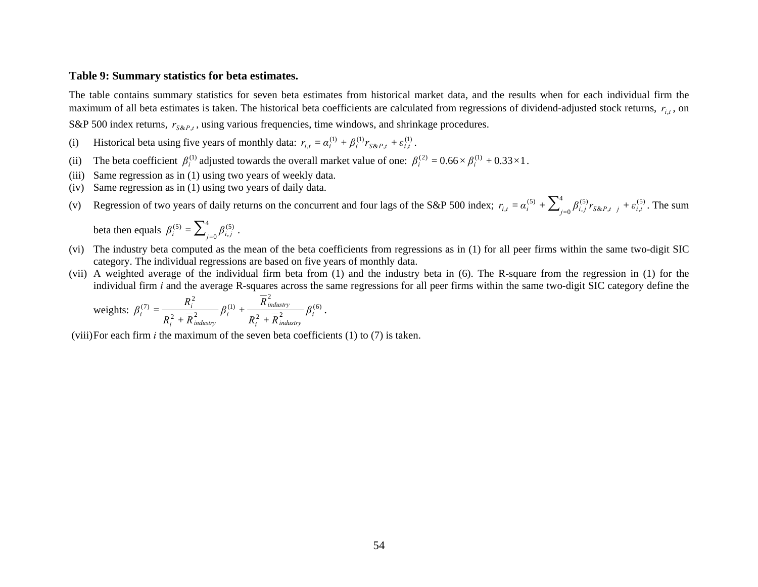#### **Table 9: Summary statistics for beta estimates.**

The table contains summary statistics for seven beta estimates from historical market data, and the results when for each individual firm the maximum of all beta estimates is taken. The historical beta coefficients are calculated from regressions of dividend-adjusted stock returns,  $r_{i,t}$ , on

S&P 500 index returns,  $r_{S\&P,t}$ , using various frequencies, time windows, and shrinkage procedures.

- (i) Historical beta using five years of monthly data:  $r_{i,t} = \alpha_i^{(1)} + \beta_i^{(1)} r_{S\&P,t} + \varepsilon_{i,t}^{(1)}$ .
- (ii) The beta coefficient  $\beta_i^{(1)}$  adjusted towards the overall market value of one:  $\beta_i^{(2)} = 0.66 \times \beta_i^{(1)} + 0.33 \times 1$ .
- (iii) Same regression as in (1) using two years of weekly data.
- (iv) Same regression as in (1) using two years of daily data.
- (v) Regression of two years of daily returns on the concurrent and four lags of the S&P 500 index;  $r_{i,t} = \alpha_i^{(5)} + \sum_{j=0}^{4} \beta_{i,j}^{(5)} r_{S\&P,t-j} + \varepsilon_{i,t}^{(5)}$ . The sum

beta then equals  $\beta_i^{(5)} = \sum_{i=0}^4$  $\beta_i^{(5)} = \sum_{j=0}^{\infty} \beta_{i,j}^{(5)}$ .

- (vi) The industry beta computed as the mean of the beta coefficients from regressions as in (1) for all peer firms within the same two-digit SIC category. The individual regressions are based on five years of monthly data.
- (vii) A weighted average of the individual firm beta from (1) and the industry beta in (6). The R-square from the regression in (1) for the individual firm *i* and the average R-squares across the same regressions for all peer firms within the same two-digit SIC category define the

weights: 
$$
\beta_i^{(7)} = \frac{R_i^2}{R_i^2 + \overline{R}_{industry}^2} \beta_i^{(1)} + \frac{\overline{R}_{industry}^2}{R_i^2 + \overline{R}_{industry}^2} \beta_i^{(6)}.
$$

(viii) For each firm *i* the maximum of the seven beta coefficients (1) to (7) is taken.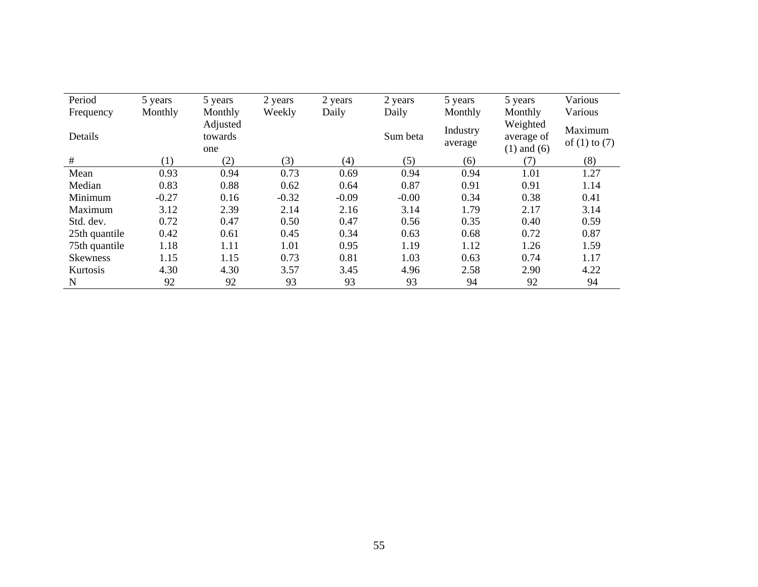| Period          | 5 years | 5 years                    | 2 years | 2 years | 2 years  | 5 years             | 5 years                                   | Various                      |
|-----------------|---------|----------------------------|---------|---------|----------|---------------------|-------------------------------------------|------------------------------|
| Frequency       | Monthly | Monthly                    | Weekly  | Daily   | Daily    | Monthly             | Monthly                                   | Various                      |
| Details         |         | Adjusted<br>towards<br>one |         |         | Sum beta | Industry<br>average | Weighted<br>average of<br>$(1)$ and $(6)$ | Maximum<br>of $(1)$ to $(7)$ |
| #               | (1)     | (2)                        | (3)     | (4)     | (5)      | (6)                 | (7)                                       | (8)                          |
| Mean            | 0.93    | 0.94                       | 0.73    | 0.69    | 0.94     | 0.94                | 1.01                                      | 1.27                         |
| Median          | 0.83    | 0.88                       | 0.62    | 0.64    | 0.87     | 0.91                | 0.91                                      | 1.14                         |
| Minimum         | $-0.27$ | 0.16                       | $-0.32$ | $-0.09$ | $-0.00$  | 0.34                | 0.38                                      | 0.41                         |
| Maximum         | 3.12    | 2.39                       | 2.14    | 2.16    | 3.14     | 1.79                | 2.17                                      | 3.14                         |
| Std. dev.       | 0.72    | 0.47                       | 0.50    | 0.47    | 0.56     | 0.35                | 0.40                                      | 0.59                         |
| 25th quantile   | 0.42    | 0.61                       | 0.45    | 0.34    | 0.63     | 0.68                | 0.72                                      | 0.87                         |
| 75th quantile   | 1.18    | 1.11                       | 1.01    | 0.95    | 1.19     | 1.12                | 1.26                                      | 1.59                         |
| <b>Skewness</b> | 1.15    | 1.15                       | 0.73    | 0.81    | 1.03     | 0.63                | 0.74                                      | 1.17                         |
| Kurtosis        | 4.30    | 4.30                       | 3.57    | 3.45    | 4.96     | 2.58                | 2.90                                      | 4.22                         |
| N               | 92      | 92                         | 93      | 93      | 93       | 94                  | 92                                        | 94                           |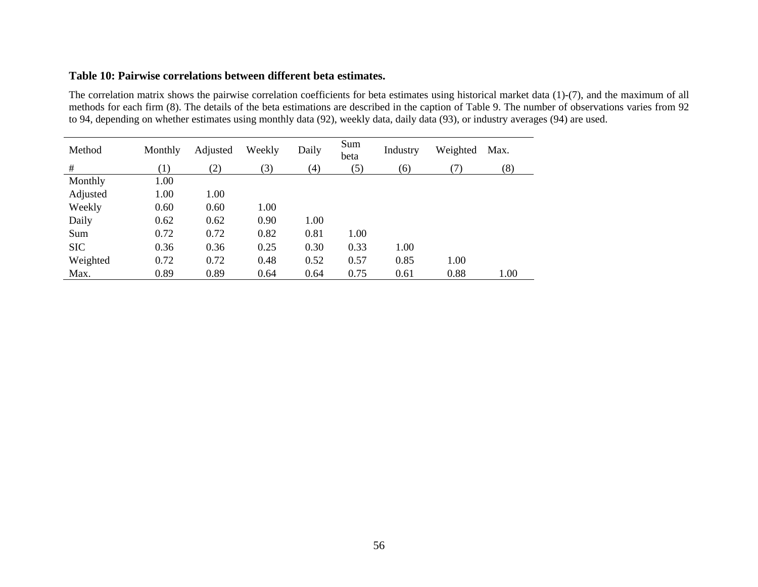#### **Table 10: Pairwise correlations between different beta estimates.**

The correlation matrix shows the pairwise correlation coefficients for beta estimates using historical market data (1)-(7), and the maximum of all methods for each firm (8). The details of the beta estimations are described in the caption of Table 9. The number of observations varies from 92 to 94, depending on whether estimates using monthly data (92), weekly data, daily data (93), or industry averages (94) are used.

| Method     | Monthly | Adjusted | Weekly | Daily | Sum<br>beta | Industry | Weighted | Max. |
|------------|---------|----------|--------|-------|-------------|----------|----------|------|
| #          | (1)     | (2)      | 3)     | (4)   | (5)         | (6)      | (7)      | (8)  |
| Monthly    | 1.00    |          |        |       |             |          |          |      |
| Adjusted   | 1.00    | 1.00     |        |       |             |          |          |      |
| Weekly     | 0.60    | 0.60     | 1.00   |       |             |          |          |      |
| Daily      | 0.62    | 0.62     | 0.90   | 1.00  |             |          |          |      |
| Sum        | 0.72    | 0.72     | 0.82   | 0.81  | 1.00        |          |          |      |
| <b>SIC</b> | 0.36    | 0.36     | 0.25   | 0.30  | 0.33        | 1.00     |          |      |
| Weighted   | 0.72    | 0.72     | 0.48   | 0.52  | 0.57        | 0.85     | 1.00     |      |
| Max.       | 0.89    | 0.89     | 0.64   | 0.64  | 0.75        | 0.61     | 0.88     | 1.00 |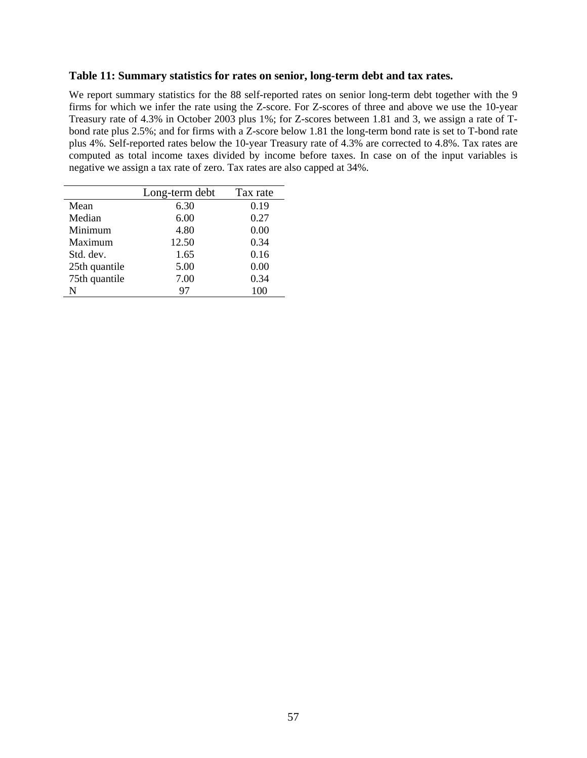#### **Table 11: Summary statistics for rates on senior, long-term debt and tax rates.**

We report summary statistics for the 88 self-reported rates on senior long-term debt together with the 9 firms for which we infer the rate using the Z-score. For Z-scores of three and above we use the 10-year Treasury rate of 4.3% in October 2003 plus 1%; for Z-scores between 1.81 and 3, we assign a rate of Tbond rate plus 2.5%; and for firms with a Z-score below 1.81 the long-term bond rate is set to T-bond rate plus 4%. Self-reported rates below the 10-year Treasury rate of 4.3% are corrected to 4.8%. Tax rates are computed as total income taxes divided by income before taxes. In case on of the input variables is negative we assign a tax rate of zero. Tax rates are also capped at 34%.

|               | Long-term debt | Tax rate |
|---------------|----------------|----------|
| Mean          | 6.30           | 0.19     |
| Median        | 6.00           | 0.27     |
| Minimum       | 4.80           | 0.00     |
| Maximum       | 12.50          | 0.34     |
| Std. dev.     | 1.65           | 0.16     |
| 25th quantile | 5.00           | 0.00     |
| 75th quantile | 7.00           | 0.34     |
| N             | 97             |          |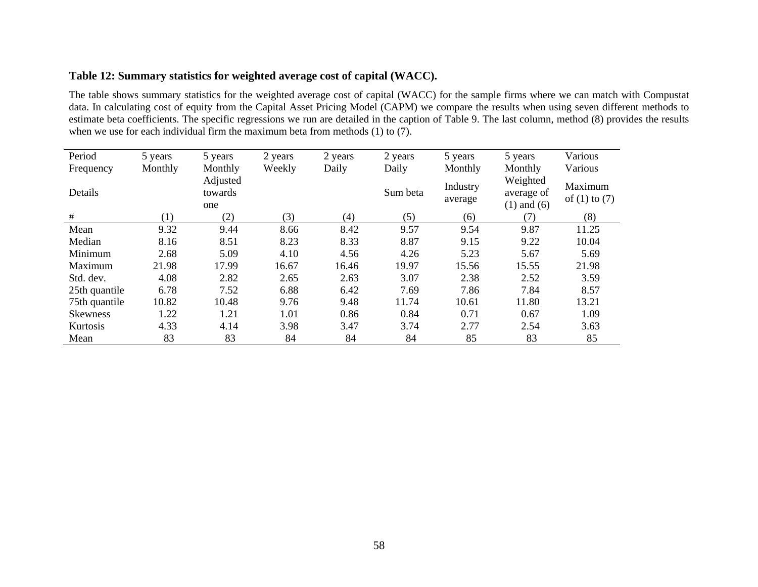| Table 12: Summary statistics for weighted average cost of capital (WACC). |  |  |  |  |  |
|---------------------------------------------------------------------------|--|--|--|--|--|
|---------------------------------------------------------------------------|--|--|--|--|--|

The table shows summary statistics for the weighted average cost of capital (WACC) for the sample firms where we can match with Compustat data. In calculating cost of equity from the Capital Asset Pricing Model (CAPM) we compare the results when using seven different methods to estimate beta coefficients. The specific regressions we run are detailed in the caption of Table 9. The last column, method (8) provides the results when we use for each individual firm the maximum beta from methods (1) to (7).

| Period        | 5 years | 5 years                    | 2 years | 2 years | 2 years  | 5 years             | 5 years                                   | Various                      |
|---------------|---------|----------------------------|---------|---------|----------|---------------------|-------------------------------------------|------------------------------|
| Frequency     | Monthly | Monthly                    | Weekly  | Daily   | Daily    | Monthly             | Monthly                                   | Various                      |
| Details       |         | Adjusted<br>towards<br>one |         |         | Sum beta | Industry<br>average | Weighted<br>average of<br>$(1)$ and $(6)$ | Maximum<br>of $(1)$ to $(7)$ |
| #             | (1)     | (2)                        | (3)     | (4)     | (5)      | (6)                 | (7)                                       | (8)                          |
| Mean          | 9.32    | 9.44                       | 8.66    | 8.42    | 9.57     | 9.54                | 9.87                                      | 11.25                        |
| Median        | 8.16    | 8.51                       | 8.23    | 8.33    | 8.87     | 9.15                | 9.22                                      | 10.04                        |
| Minimum       | 2.68    | 5.09                       | 4.10    | 4.56    | 4.26     | 5.23                | 5.67                                      | 5.69                         |
| Maximum       | 21.98   | 17.99                      | 16.67   | 16.46   | 19.97    | 15.56               | 15.55                                     | 21.98                        |
| Std. dev.     | 4.08    | 2.82                       | 2.65    | 2.63    | 3.07     | 2.38                | 2.52                                      | 3.59                         |
| 25th quantile | 6.78    | 7.52                       | 6.88    | 6.42    | 7.69     | 7.86                | 7.84                                      | 8.57                         |
| 75th quantile | 10.82   | 10.48                      | 9.76    | 9.48    | 11.74    | 10.61               | 11.80                                     | 13.21                        |
| Skewness      | 1.22    | 1.21                       | 1.01    | 0.86    | 0.84     | 0.71                | 0.67                                      | 1.09                         |
| Kurtosis      | 4.33    | 4.14                       | 3.98    | 3.47    | 3.74     | 2.77                | 2.54                                      | 3.63                         |
| Mean          | 83      | 83                         | 84      | 84      | 84       | 85                  | 83                                        | 85                           |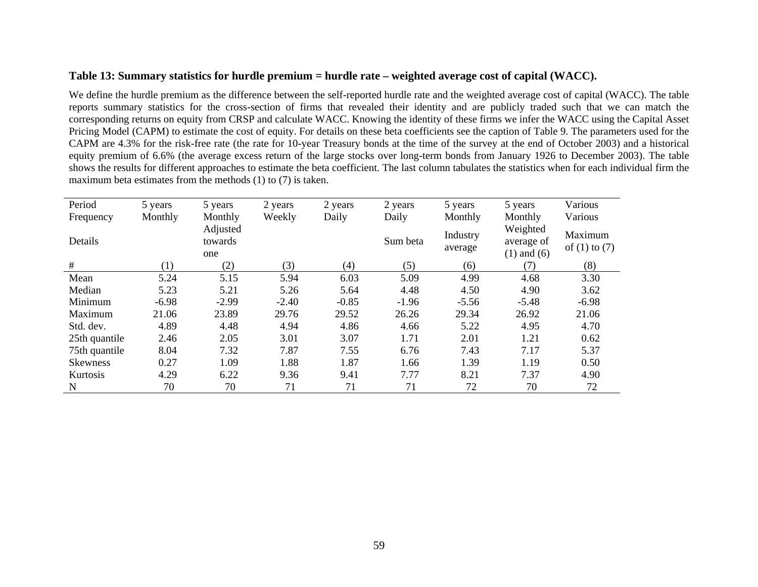## **Table 13: Summary statistics for hurdle premium = hurdle rate – weighted average cost of capital (WACC).**

We define the hurdle premium as the difference between the self-reported hurdle rate and the weighted average cost of capital (WACC). The table reports summary statistics for the cross-section of firms that revealed their identity and are publicly traded such that we can match the corresponding returns on equity from CRSP and calculate WACC. Knowing the identity of these firms we infer the WACC using the Capital Asset Pricing Model (CAPM) to estimate the cost of equity. For details on these beta coefficients see the caption of Table 9. The parameters used for the CAPM are 4.3% for the risk-free rate (the rate for 10-year Treasury bonds at the time of the survey at the end of October 2003) and a historical equity premium of 6.6% (the average excess return of the large stocks over long-term bonds from January 1926 to December 2003). The table shows the results for different approaches to estimate the beta coefficient. The last column tabulates the statistics when for each individual firm the maximum beta estimates from the methods (1) to (7) is taken.

| Period          | 5 years | 5 years                    | 2 years | 2 years | 2 years  | 5 years             | 5 years                                   | Various                      |
|-----------------|---------|----------------------------|---------|---------|----------|---------------------|-------------------------------------------|------------------------------|
| Frequency       | Monthly | Monthly                    | Weekly  | Daily   | Daily    | Monthly             | Monthly                                   | Various                      |
| Details         |         | Adjusted<br>towards<br>one |         |         | Sum beta | Industry<br>average | Weighted<br>average of<br>$(1)$ and $(6)$ | Maximum<br>of $(1)$ to $(7)$ |
| #               | (1)     | (2)                        | (3)     | (4)     | (5)      | (6)                 | (7)                                       | (8)                          |
| Mean            | 5.24    | 5.15                       | 5.94    | 6.03    | 5.09     | 4.99                | 4.68                                      | 3.30                         |
| Median          | 5.23    | 5.21                       | 5.26    | 5.64    | 4.48     | 4.50                | 4.90                                      | 3.62                         |
| Minimum         | $-6.98$ | $-2.99$                    | $-2.40$ | $-0.85$ | $-1.96$  | $-5.56$             | $-5.48$                                   | $-6.98$                      |
| Maximum         | 21.06   | 23.89                      | 29.76   | 29.52   | 26.26    | 29.34               | 26.92                                     | 21.06                        |
| Std. dev.       | 4.89    | 4.48                       | 4.94    | 4.86    | 4.66     | 5.22                | 4.95                                      | 4.70                         |
| 25th quantile   | 2.46    | 2.05                       | 3.01    | 3.07    | 1.71     | 2.01                | 1.21                                      | 0.62                         |
| 75th quantile   | 8.04    | 7.32                       | 7.87    | 7.55    | 6.76     | 7.43                | 7.17                                      | 5.37                         |
| <b>Skewness</b> | 0.27    | 1.09                       | 1.88    | 1.87    | 1.66     | 1.39                | 1.19                                      | 0.50                         |
| Kurtosis        | 4.29    | 6.22                       | 9.36    | 9.41    | 7.77     | 8.21                | 7.37                                      | 4.90                         |
| N               | 70      | 70                         | 71      | 71      | 71       | 72                  | 70                                        | 72                           |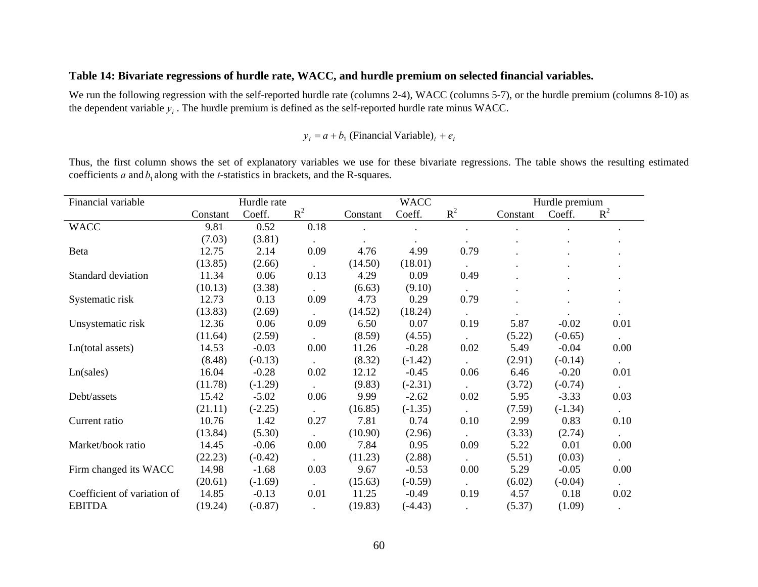## **Table 14: Bivariate regressions of hurdle rate, WACC, and hurdle premium on selected financial variables.**

We run the following regression with the self-reported hurdle rate (columns 2-4), WACC (columns 5-7), or the hurdle premium (columns 8-10) as the dependent variable  $y_i$ . The hurdle premium is defined as the self-reported hurdle rate minus WACC.

 $y_i = a + b_i$  (Financial Variable)<sub>i</sub> +  $e_i$ 

Thus, the first column shows the set of explanatory variables we use for these bivariate regressions. The table shows the resulting estimated coefficients  $a$  and  $b_1$  along with the  $t$ -statistics in brackets, and the R-squares.

| Financial variable          |          | Hurdle rate |           |          | <b>WACC</b> |           |          | Hurdle premium |             |
|-----------------------------|----------|-------------|-----------|----------|-------------|-----------|----------|----------------|-------------|
|                             | Constant | Coeff.      | $R^2$     | Constant | Coeff.      | $R^2$     | Constant | Coeff.         | $R^2$       |
| <b>WACC</b>                 | 9.81     | 0.52        | 0.18      |          |             |           |          |                |             |
|                             | (7.03)   | (3.81)      |           |          |             |           |          |                |             |
| Beta                        | 12.75    | 2.14        | 0.09      | 4.76     | 4.99        | 0.79      |          |                |             |
|                             | (13.85)  | (2.66)      |           | (14.50)  | (18.01)     |           |          |                |             |
| Standard deviation          | 11.34    | 0.06        | 0.13      | 4.29     | 0.09        | 0.49      |          |                |             |
|                             | (10.13)  | (3.38)      |           | (6.63)   | (9.10)      |           |          |                |             |
| Systematic risk             | 12.73    | 0.13        | 0.09      | 4.73     | 0.29        | 0.79      |          |                |             |
|                             | (13.83)  | (2.69)      | $\bullet$ | (14.52)  | (18.24)     | $\bullet$ |          |                |             |
| Unsystematic risk           | 12.36    | 0.06        | 0.09      | 6.50     | 0.07        | 0.19      | 5.87     | $-0.02$        | 0.01        |
|                             | (11.64)  | (2.59)      |           | (8.59)   | (4.55)      |           | (5.22)   | $(-0.65)$      | $\bullet$ . |
| Ln(total assets)            | 14.53    | $-0.03$     | 0.00      | 11.26    | $-0.28$     | 0.02      | 5.49     | $-0.04$        | 0.00        |
|                             | (8.48)   | $(-0.13)$   |           | (8.32)   | $(-1.42)$   |           | (2.91)   | $(-0.14)$      |             |
| Ln(sales)                   | 16.04    | $-0.28$     | 0.02      | 12.12    | $-0.45$     | 0.06      | 6.46     | $-0.20$        | 0.01        |
|                             | (11.78)  | $(-1.29)$   |           | (9.83)   | $(-2.31)$   |           | (3.72)   | $(-0.74)$      |             |
| Debt/assets                 | 15.42    | $-5.02$     | 0.06      | 9.99     | $-2.62$     | 0.02      | 5.95     | $-3.33$        | 0.03        |
|                             | (21.11)  | $(-2.25)$   |           | (16.85)  | $(-1.35)$   |           | (7.59)   | $(-1.34)$      |             |
| Current ratio               | 10.76    | 1.42        | 0.27      | 7.81     | 0.74        | 0.10      | 2.99     | 0.83           | 0.10        |
|                             | (13.84)  | (5.30)      |           | (10.90)  | (2.96)      |           | (3.33)   | (2.74)         |             |
| Market/book ratio           | 14.45    | $-0.06$     | 0.00      | 7.84     | 0.95        | 0.09      | 5.22     | 0.01           | 0.00        |
|                             | (22.23)  | $(-0.42)$   |           | (11.23)  | (2.88)      |           | (5.51)   | (0.03)         |             |
| Firm changed its WACC       | 14.98    | $-1.68$     | 0.03      | 9.67     | $-0.53$     | 0.00      | 5.29     | $-0.05$        | 0.00        |
|                             | (20.61)  | $(-1.69)$   |           | (15.63)  | $(-0.59)$   |           | (6.02)   | $(-0.04)$      |             |
| Coefficient of variation of | 14.85    | $-0.13$     | 0.01      | 11.25    | $-0.49$     | 0.19      | 4.57     | 0.18           | 0.02        |
| <b>EBITDA</b>               | (19.24)  | $(-0.87)$   |           | (19.83)  | $(-4.43)$   |           | (5.37)   | (1.09)         |             |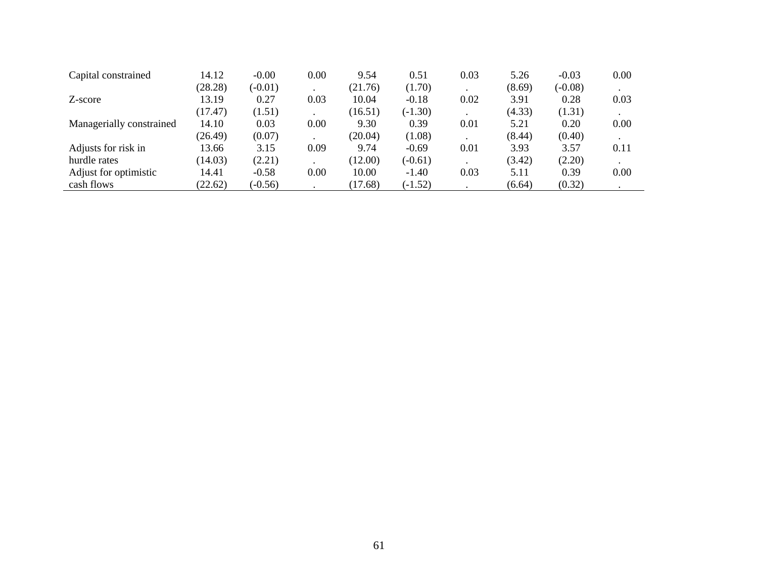| Capital constrained      | 14.12   | $-0.00$   | 0.00 | 9.54    | 0.51      | 0.03 | 5.26   | $-0.03$   | 0.00 |
|--------------------------|---------|-----------|------|---------|-----------|------|--------|-----------|------|
|                          | (28.28) | $(-0.01)$ |      | (21.76) | (1.70)    |      | (8.69) | $(-0.08)$ |      |
| Z-score                  | 13.19   | 0.27      | 0.03 | 10.04   | $-0.18$   | 0.02 | 3.91   | 0.28      | 0.03 |
|                          | (17.47) | (1.51)    |      | (16.51) | $(-1.30)$ |      | (4.33) | (1.31)    |      |
| Managerially constrained | 14.10   | 0.03      | 0.00 | 9.30    | 0.39      | 0.01 | 5.21   | 0.20      | 0.00 |
|                          | (26.49) | (0.07)    |      | (20.04) | (1.08)    |      | (8.44) | (0.40)    |      |
| Adjusts for risk in      | 13.66   | 3.15      | 0.09 | 9.74    | $-0.69$   | 0.01 | 3.93   | 3.57      | 0.11 |
| hurdle rates             | (14.03) | (2.21)    |      | (12.00) | $(-0.61)$ |      | (3.42) | (2.20)    |      |
| Adjust for optimistic    | 14.41   | $-0.58$   | 0.00 | 10.00   | $-1.40$   | 0.03 | 5.11   | 0.39      | 0.00 |
| cash flows               | (22.62) | $(-0.56)$ |      | (17.68) | $(-1.52)$ |      | (6.64) | (0.32)    |      |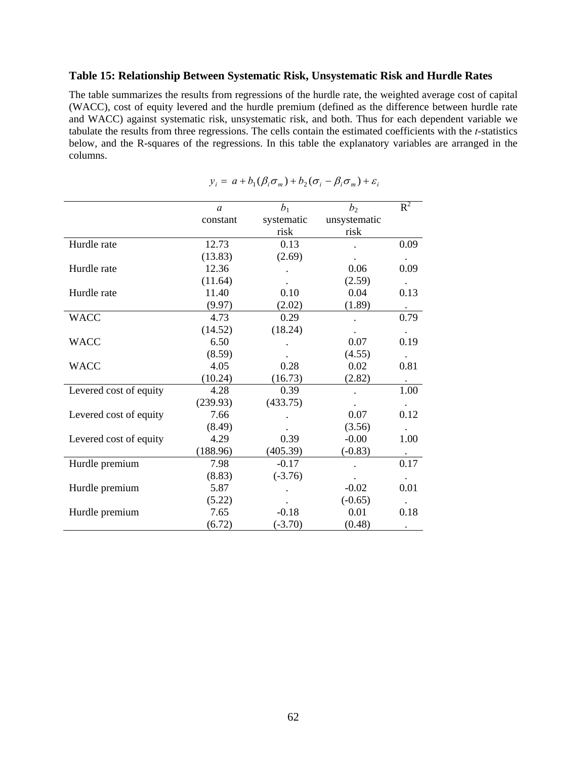## **Table 15: Relationship Between Systematic Risk, Unsystematic Risk and Hurdle Rates**

The table summarizes the results from regressions of the hurdle rate, the weighted average cost of capital (WACC), cost of equity levered and the hurdle premium (defined as the difference between hurdle rate and WACC) against systematic risk, unsystematic risk, and both. Thus for each dependent variable we tabulate the results from three regressions. The cells contain the estimated coefficients with the *t*-statistics below, and the R-squares of the regressions. In this table the explanatory variables are arranged in the columns.

|                        | $\mathfrak a$ | $b_1$      | b <sub>2</sub> | $R^2$     |
|------------------------|---------------|------------|----------------|-----------|
|                        | constant      | systematic | unsystematic   |           |
|                        |               | risk       | risk           |           |
| Hurdle rate            | 12.73         | 0.13       |                | 0.09      |
|                        | (13.83)       | (2.69)     |                |           |
| Hurdle rate            | 12.36         |            | 0.06           | 0.09      |
|                        | (11.64)       |            | (2.59)         |           |
| Hurdle rate            | 11.40         | 0.10       | 0.04           | 0.13      |
|                        | (9.97)        | (2.02)     | (1.89)         |           |
| <b>WACC</b>            | 4.73          | 0.29       |                | 0.79      |
|                        | (14.52)       | (18.24)    |                |           |
| <b>WACC</b>            | 6.50          |            | 0.07           | 0.19      |
|                        | (8.59)        |            | (4.55)         |           |
| <b>WACC</b>            | 4.05          | 0.28       | 0.02           | 0.81      |
|                        | (10.24)       | (16.73)    | (2.82)         |           |
| Levered cost of equity | 4.28          | 0.39       |                | 1.00      |
|                        | (239.93)      | (433.75)   |                |           |
| Levered cost of equity | 7.66          |            | 0.07           | 0.12      |
|                        | (8.49)        |            | (3.56)         |           |
| Levered cost of equity | 4.29          | 0.39       | $-0.00$        | 1.00      |
|                        | (188.96)      | (405.39)   | $(-0.83)$      | $\bullet$ |
| Hurdle premium         | 7.98          | $-0.17$    |                | 0.17      |
|                        | (8.83)        | $(-3.76)$  |                |           |
| Hurdle premium         | 5.87          |            | $-0.02$        | 0.01      |
|                        | (5.22)        |            | $(-0.65)$      |           |
| Hurdle premium         | 7.65          | $-0.18$    | 0.01           | 0.18      |
|                        | (6.72)        | $(-3.70)$  | (0.48)         | $\bullet$ |

$$
y_i = a + b_1(\beta_i \sigma_m) + b_2(\sigma_i - \beta_i \sigma_m) + \varepsilon_i
$$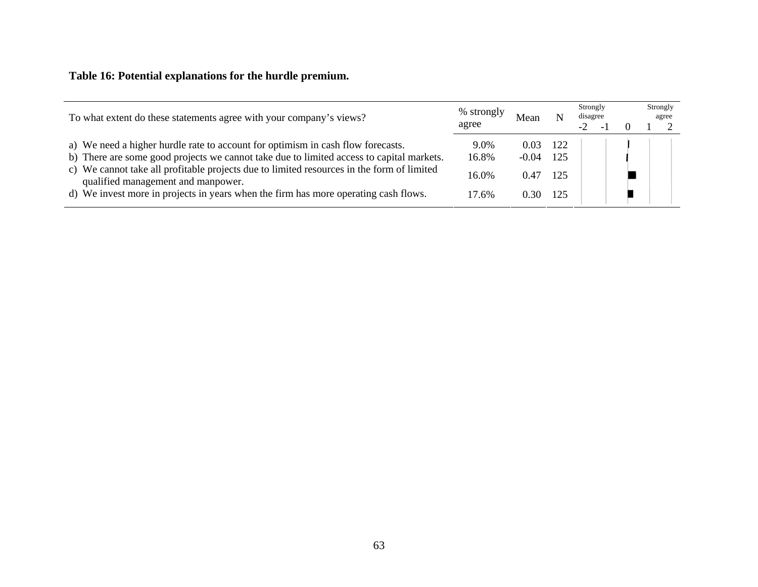# **Table 16: Potential explanations for the hurdle premium.**

| To what extent do these statements agree with your company's views?                                                                                                                                                                                                                                                                                                                                   | % strongly<br>agree             | Mean                            |                          | Strongly<br>disagree |  | Strongly<br>agree |
|-------------------------------------------------------------------------------------------------------------------------------------------------------------------------------------------------------------------------------------------------------------------------------------------------------------------------------------------------------------------------------------------------------|---------------------------------|---------------------------------|--------------------------|----------------------|--|-------------------|
| a) We need a higher hurdle rate to account for optimism in cash flow forecasts.<br>b) There are some good projects we cannot take due to limited access to capital markets.<br>c) We cannot take all profitable projects due to limited resources in the form of limited<br>qualified management and manpower.<br>d) We invest more in projects in years when the firm has more operating cash flows. | 9.0%<br>16.8%<br>16.0%<br>17.6% | 0.03<br>$-0.04$<br>0.47<br>0.30 | 122<br>125<br>125<br>125 |                      |  |                   |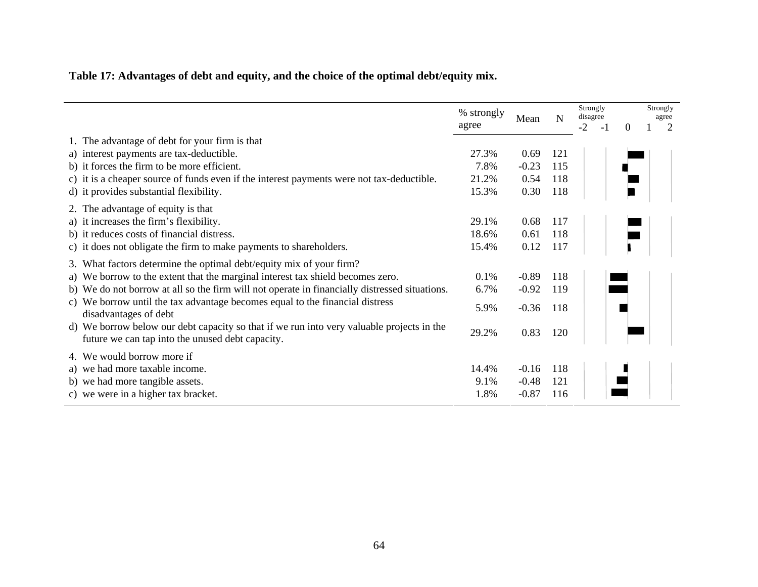# **Table 17: Advantages of debt and equity, and the choice of the optimal debt/equity mix.**

|                                                                                                                                               | % strongly<br>agree | Mean    | N   | Strongly<br>disagree<br>$-2$<br>- 1 | $\Omega$ | Strongly<br>agree<br>2 |
|-----------------------------------------------------------------------------------------------------------------------------------------------|---------------------|---------|-----|-------------------------------------|----------|------------------------|
| 1. The advantage of debt for your firm is that                                                                                                |                     |         |     |                                     |          |                        |
| a) interest payments are tax-deductible.                                                                                                      | 27.3%               | 0.69    | 121 |                                     |          |                        |
| b) it forces the firm to be more efficient.                                                                                                   | 7.8%                | $-0.23$ | 115 |                                     |          |                        |
| c) it is a cheaper source of funds even if the interest payments were not tax-deductible.                                                     | 21.2%               | 0.54    | 118 |                                     |          |                        |
| d) it provides substantial flexibility.                                                                                                       | 15.3%               | 0.30    | 118 |                                     |          |                        |
| 2. The advantage of equity is that                                                                                                            |                     |         |     |                                     |          |                        |
| a) it increases the firm's flexibility.                                                                                                       | 29.1%               | 0.68    | 117 |                                     |          |                        |
| b) it reduces costs of financial distress.                                                                                                    | 18.6%               | 0.61    | 118 |                                     |          |                        |
| c) it does not obligate the firm to make payments to shareholders.                                                                            | 15.4%               | 0.12    | 117 |                                     |          |                        |
| 3. What factors determine the optimal debt/equity mix of your firm?                                                                           |                     |         |     |                                     |          |                        |
| a) We borrow to the extent that the marginal interest tax shield becomes zero.                                                                | 0.1%                | $-0.89$ | 118 |                                     |          |                        |
| b) We do not borrow at all so the firm will not operate in financially distressed situations.                                                 | 6.7%                | $-0.92$ | 119 |                                     |          |                        |
| c) We borrow until the tax advantage becomes equal to the financial distress<br>disadvantages of debt                                         | 5.9%                | $-0.36$ | 118 |                                     |          |                        |
| d) We borrow below our debt capacity so that if we run into very valuable projects in the<br>future we can tap into the unused debt capacity. | 29.2%               | 0.83    | 120 |                                     |          |                        |
| 4. We would borrow more if                                                                                                                    |                     |         |     |                                     |          |                        |
| a) we had more taxable income.                                                                                                                | 14.4%               | $-0.16$ | 118 |                                     |          |                        |
| b) we had more tangible assets.                                                                                                               | 9.1%                | $-0.48$ | 121 |                                     |          |                        |
| c) we were in a higher tax bracket.                                                                                                           | 1.8%                | $-0.87$ | 116 |                                     |          |                        |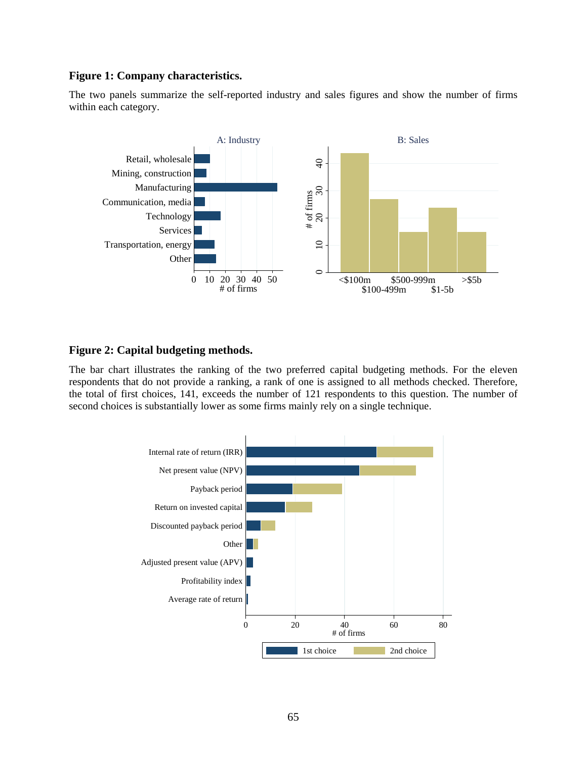## **Figure 1: Company characteristics.**

The two panels summarize the self-reported industry and sales figures and show the number of firms within each category.



## **Figure 2: Capital budgeting methods.**

The bar chart illustrates the ranking of the two preferred capital budgeting methods. For the eleven respondents that do not provide a ranking, a rank of one is assigned to all methods checked. Therefore, the total of first choices, 141, exceeds the number of 121 respondents to this question. The number of second choices is substantially lower as some firms mainly rely on a single technique.

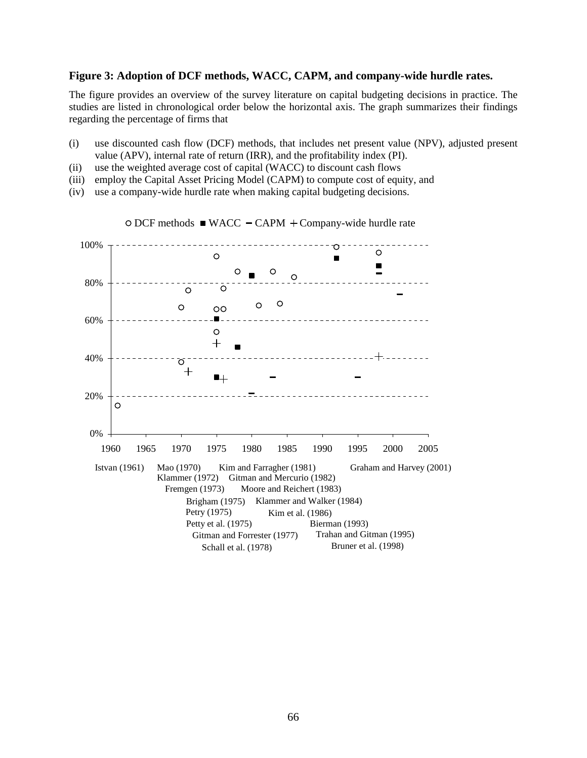#### **Figure 3: Adoption of DCF methods, WACC, CAPM, and company-wide hurdle rates.**

The figure provides an overview of the survey literature on capital budgeting decisions in practice. The studies are listed in chronological order below the horizontal axis. The graph summarizes their findings regarding the percentage of firms that

- (i) use discounted cash flow (DCF) methods, that includes net present value (NPV), adjusted present value (APV), internal rate of return (IRR), and the profitability index (PI).
- (ii) use the weighted average cost of capital (WACC) to discount cash flows
- (iii) employ the Capital Asset Pricing Model (CAPM) to compute cost of equity, and
- (iv) use a company-wide hurdle rate when making capital budgeting decisions.



 $\circ$  DCF methods  $\blacksquare$  WACC  $\lnot$  CAPM  $+$  Company-wide hurdle rate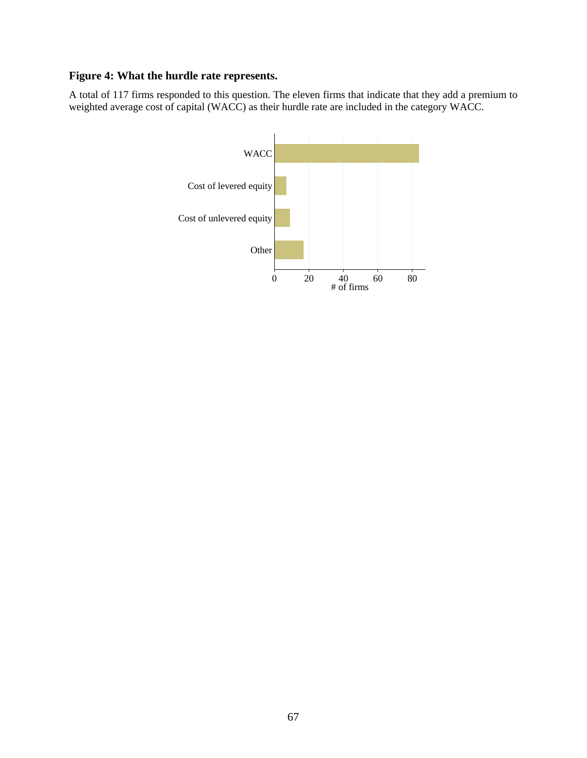# **Figure 4: What the hurdle rate represents.**

A total of 117 firms responded to this question. The eleven firms that indicate that they add a premium to weighted average cost of capital (WACC) as their hurdle rate are included in the category WACC.

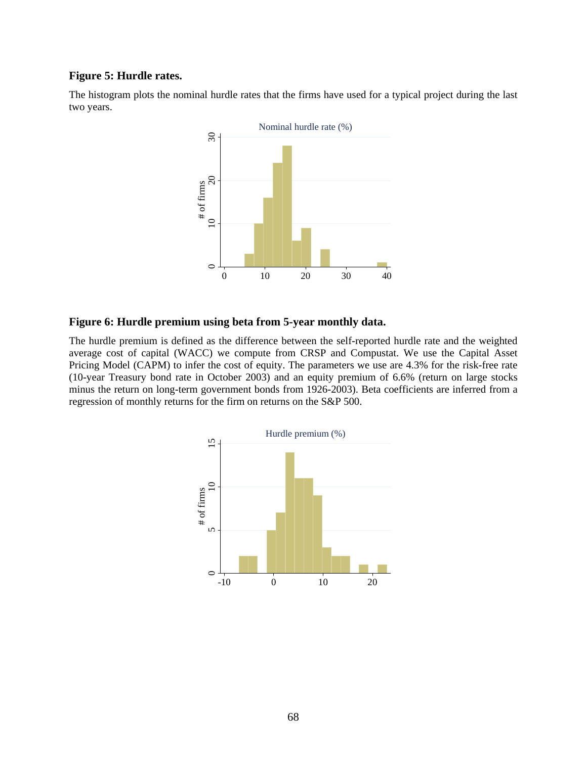## **Figure 5: Hurdle rates.**

The histogram plots the nominal hurdle rates that the firms have used for a typical project during the last two years.



## **Figure 6: Hurdle premium using beta from 5-year monthly data.**

The hurdle premium is defined as the difference between the self-reported hurdle rate and the weighted average cost of capital (WACC) we compute from CRSP and Compustat. We use the Capital Asset Pricing Model (CAPM) to infer the cost of equity. The parameters we use are 4.3% for the risk-free rate (10-year Treasury bond rate in October 2003) and an equity premium of 6.6% (return on large stocks minus the return on long-term government bonds from 1926-2003). Beta coefficients are inferred from a regression of monthly returns for the firm on returns on the S&P 500.

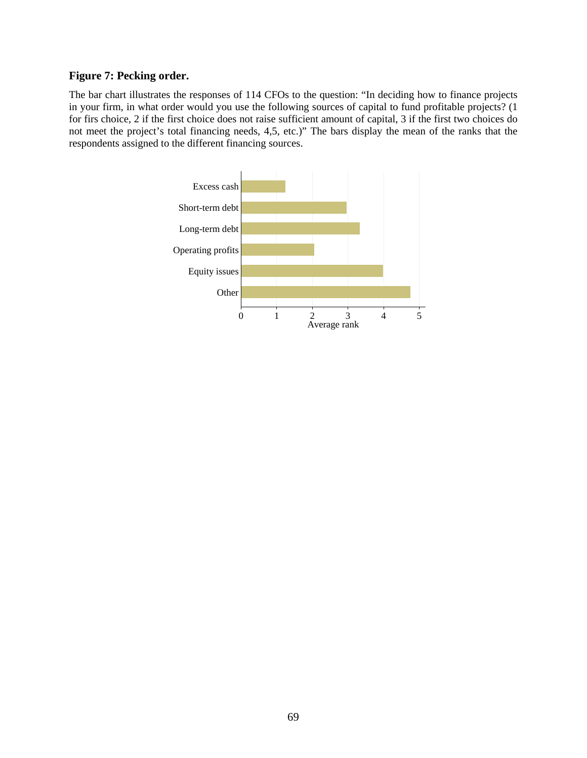# **Figure 7: Pecking order.**

The bar chart illustrates the responses of 114 CFOs to the question: "In deciding how to finance projects in your firm, in what order would you use the following sources of capital to fund profitable projects? (1 for firs choice, 2 if the first choice does not raise sufficient amount of capital, 3 if the first two choices do not meet the project's total financing needs, 4,5, etc.)" The bars display the mean of the ranks that the respondents assigned to the different financing sources.

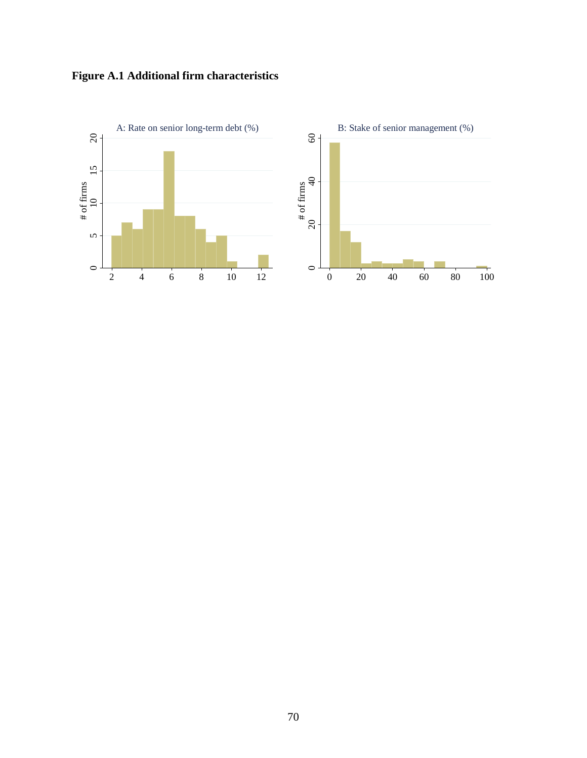